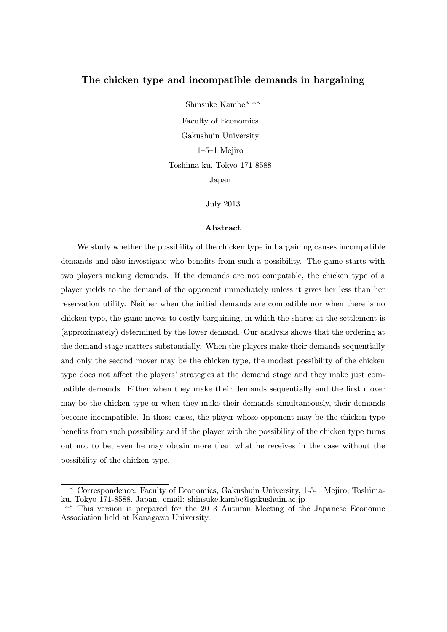# The chicken type and incompatible demands in bargaining

Shinsuke Kambe\* \*\* Faculty of Economics Gakushuin University 1—5—1 Mejiro Toshima-ku, Tokyo 171-8588

Japan

July 2013

#### Abstract

We study whether the possibility of the chicken type in bargaining causes incompatible demands and also investigate who benefits from such a possibility. The game starts with two players making demands. If the demands are not compatible, the chicken type of a player yields to the demand of the opponent immediately unless it gives her less than her reservation utility. Neither when the initial demands are compatible nor when there is no chicken type, the game moves to costly bargaining, in which the shares at the settlement is (approximately) determined by the lower demand. Our analysis shows that the ordering at the demand stage matters substantially. When the players make their demands sequentially and only the second mover may be the chicken type, the modest possibility of the chicken type does not affect the players' strategies at the demand stage and they make just compatible demands. Either when they make their demands sequentially and the first mover may be the chicken type or when they make their demands simultaneously, their demands become incompatible. In those cases, the player whose opponent may be the chicken type benefits from such possibility and if the player with the possibility of the chicken type turns out not to be, even he may obtain more than what he receives in the case without the possibility of the chicken type.

<sup>\*</sup> Correspondence: Faculty of Economics, Gakushuin University, 1-5-1 Mejiro, Toshimaku, Tokyo 171-8588, Japan. email: shinsuke.kambe@gakushuin.ac.jp

<sup>\*\*</sup> This version is prepared for the 2013 Autumn Meeting of the Japanese Economic Association held at Kanagawa University.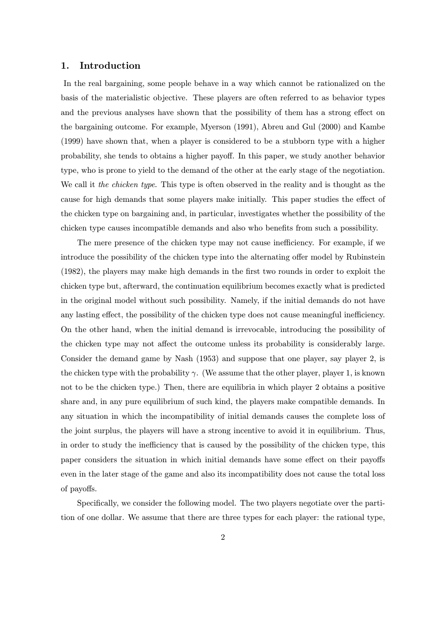# 1. Introduction

In the real bargaining, some people behave in a way which cannot be rationalized on the basis of the materialistic objective. These players are often referred to as behavior types and the previous analyses have shown that the possibility of them has a strong effect on the bargaining outcome. For example, Myerson (1991), Abreu and Gul (2000) and Kambe (1999) have shown that, when a player is considered to be a stubborn type with a higher probability, she tends to obtains a higher payoff. In this paper, we study another behavior type, who is prone to yield to the demand of the other at the early stage of the negotiation. We call it the chicken type. This type is often observed in the reality and is thought as the cause for high demands that some players make initially. This paper studies the effect of the chicken type on bargaining and, in particular, investigates whether the possibility of the chicken type causes incompatible demands and also who benefits from such a possibility.

The mere presence of the chicken type may not cause inefficiency. For example, if we introduce the possibility of the chicken type into the alternating offer model by Rubinstein (1982), the players may make high demands in the first two rounds in order to exploit the chicken type but, afterward, the continuation equilibrium becomes exactly what is predicted in the original model without such possibility. Namely, if the initial demands do not have any lasting effect, the possibility of the chicken type does not cause meaningful inefficiency. On the other hand, when the initial demand is irrevocable, introducing the possibility of the chicken type may not affect the outcome unless its probability is considerably large. Consider the demand game by Nash (1953) and suppose that one player, say player 2, is the chicken type with the probability  $\gamma$ . (We assume that the other player, player 1, is known not to be the chicken type.) Then, there are equilibria in which player 2 obtains a positive share and, in any pure equilibrium of such kind, the players make compatible demands. In any situation in which the incompatibility of initial demands causes the complete loss of the joint surplus, the players will have a strong incentive to avoid it in equilibrium. Thus, in order to study the inefficiency that is caused by the possibility of the chicken type, this paper considers the situation in which initial demands have some effect on their payoffs even in the later stage of the game and also its incompatibility does not cause the total loss of payoffs.

Specifically, we consider the following model. The two players negotiate over the partition of one dollar. We assume that there are three types for each player: the rational type,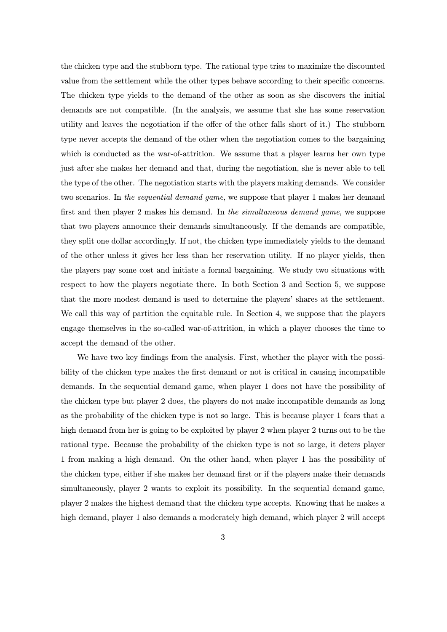the chicken type and the stubborn type. The rational type tries to maximize the discounted value from the settlement while the other types behave according to their specific concerns. The chicken type yields to the demand of the other as soon as she discovers the initial demands are not compatible. (In the analysis, we assume that she has some reservation utility and leaves the negotiation if the offer of the other falls short of it.) The stubborn type never accepts the demand of the other when the negotiation comes to the bargaining which is conducted as the war-of-attrition. We assume that a player learns her own type just after she makes her demand and that, during the negotiation, she is never able to tell the type of the other. The negotiation starts with the players making demands. We consider two scenarios. In the *sequential demand game*, we suppose that player 1 makes her demand first and then player 2 makes his demand. In the simultaneous demand game, we suppose that two players announce their demands simultaneously. If the demands are compatible, they split one dollar accordingly. If not, the chicken type immediately yields to the demand of the other unless it gives her less than her reservation utility. If no player yields, then the players pay some cost and initiate a formal bargaining. We study two situations with respect to how the players negotiate there. In both Section 3 and Section 5, we suppose that the more modest demand is used to determine the players' shares at the settlement. We call this way of partition the equitable rule. In Section 4, we suppose that the players engage themselves in the so-called war-of-attrition, in which a player chooses the time to accept the demand of the other.

We have two key findings from the analysis. First, whether the player with the possibility of the chicken type makes the first demand or not is critical in causing incompatible demands. In the sequential demand game, when player 1 does not have the possibility of the chicken type but player 2 does, the players do not make incompatible demands as long as the probability of the chicken type is not so large. This is because player 1 fears that a high demand from her is going to be exploited by player 2 when player 2 turns out to be the rational type. Because the probability of the chicken type is not so large, it deters player 1 from making a high demand. On the other hand, when player 1 has the possibility of the chicken type, either if she makes her demand first or if the players make their demands simultaneously, player 2 wants to exploit its possibility. In the sequential demand game, player 2 makes the highest demand that the chicken type accepts. Knowing that he makes a high demand, player 1 also demands a moderately high demand, which player 2 will accept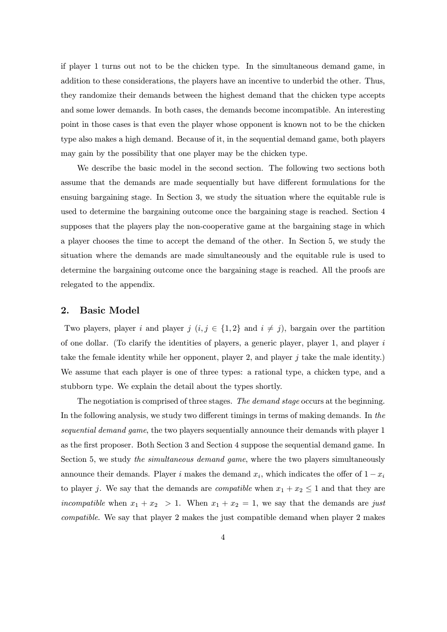if player 1 turns out not to be the chicken type. In the simultaneous demand game, in addition to these considerations, the players have an incentive to underbid the other. Thus, they randomize their demands between the highest demand that the chicken type accepts and some lower demands. In both cases, the demands become incompatible. An interesting point in those cases is that even the player whose opponent is known not to be the chicken type also makes a high demand. Because of it, in the sequential demand game, both players may gain by the possibility that one player may be the chicken type.

We describe the basic model in the second section. The following two sections both assume that the demands are made sequentially but have different formulations for the ensuing bargaining stage. In Section 3, we study the situation where the equitable rule is used to determine the bargaining outcome once the bargaining stage is reached. Section 4 supposes that the players play the non-cooperative game at the bargaining stage in which a player chooses the time to accept the demand of the other. In Section 5, we study the situation where the demands are made simultaneously and the equitable rule is used to determine the bargaining outcome once the bargaining stage is reached. All the proofs are relegated to the appendix.

### 2. Basic Model

Two players, player i and player j  $(i, j \in \{1, 2\}$  and  $i \neq j$ , bargain over the partition of one dollar. (To clarify the identities of players, a generic player, player 1, and player  $i$ take the female identity while her opponent, player 2, and player j take the male identity.) We assume that each player is one of three types: a rational type, a chicken type, and a stubborn type. We explain the detail about the types shortly.

The negotiation is comprised of three stages. The demand stage occurs at the beginning. In the following analysis, we study two different timings in terms of making demands. In the sequential demand game, the two players sequentially announce their demands with player 1 as the first proposer. Both Section 3 and Section 4 suppose the sequential demand game. In Section 5, we study the *simultaneous demand game*, where the two players simultaneously announce their demands. Player i makes the demand  $x_i$ , which indicates the offer of  $1 - x_i$ to player j. We say that the demands are *compatible* when  $x_1 + x_2 \leq 1$  and that they are incompatible when  $x_1 + x_2 > 1$ . When  $x_1 + x_2 = 1$ , we say that the demands are just compatible. We say that player 2 makes the just compatible demand when player 2 makes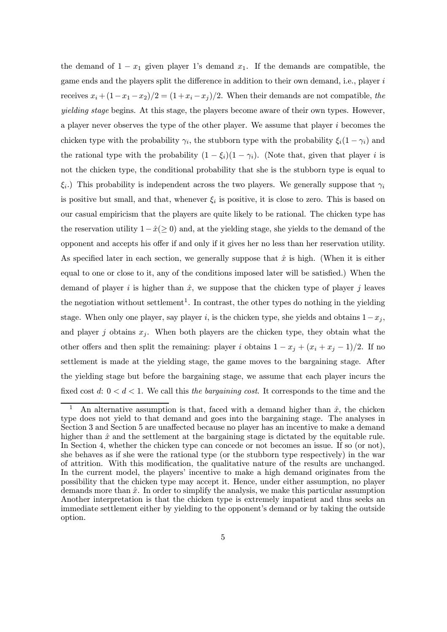the demand of  $1 - x_1$  given player 1's demand  $x_1$ . If the demands are compatible, the game ends and the players split the difference in addition to their own demand, i.e., player i receives  $x_i + (1-x_1-x_2)/2 = (1+x_i-x_i)/2$ . When their demands are not compatible, the yielding stage begins. At this stage, the players become aware of their own types. However, a player never observes the type of the other player. We assume that player i becomes the chicken type with the probability  $\gamma_i$ , the stubborn type with the probability  $\xi_i(1-\gamma_i)$  and the rational type with the probability  $(1 - \xi_i)(1 - \gamma_i)$ . (Note that, given that player *i* is not the chicken type, the conditional probability that she is the stubborn type is equal to  $\xi_i$ .) This probability is independent across the two players. We generally suppose that  $\gamma_i$ is positive but small, and that, whenever  $\xi_i$  is positive, it is close to zero. This is based on our casual empiricism that the players are quite likely to be rational. The chicken type has the reservation utility  $1-\hat{x}(\geq 0)$  and, at the yielding stage, she yields to the demand of the opponent and accepts his offer if and only if it gives her no less than her reservation utility. As specified later in each section, we generally suppose that  $\hat{x}$  is high. (When it is either equal to one or close to it, any of the conditions imposed later will be satisfied.) When the demand of player i is higher than  $\hat{x}$ , we suppose that the chicken type of player j leaves the negotiation without settlement<sup>1</sup>. In contrast, the other types do nothing in the yielding stage. When only one player, say player i, is the chicken type, she yields and obtains  $1-x_j$ , and player j obtains  $x_i$ . When both players are the chicken type, they obtain what the other offers and then split the remaining: player i obtains  $1 - x_j + (x_i + x_j - 1)/2$ . If no settlement is made at the yielding stage, the game moves to the bargaining stage. After the yielding stage but before the bargaining stage, we assume that each player incurs the fixed cost d:  $0 < d < 1$ . We call this the bargaining cost. It corresponds to the time and the

An alternative assumption is that, faced with a demand higher than  $\hat{x}$ , the chicken type does not yield to that demand and goes into the bargaining stage. The analyses in Section 3 and Section 5 are unaffected because no player has an incentive to make a demand higher than  $\hat{x}$  and the settlement at the bargaining stage is dictated by the equitable rule. In Section 4, whether the chicken type can concede or not becomes an issue. If so (or not), she behaves as if she were the rational type (or the stubborn type respectively) in the war of attrition. With this modification, the qualitative nature of the results are unchanged. In the current model, the players' incentive to make a high demand originates from the possibility that the chicken type may accept it. Hence, under either assumption, no player demands more than  $\hat{x}$ . In order to simplify the analysis, we make this particular assumption Another interpretation is that the chicken type is extremely impatient and thus seeks an immediate settlement either by yielding to the opponent's demand or by taking the outside option.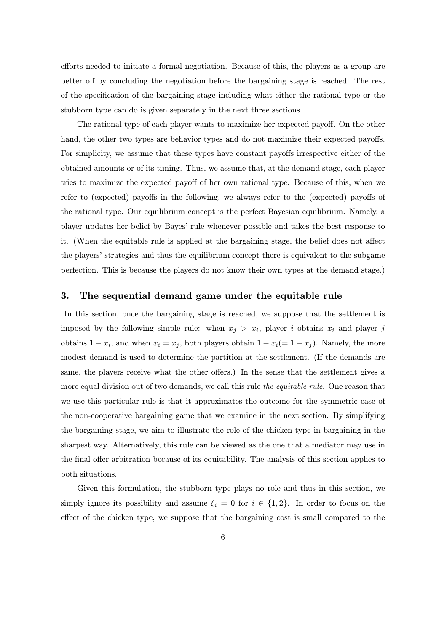efforts needed to initiate a formal negotiation. Because of this, the players as a group are better off by concluding the negotiation before the bargaining stage is reached. The rest of the specification of the bargaining stage including what either the rational type or the stubborn type can do is given separately in the next three sections.

The rational type of each player wants to maximize her expected payoff. On the other hand, the other two types are behavior types and do not maximize their expected payoffs. For simplicity, we assume that these types have constant payoffs irrespective either of the obtained amounts or of its timing. Thus, we assume that, at the demand stage, each player tries to maximize the expected payoff of her own rational type. Because of this, when we refer to (expected) payoffs in the following, we always refer to the (expected) payoffs of the rational type. Our equilibrium concept is the perfect Bayesian equilibrium. Namely, a player updates her belief by Bayes' rule whenever possible and takes the best response to it. (When the equitable rule is applied at the bargaining stage, the belief does not affect the players' strategies and thus the equilibrium concept there is equivalent to the subgame perfection. This is because the players do not know their own types at the demand stage.)

# 3. The sequential demand game under the equitable rule

In this section, once the bargaining stage is reached, we suppose that the settlement is imposed by the following simple rule: when  $x_j > x_i$ , player i obtains  $x_i$  and player j obtains  $1 - x_i$ , and when  $x_i = x_j$ , both players obtain  $1 - x_i (= 1 - x_j)$ . Namely, the more modest demand is used to determine the partition at the settlement. (If the demands are same, the players receive what the other offers.) In the sense that the settlement gives a more equal division out of two demands, we call this rule the equitable rule. One reason that we use this particular rule is that it approximates the outcome for the symmetric case of the non-cooperative bargaining game that we examine in the next section. By simplifying the bargaining stage, we aim to illustrate the role of the chicken type in bargaining in the sharpest way. Alternatively, this rule can be viewed as the one that a mediator may use in the final offer arbitration because of its equitability. The analysis of this section applies to both situations.

Given this formulation, the stubborn type plays no role and thus in this section, we simply ignore its possibility and assume  $\xi_i = 0$  for  $i \in \{1,2\}$ . In order to focus on the effect of the chicken type, we suppose that the bargaining cost is small compared to the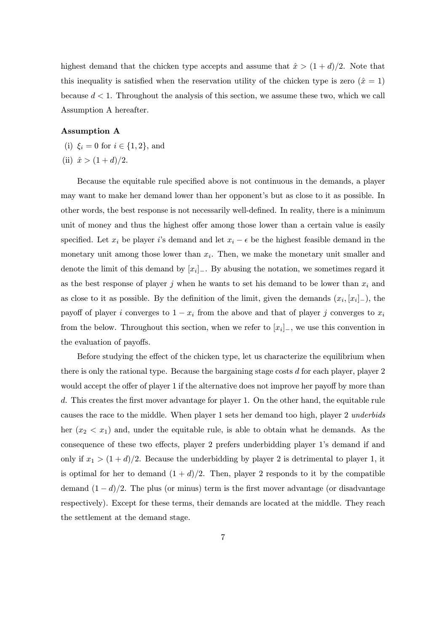highest demand that the chicken type accepts and assume that  $\hat{x} > (1 + d)/2$ . Note that this inequality is satisfied when the reservation utility of the chicken type is zero  $(\hat{x} = 1)$ because  $d < 1$ . Throughout the analysis of this section, we assume these two, which we call Assumption A hereafter.

# Assumption A

- (i)  $\xi_i = 0$  for  $i \in \{1, 2\}$ , and
- (ii)  $\hat{x} > (1+d)/2$ .

Because the equitable rule specified above is not continuous in the demands, a player may want to make her demand lower than her opponent's but as close to it as possible. In other words, the best response is not necessarily well-defined. In reality, there is a minimum unit of money and thus the highest offer among those lower than a certain value is easily specified. Let  $x_i$  be player i's demand and let  $x_i - \epsilon$  be the highest feasible demand in the monetary unit among those lower than  $x_i$ . Then, we make the monetary unit smaller and denote the limit of this demand by  $[x_i]_+$ . By abusing the notation, we sometimes regard it as the best response of player j when he wants to set his demand to be lower than  $x_i$  and as close to it as possible. By the definition of the limit, given the demands  $(x_i, [x_i]_+)$ , the payoff of player i converges to  $1 - x_i$  from the above and that of player j converges to  $x_i$ from the below. Throughout this section, when we refer to  $[x_i]_$ , we use this convention in the evaluation of payoffs.

Before studying the effect of the chicken type, let us characterize the equilibrium when there is only the rational type. Because the bargaining stage costs  $d$  for each player, player  $2$ would accept the offer of player 1 if the alternative does not improve her payoff by more than d. This creates the first mover advantage for player 1. On the other hand, the equitable rule causes the race to the middle. When player 1 sets her demand too high, player 2 underbids her  $(x_2 < x_1)$  and, under the equitable rule, is able to obtain what he demands. As the consequence of these two effects, player 2 prefers underbidding player 1's demand if and only if  $x_1 > (1 + d)/2$ . Because the underbidding by player 2 is detrimental to player 1, it is optimal for her to demand  $(1 + d)/2$ . Then, player 2 responds to it by the compatible demand  $(1 - d)/2$ . The plus (or minus) term is the first mover advantage (or disadvantage respectively). Except for these terms, their demands are located at the middle. They reach the settlement at the demand stage.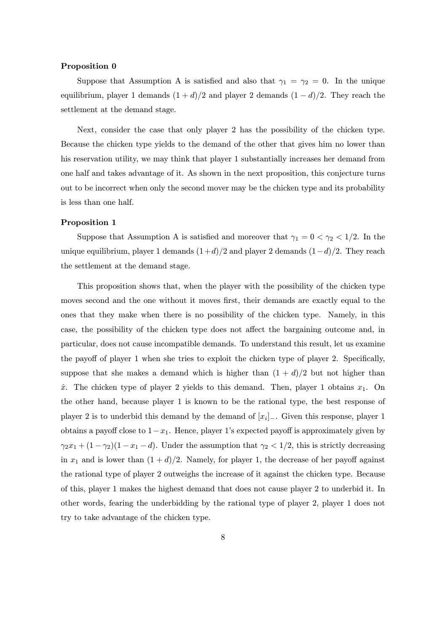#### Proposition 0

Suppose that Assumption A is satisfied and also that  $\gamma_1 = \gamma_2 = 0$ . In the unique equilibrium, player 1 demands  $(1 + d)/2$  and player 2 demands  $(1 - d)/2$ . They reach the settlement at the demand stage.

Next, consider the case that only player 2 has the possibility of the chicken type. Because the chicken type yields to the demand of the other that gives him no lower than his reservation utility, we may think that player 1 substantially increases her demand from one half and takes advantage of it. As shown in the next proposition, this conjecture turns out to be incorrect when only the second mover may be the chicken type and its probability is less than one half.

#### Proposition 1

Suppose that Assumption A is satisfied and moreover that  $\gamma_1 = 0 < \gamma_2 < 1/2$ . In the unique equilibrium, player 1 demands  $(1+d)/2$  and player 2 demands  $(1-d)/2$ . They reach the settlement at the demand stage.

This proposition shows that, when the player with the possibility of the chicken type moves second and the one without it moves first, their demands are exactly equal to the ones that they make when there is no possibility of the chicken type. Namely, in this case, the possibility of the chicken type does not affect the bargaining outcome and, in particular, does not cause incompatible demands. To understand this result, let us examine the payoff of player 1 when she tries to exploit the chicken type of player 2. Specifically, suppose that she makes a demand which is higher than  $(1 + d)/2$  but not higher than  $\hat{x}$ . The chicken type of player 2 yields to this demand. Then, player 1 obtains  $x_1$ . On the other hand, because player 1 is known to be the rational type, the best response of player 2 is to underbid this demand by the demand of  $[x_i]_-\$ . Given this response, player 1 obtains a payoff close to  $1-x_1$ . Hence, player 1's expected payoff is approximately given by  $\gamma_2 x_1 + (1 - \gamma_2)(1 - x_1 - d)$ . Under the assumption that  $\gamma_2 < 1/2$ , this is strictly decreasing in  $x_1$  and is lower than  $(1 + d)/2$ . Namely, for player 1, the decrease of her payoff against the rational type of player 2 outweighs the increase of it against the chicken type. Because of this, player 1 makes the highest demand that does not cause player 2 to underbid it. In other words, fearing the underbidding by the rational type of player 2, player 1 does not try to take advantage of the chicken type.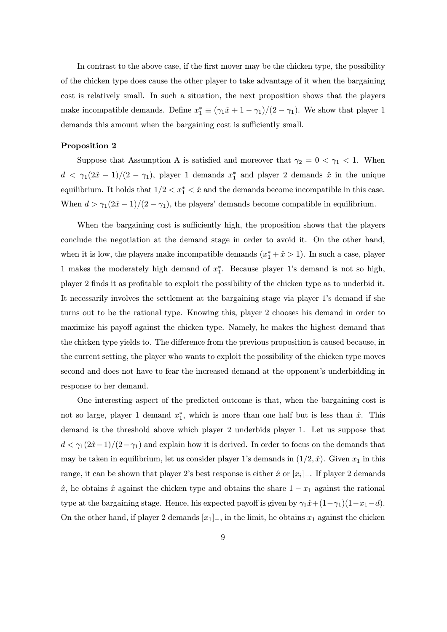In contrast to the above case, if the first mover may be the chicken type, the possibility of the chicken type does cause the other player to take advantage of it when the bargaining cost is relatively small. In such a situation, the next proposition shows that the players make incompatible demands. Define  $x_1^* \equiv (\gamma_1 \hat{x} + 1 - \gamma_1)/(2 - \gamma_1)$ . We show that player 1 demands this amount when the bargaining cost is sufficiently small.

#### Proposition 2

Suppose that Assumption A is satisfied and moreover that  $\gamma_2 = 0 < \gamma_1 < 1$ . When  $d < \gamma_1(2\hat{x} - 1)/(2 - \gamma_1)$ , player 1 demands  $x_1^*$  and player 2 demands  $\hat{x}$  in the unique equilibrium. It holds that  $1/2 < x_1^* < \hat{x}$  and the demands become incompatible in this case. When  $d > \gamma_1(2\hat{x} - 1)/(2 - \gamma_1)$ , the players' demands become compatible in equilibrium.

When the bargaining cost is sufficiently high, the proposition shows that the players conclude the negotiation at the demand stage in order to avoid it. On the other hand, when it is low, the players make incompatible demands  $(x_1^* + \hat{x} > 1)$ . In such a case, player 1 makes the moderately high demand of  $x_1^*$ . Because player 1's demand is not so high, player 2 finds it as profitable to exploit the possibility of the chicken type as to underbid it. It necessarily involves the settlement at the bargaining stage via player 1's demand if she turns out to be the rational type. Knowing this, player 2 chooses his demand in order to maximize his payoff against the chicken type. Namely, he makes the highest demand that the chicken type yields to. The difference from the previous proposition is caused because, in the current setting, the player who wants to exploit the possibility of the chicken type moves second and does not have to fear the increased demand at the opponent's underbidding in response to her demand.

One interesting aspect of the predicted outcome is that, when the bargaining cost is not so large, player 1 demand  $x_1^*$ , which is more than one half but is less than  $\hat{x}$ . This demand is the threshold above which player 2 underbids player 1. Let us suppose that  $d < \gamma_1(2\hat{x}-1)/(2-\gamma_1)$  and explain how it is derived. In order to focus on the demands that may be taken in equilibrium, let us consider player 1's demands in  $(1/2, \hat{x})$ . Given  $x_1$  in this range, it can be shown that player 2's best response is either  $\hat{x}$  or  $[x_i]_+$ . If player 2 demands  $\hat{x}$ , he obtains  $\hat{x}$  against the chicken type and obtains the share  $1 - x_1$  against the rational type at the bargaining stage. Hence, his expected payoff is given by  $\gamma_1\hat{x} + (1-\gamma_1)(1-x_1-d)$ . On the other hand, if player 2 demands  $[x_1]_-,$  in the limit, he obtains  $x_1$  against the chicken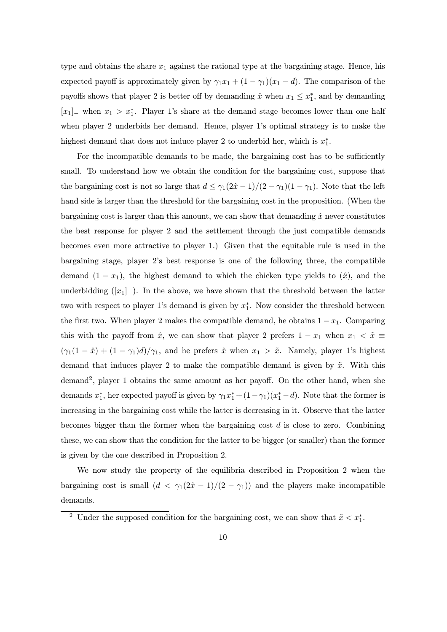type and obtains the share  $x_1$  against the rational type at the bargaining stage. Hence, his expected payoff is approximately given by  $\gamma_1 x_1 + (1 - \gamma_1)(x_1 - d)$ . The comparison of the payoffs shows that player 2 is better off by demanding  $\hat{x}$  when  $x_1 \leq x_1^*$ , and by demanding  $[x_1]_$  when  $x_1 > x_1^*$ . Player 1's share at the demand stage becomes lower than one half when player 2 underbids her demand. Hence, player 1's optimal strategy is to make the highest demand that does not induce player 2 to underbid her, which is  $x_1^*$ .

For the incompatible demands to be made, the bargaining cost has to be sufficiently small. To understand how we obtain the condition for the bargaining cost, suppose that the bargaining cost is not so large that  $d \leq \gamma_1(2\hat{x} - 1)/(2 - \gamma_1)(1 - \gamma_1)$ . Note that the left hand side is larger than the threshold for the bargaining cost in the proposition. (When the bargaining cost is larger than this amount, we can show that demanding  $\hat{x}$  never constitutes the best response for player 2 and the settlement through the just compatible demands becomes even more attractive to player 1.) Given that the equitable rule is used in the bargaining stage, player 2's best response is one of the following three, the compatible demand  $(1 - x_1)$ , the highest demand to which the chicken type yields to  $(\hat{x})$ , and the underbidding  $([x_1]_-)$ . In the above, we have shown that the threshold between the latter two with respect to player 1's demand is given by  $x_1^*$ . Now consider the threshold between the first two. When player 2 makes the compatible demand, he obtains  $1 - x_1$ . Comparing this with the payoff from  $\hat{x}$ , we can show that player 2 prefers  $1 - x_1$  when  $x_1 < \tilde{x} \equiv$  $(\gamma_1(1 - \hat{x}) + (1 - \gamma_1)d)/\gamma_1$ , and he prefers  $\hat{x}$  when  $x_1 > \tilde{x}$ . Namely, player 1's highest demand that induces player 2 to make the compatible demand is given by  $\tilde{x}$ . With this demand<sup>2</sup>, player 1 obtains the same amount as her payoff. On the other hand, when she demands  $x_1^*$ , her expected payoff is given by  $\gamma_1 x_1^* + (1 - \gamma_1)(x_1^* - d)$ . Note that the former is increasing in the bargaining cost while the latter is decreasing in it. Observe that the latter becomes bigger than the former when the bargaining cost  $d$  is close to zero. Combining these, we can show that the condition for the latter to be bigger (or smaller) than the former is given by the one described in Proposition 2.

We now study the property of the equilibria described in Proposition 2 when the bargaining cost is small  $(d < \gamma_1(2\hat{x} - 1)/(2 - \gamma_1))$  and the players make incompatible demands.

<sup>&</sup>lt;sup>2</sup> Under the supposed condition for the bargaining cost, we can show that  $\tilde{x} < x_1^*$ .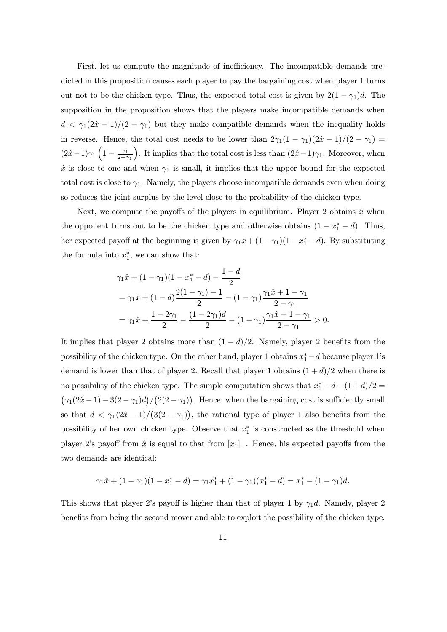First, let us compute the magnitude of inefficiency. The incompatible demands predicted in this proposition causes each player to pay the bargaining cost when player 1 turns out not to be the chicken type. Thus, the expected total cost is given by  $2(1 - \gamma_1)d$ . The supposition in the proposition shows that the players make incompatible demands when  $d < \gamma_1(2\hat{x}-1)/(2-\gamma_1)$  but they make compatible demands when the inequality holds in reverse. Hence, the total cost needs to be lower than  $2\gamma_1(1-\gamma_1)(2\hat{x}-1)/(2-\gamma_1)$  $(2\hat{x}-1)\gamma_1\left(1-\frac{\gamma_1}{2-\gamma_1}\right)$ ). It implies that the total cost is less than  $(2\hat{x}-1)\gamma_1$ . Moreover, when  $\hat{x}$  is close to one and when  $\gamma_1$  is small, it implies that the upper bound for the expected total cost is close to  $\gamma_1$ . Namely, the players choose incompatible demands even when doing so reduces the joint surplus by the level close to the probability of the chicken type.

Next, we compute the payoffs of the players in equilibrium. Player 2 obtains  $\hat{x}$  when the opponent turns out to be the chicken type and otherwise obtains  $(1 - x_1^* - d)$ . Thus, her expected payoff at the beginning is given by  $\gamma_1 \hat{x} + (1 - \gamma_1)(1 - x_1^* - d)$ . By substituting the formula into  $x_1^*$ , we can show that:

$$
\gamma_1 \hat{x} + (1 - \gamma_1)(1 - x_1^* - d) - \frac{1 - d}{2}
$$
  
=  $\gamma_1 \hat{x} + (1 - d) \frac{2(1 - \gamma_1) - 1}{2} - (1 - \gamma_1) \frac{\gamma_1 \hat{x} + 1 - \gamma_1}{2 - \gamma_1}$   
=  $\gamma_1 \hat{x} + \frac{1 - 2\gamma_1}{2} - \frac{(1 - 2\gamma_1)d}{2} - (1 - \gamma_1) \frac{\gamma_1 \hat{x} + 1 - \gamma_1}{2 - \gamma_1} > 0.$ 

It implies that player 2 obtains more than  $(1 - d)/2$ . Namely, player 2 benefits from the possibility of the chicken type. On the other hand, player 1 obtains  $x_1^* - d$  because player 1's demand is lower than that of player 2. Recall that player 1 obtains  $(1+d)/2$  when there is no possibility of the chicken type. The simple computation shows that  $x_1^* - d - (1 + d)/2 =$  $(\gamma_1(2\hat{x}-1)-3(2-\gamma_1)d)/(2(2-\gamma_1)).$  Hence, when the bargaining cost is sufficiently small so that  $d < \gamma_1(2\hat{x} - 1)/((3(2 - \gamma_1))$ , the rational type of player 1 also benefits from the possibility of her own chicken type. Observe that  $x_1^*$  is constructed as the threshold when player 2's payoff from  $\hat{x}$  is equal to that from  $[x_1]_$ . Hence, his expected payoffs from the two demands are identical:

$$
\gamma_1 \hat{x} + (1 - \gamma_1)(1 - x_1^* - d) = \gamma_1 x_1^* + (1 - \gamma_1)(x_1^* - d) = x_1^* - (1 - \gamma_1)d.
$$

This shows that player 2's payoff is higher than that of player 1 by  $\gamma_1 d$ . Namely, player 2 benefits from being the second mover and able to exploit the possibility of the chicken type.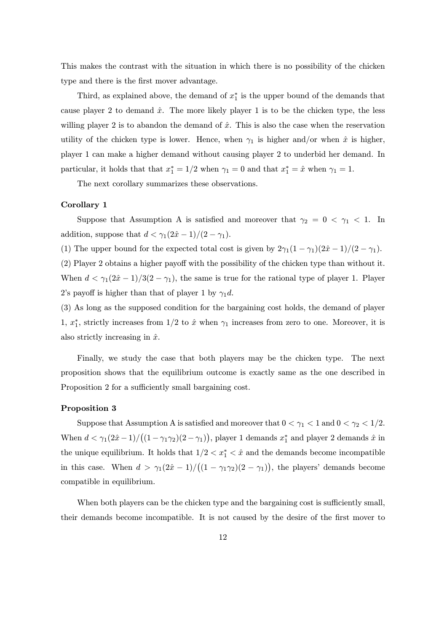This makes the contrast with the situation in which there is no possibility of the chicken type and there is the first mover advantage.

Third, as explained above, the demand of  $x_1^*$  is the upper bound of the demands that cause player 2 to demand  $\hat{x}$ . The more likely player 1 is to be the chicken type, the less willing player 2 is to abandon the demand of  $\hat{x}$ . This is also the case when the reservation utility of the chicken type is lower. Hence, when  $\gamma_1$  is higher and/or when  $\hat{x}$  is higher, player 1 can make a higher demand without causing player 2 to underbid her demand. In particular, it holds that that  $x_1^* = 1/2$  when  $\gamma_1 = 0$  and that  $x_1^* = \hat{x}$  when  $\gamma_1 = 1$ .

The next corollary summarizes these observations.

#### Corollary 1

Suppose that Assumption A is satisfied and moreover that  $\gamma_2 = 0 < \gamma_1 < 1$ . In addition, suppose that  $d < \gamma_1(2\hat{x} - 1)/(2 - \gamma_1)$ .

(1) The upper bound for the expected total cost is given by  $2\gamma_1(1-\gamma_1)(2\hat{x}-1)/(2-\gamma_1)$ .

(2) Player 2 obtains a higher payoff with the possibility of the chicken type than without it. When  $d < \gamma_1(2\hat{x} - 1)/3(2 - \gamma_1)$ , the same is true for the rational type of player 1. Player 2's payoff is higher than that of player 1 by  $\gamma_1 d$ .

(3) As long as the supposed condition for the bargaining cost holds, the demand of player 1,  $x_1^*$ , strictly increases from 1/2 to  $\hat{x}$  when  $\gamma_1$  increases from zero to one. Moreover, it is also strictly increasing in  $\hat{x}$ .

Finally, we study the case that both players may be the chicken type. The next proposition shows that the equilibrium outcome is exactly same as the one described in Proposition 2 for a sufficiently small bargaining cost.

#### Proposition 3

Suppose that Assumption A is satisfied and moreover that  $0 < \gamma_1 < 1$  and  $0 < \gamma_2 < 1/2$ . When  $d < \gamma_1(2\hat{x}-1)/((1-\gamma_1\gamma_2)(2-\gamma_1))$ , player 1 demands  $x_1^*$  and player 2 demands  $\hat{x}$  in the unique equilibrium. It holds that  $1/2 < x_1^* < \hat{x}$  and the demands become incompatible in this case. When  $d > \gamma_1(2\hat{x} - 1)/((1 - \gamma_1 \gamma_2)(2 - \gamma_1))$ , the players' demands become compatible in equilibrium.

When both players can be the chicken type and the bargaining cost is sufficiently small, their demands become incompatible. It is not caused by the desire of the first mover to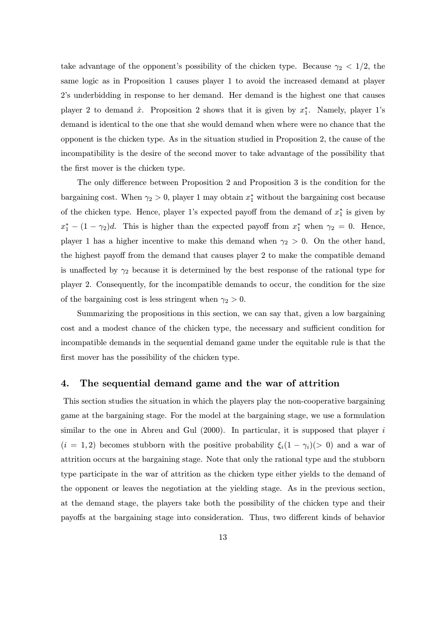take advantage of the opponent's possibility of the chicken type. Because  $\gamma_2$  < 1/2, the same logic as in Proposition 1 causes player 1 to avoid the increased demand at player 2's underbidding in response to her demand. Her demand is the highest one that causes player 2 to demand  $\hat{x}$ . Proposition 2 shows that it is given by  $x_1^*$ . Namely, player 1's demand is identical to the one that she would demand when where were no chance that the opponent is the chicken type. As in the situation studied in Proposition 2, the cause of the incompatibility is the desire of the second mover to take advantage of the possibility that the first mover is the chicken type.

The only difference between Proposition 2 and Proposition 3 is the condition for the bargaining cost. When  $\gamma_2 > 0$ , player 1 may obtain  $x_1^*$  without the bargaining cost because of the chicken type. Hence, player 1's expected payoff from the demand of  $x_1^*$  is given by  $x_1^* - (1 - \gamma_2)d$ . This is higher than the expected payoff from  $x_1^*$  when  $\gamma_2 = 0$ . Hence, player 1 has a higher incentive to make this demand when  $\gamma_2 > 0$ . On the other hand, the highest payoff from the demand that causes player 2 to make the compatible demand is unaffected by  $\gamma_2$  because it is determined by the best response of the rational type for player 2. Consequently, for the incompatible demands to occur, the condition for the size of the bargaining cost is less stringent when  $\gamma_2 > 0$ .

Summarizing the propositions in this section, we can say that, given a low bargaining cost and a modest chance of the chicken type, the necessary and sufficient condition for incompatible demands in the sequential demand game under the equitable rule is that the first mover has the possibility of the chicken type.

# 4. The sequential demand game and the war of attrition

This section studies the situation in which the players play the non-cooperative bargaining game at the bargaining stage. For the model at the bargaining stage, we use a formulation similar to the one in Abreu and Gul  $(2000)$ . In particular, it is supposed that player i  $(i = 1, 2)$  becomes stubborn with the positive probability  $\xi_i(1 - \gamma_i)(> 0)$  and a war of attrition occurs at the bargaining stage. Note that only the rational type and the stubborn type participate in the war of attrition as the chicken type either yields to the demand of the opponent or leaves the negotiation at the yielding stage. As in the previous section, at the demand stage, the players take both the possibility of the chicken type and their payoffs at the bargaining stage into consideration. Thus, two different kinds of behavior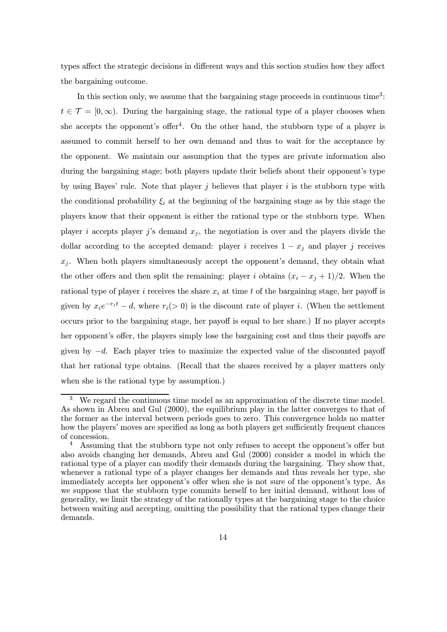types affect the strategic decisions in different ways and this section studies how they affect the bargaining outcome.

In this section only, we assume that the bargaining stage proceeds in continuous time<sup>3</sup>:  $t \in \mathcal{T} = [0, \infty)$ . During the bargaining stage, the rational type of a player chooses when she accepts the opponent's offer<sup>4</sup>. On the other hand, the stubborn type of a player is assumed to commit herself to her own demand and thus to wait for the acceptance by the opponent. We maintain our assumption that the types are private information also during the bargaining stage; both players update their beliefs about their opponent's type by using Bayes' rule. Note that player  $j$  believes that player  $i$  is the stubborn type with the conditional probability  $\xi_i$  at the beginning of the bargaining stage as by this stage the players know that their opponent is either the rational type or the stubborn type. When player i accepts player j's demand  $x_j$ , the negotiation is over and the players divide the dollar according to the accepted demand: player i receives  $1 - x_i$  and player j receives  $x_j$ . When both players simultaneously accept the opponent's demand, they obtain what the other offers and then split the remaining: player i obtains  $(x_i - x_j + 1)/2$ . When the rational type of player i receives the share  $x_i$  at time t of the bargaining stage, her payoff is given by  $x_i e^{-r_i t} - d$ , where  $r_i(> 0)$  is the discount rate of player *i*. (When the settlement occurs prior to the bargaining stage, her payoff is equal to her share.) If no player accepts her opponent's offer, the players simply lose the bargaining cost and thus their payoffs are given by  $-d$ . Each player tries to maximize the expected value of the discounted payoff that her rational type obtains. (Recall that the shares received by a player matters only when she is the rational type by assumption.)

<sup>3</sup> We regard the continuous time model as an approximation of the discrete time model. As shown in Abreu and Gul (2000), the equilibrium play in the latter converges to that of the former as the interval between periods goes to zero. This convergence holds no matter how the players' moves are specified as long as both players get sufficiently frequent chances of concession.

 $4$  Assuming that the stubborn type not only refuses to accept the opponent's offer but also avoids changing her demands, Abreu and Gul (2000) consider a model in which the rational type of a player can modify their demands during the bargaining. They show that, whenever a rational type of a player changes her demands and thus reveals her type, she immediately accepts her opponent's offer when she is not sure of the opponent's type. As we suppose that the stubborn type commits herself to her initial demand, without loss of generality, we limit the strategy of the rationally types at the bargaining stage to the choice between waiting and accepting, omitting the possibility that the rational types change their demands.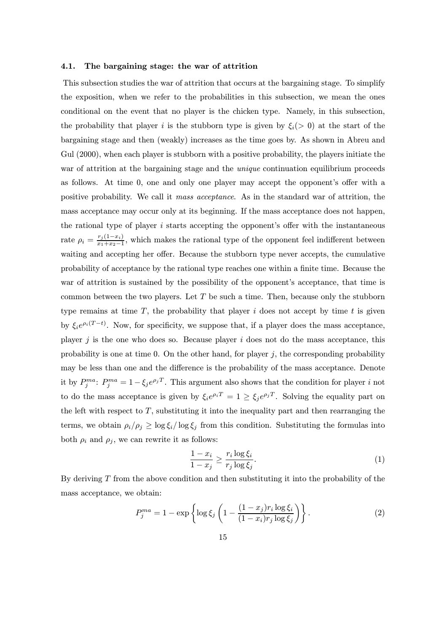#### 4.1. The bargaining stage: the war of attrition

This subsection studies the war of attrition that occurs at the bargaining stage. To simplify the exposition, when we refer to the probabilities in this subsection, we mean the ones conditional on the event that no player is the chicken type. Namely, in this subsection, the probability that player i is the stubborn type is given by  $\xi_i(> 0)$  at the start of the bargaining stage and then (weakly) increases as the time goes by. As shown in Abreu and Gul  $(2000)$ , when each player is stubborn with a positive probability, the players initiate the war of attrition at the bargaining stage and the *unique* continuation equilibrium proceeds as follows. At time 0, one and only one player may accept the opponent's offer with a positive probability. We call it mass acceptance. As in the standard war of attrition, the mass acceptance may occur only at its beginning. If the mass acceptance does not happen, the rational type of player  $i$  starts accepting the opponent's offer with the instantaneous rate  $\rho_i = \frac{r_j(1-x_i)}{x_1+x_2-1}$ , which makes the rational type of the opponent feel indifferent between waiting and accepting her offer. Because the stubborn type never accepts, the cumulative probability of acceptance by the rational type reaches one within a finite time. Because the war of attrition is sustained by the possibility of the opponent's acceptance, that time is common between the two players. Let  $T$  be such a time. Then, because only the stubborn type remains at time  $T$ , the probability that player i does not accept by time t is given by  $\xi_i e^{\rho_i(T-t)}$ . Now, for specificity, we suppose that, if a player does the mass acceptance, player  $j$  is the one who does so. Because player  $i$  does not do the mass acceptance, this probability is one at time 0. On the other hand, for player  $j$ , the corresponding probability may be less than one and the difference is the probability of the mass acceptance. Denote it by  $P_j^{ma}$ :  $P_j^{ma} = 1 - \xi_j e^{\rho_j T}$ . This argument also shows that the condition for player i not to do the mass acceptance is given by  $\xi_i e^{\rho_i T} = 1 \ge \xi_j e^{\rho_j T}$ . Solving the equality part on the left with respect to  $T$ , substituting it into the inequality part and then rearranging the terms, we obtain  $\rho_i/\rho_j \geq \log \xi_i/\log \xi_j$  from this condition. Substituting the formulas into both  $\rho_i$  and  $\rho_j$ , we can rewrite it as follows:

$$
\frac{1 - x_i}{1 - x_j} \ge \frac{r_i \log \xi_i}{r_j \log \xi_j}.\tag{1}
$$

By deriving  $T$  from the above condition and then substituting it into the probability of the mass acceptance, we obtain:

$$
P_j^{ma} = 1 - \exp\left\{\log \xi_j \left(1 - \frac{(1 - x_j)r_i \log \xi_i}{(1 - x_i)r_j \log \xi_j}\right)\right\}.
$$
 (2)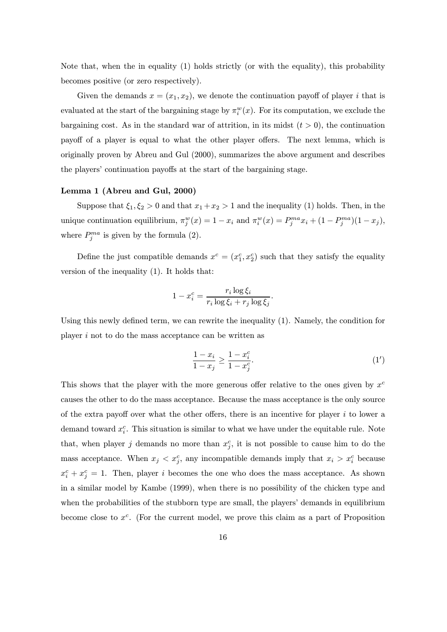Note that, when the in equality (1) holds strictly (or with the equality), this probability becomes positive (or zero respectively).

Given the demands  $x = (x_1, x_2)$ , we denote the continuation payoff of player i that is evaluated at the start of the bargaining stage by  $\pi_i^w(x)$ . For its computation, we exclude the bargaining cost. As in the standard war of attrition, in its midst  $(t > 0)$ , the continuation payoff of a player is equal to what the other player offers. The next lemma, which is originally proven by Abreu and Gul (2000), summarizes the above argument and describes the players' continuation payoffs at the start of the bargaining stage.

#### Lemma 1 (Abreu and Gul, 2000)

Suppose that  $\xi_1, \xi_2 > 0$  and that  $x_1 + x_2 > 1$  and the inequality (1) holds. Then, in the unique continuation equilibrium,  $\pi_j^w(x) = 1 - x_i$  and  $\pi_i^w(x) = P_j^{ma} x_i + (1 - P_j^{ma})(1 - x_j)$ , where  $P_j^{ma}$  is given by the formula (2).

Define the just compatible demands  $x^c = (x_1^c, x_2^c)$  such that they satisfy the equality version of the inequality (1). It holds that:

$$
1 - x_i^c = \frac{r_i \log \xi_i}{r_i \log \xi_i + r_j \log \xi_j}.
$$

Using this newly defined term, we can rewrite the inequality (1). Namely, the condition for player i not to do the mass acceptance can be written as

$$
\frac{1 - x_i}{1 - x_j} \ge \frac{1 - x_i^c}{1 - x_j^c}.\tag{1'}
$$

This shows that the player with the more generous offer relative to the ones given by  $x^c$ causes the other to do the mass acceptance. Because the mass acceptance is the only source of the extra payoff over what the other offers, there is an incentive for player  $i$  to lower a demand toward  $x_i^c$ . This situation is similar to what we have under the equitable rule. Note that, when player j demands no more than  $x_j^c$ , it is not possible to cause him to do the mass acceptance. When  $x_j < x_j^c$ , any incompatible demands imply that  $x_i > x_i^c$  because  $x_i^c + x_j^c = 1$ . Then, player i becomes the one who does the mass acceptance. As shown in a similar model by Kambe (1999), when there is no possibility of the chicken type and when the probabilities of the stubborn type are small, the players' demands in equilibrium become close to  $x^c$ . (For the current model, we prove this claim as a part of Proposition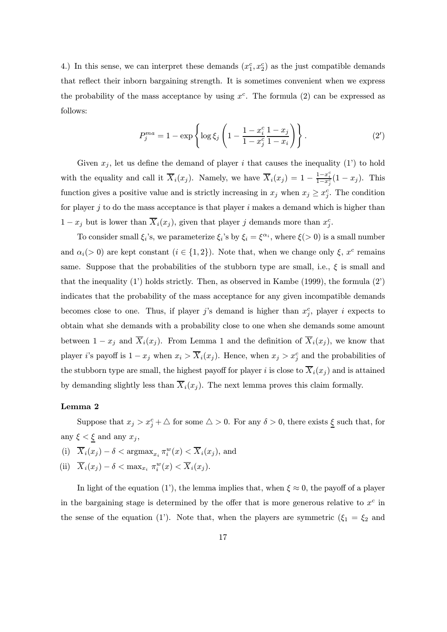4.) In this sense, we can interpret these demands  $(x_1^c, x_2^c)$  as the just compatible demands that reflect their inborn bargaining strength. It is sometimes convenient when we express the probability of the mass acceptance by using  $x^c$ . The formula (2) can be expressed as follows:

$$
P_j^{ma} = 1 - \exp\left\{\log \xi_j \left(1 - \frac{1 - x_i^c}{1 - x_j^c} \frac{1 - x_j}{1 - x_i}\right)\right\}.
$$
 (2')

Given  $x_i$ , let us define the demand of player i that causes the inequality (1') to hold with the equality and call it  $\overline{X}_i(x_j)$ . Namely, we have  $\overline{X}_i(x_j) = 1 - \frac{1-x_i^c}{1-x_j^c}(1-x_j)$ . This function gives a positive value and is strictly increasing in  $x_j$  when  $x_j \geq x_j^c$ . The condition for player j to do the mass acceptance is that player  $i$  makes a demand which is higher than  $1 - x_j$  but is lower than  $\overline{X}_i(x_j)$ , given that player j demands more than  $x_j^c$ .

To consider small  $\xi_i$ 's, we parameterize  $\xi_i$ 's by  $\xi_i = \xi^{\alpha_i}$ , where  $\xi(> 0)$  is a small number and  $\alpha_i(> 0)$  are kept constant  $(i \in \{1,2\})$ . Note that, when we change only  $\xi$ ,  $x^c$  remains same. Suppose that the probabilities of the stubborn type are small, i.e.,  $\xi$  is small and that the inequality  $(1')$  holds strictly. Then, as observed in Kambe (1999), the formula  $(2')$ indicates that the probability of the mass acceptance for any given incompatible demands becomes close to one. Thus, if player j's demand is higher than  $x_j^c$ , player i expects to obtain what she demands with a probability close to one when she demands some amount between  $1 - x_j$  and  $\overline{X}_i(x_j)$ . From Lemma 1 and the definition of  $\overline{X}_i(x_j)$ , we know that player *i*'s payoff is  $1 - x_j$  when  $x_i > \overline{X}_i(x_j)$ . Hence, when  $x_j > x_j^c$  and the probabilities of the stubborn type are small, the highest payoff for player i is close to  $\overline{X}_i(x_i)$  and is attained by demanding slightly less than  $\overline{X}_i(x_j)$ . The next lemma proves this claim formally.

# Lemma 2

Suppose that  $x_j > x_j^c + \triangle$  for some  $\triangle > 0$ . For any  $\delta > 0$ , there exists  $\underline{\xi}$  such that, for any  $\xi < \xi$  and any  $x_j$ ,

(i)  $\overline{X}_i(x_j) - \delta < \operatorname{argmax}_{x_i} \pi_i^w(x) < \overline{X}_i(x_j)$ , and

(ii)  $\overline{X}_i(x_j) - \delta < \max_{x_i} \pi_i^w(x) < \overline{X}_i(x_j)$ .

In light of the equation (1'), the lemma implies that, when  $\xi \approx 0$ , the payoff of a player in the bargaining stage is determined by the offer that is more generous relative to  $x^c$  in the sense of the equation (1'). Note that, when the players are symmetric ( $\xi_1 = \xi_2$  and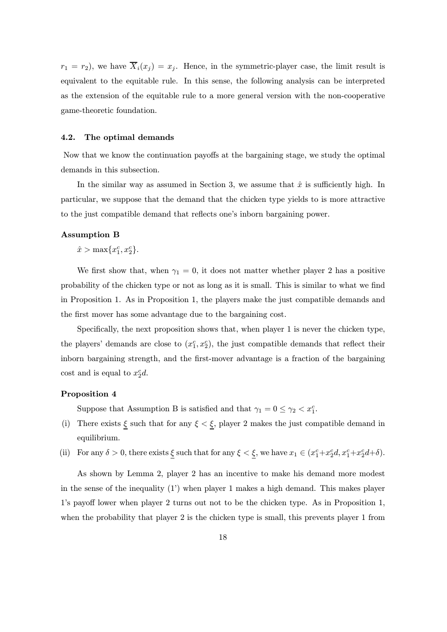$r_1 = r_2$ , we have  $\overline{X}_i(x_j) = x_j$ . Hence, in the symmetric-player case, the limit result is equivalent to the equitable rule. In this sense, the following analysis can be interpreted as the extension of the equitable rule to a more general version with the non-cooperative game-theoretic foundation.

### 4.2. The optimal demands

Now that we know the continuation payoffs at the bargaining stage, we study the optimal demands in this subsection.

In the similar way as assumed in Section 3, we assume that  $\hat{x}$  is sufficiently high. In particular, we suppose that the demand that the chicken type yields to is more attractive to the just compatible demand that reflects one's inborn bargaining power.

### Assumption B

 $\hat{x} > \max\{x_1^c, x_2^c\}.$ 

We first show that, when  $\gamma_1 = 0$ , it does not matter whether player 2 has a positive probability of the chicken type or not as long as it is small. This is similar to what we find in Proposition 1. As in Proposition 1, the players make the just compatible demands and the first mover has some advantage due to the bargaining cost.

Specifically, the next proposition shows that, when player 1 is never the chicken type, the players' demands are close to  $(x_1^c, x_2^c)$ , the just compatible demands that reflect their inborn bargaining strength, and the first-mover advantage is a fraction of the bargaining cost and is equal to  $x_2^c d$ .

### Proposition 4

Suppose that Assumption B is satisfied and that  $\gamma_1 = 0 \leq \gamma_2 < x_1^c$ .

- (i) There exists  $\xi$  such that for any  $\xi < \xi$ , player 2 makes the just compatible demand in equilibrium.
- (ii) For any  $\delta > 0$ , there exists  $\underline{\xi}$  such that for any  $\xi < \underline{\xi}$ , we have  $x_1 \in (x_1^c + x_2^c d, x_1^c + x_2^c d + \delta)$ .

As shown by Lemma 2, player 2 has an incentive to make his demand more modest in the sense of the inequality  $(1')$  when player 1 makes a high demand. This makes player 1's payoff lower when player 2 turns out not to be the chicken type. As in Proposition 1, when the probability that player 2 is the chicken type is small, this prevents player 1 from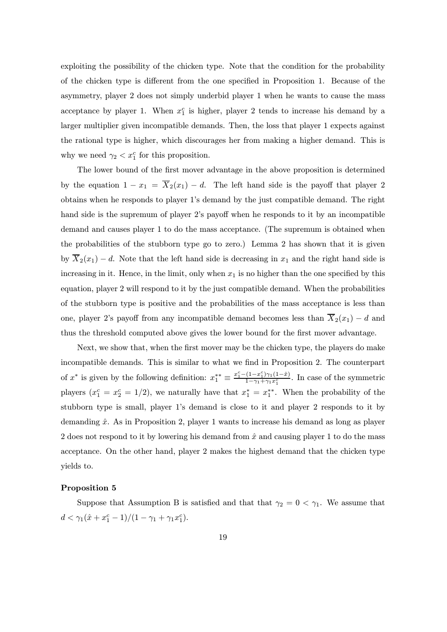exploiting the possibility of the chicken type. Note that the condition for the probability of the chicken type is different from the one specified in Proposition 1. Because of the asymmetry, player 2 does not simply underbid player 1 when he wants to cause the mass acceptance by player 1. When  $x_1^c$  is higher, player 2 tends to increase his demand by a larger multiplier given incompatible demands. Then, the loss that player 1 expects against the rational type is higher, which discourages her from making a higher demand. This is why we need  $\gamma_2 < x_1^c$  for this proposition.

The lower bound of the first mover advantage in the above proposition is determined by the equation  $1 - x_1 = \overline{X}_2(x_1) - d$ . The left hand side is the payoff that player 2 obtains when he responds to player 1's demand by the just compatible demand. The right hand side is the supremum of player 2's payoff when he responds to it by an incompatible demand and causes player 1 to do the mass acceptance. (The supremum is obtained when the probabilities of the stubborn type go to zero.) Lemma 2 has shown that it is given by  $\overline{X}_2(x_1) - d$ . Note that the left hand side is decreasing in  $x_1$  and the right hand side is increasing in it. Hence, in the limit, only when  $x_1$  is no higher than the one specified by this equation, player 2 will respond to it by the just compatible demand. When the probabilities of the stubborn type is positive and the probabilities of the mass acceptance is less than one, player 2's payoff from any incompatible demand becomes less than  $\overline{X}_2(x_1) - d$  and thus the threshold computed above gives the lower bound for the first mover advantage.

Next, we show that, when the first mover may be the chicken type, the players do make incompatible demands. This is similar to what we find in Proposition 2. The counterpart of  $x^*$  is given by the following definition:  $x_1^{**} \equiv \frac{x_1^c - (1 - x_1^c)\gamma_1(1 - \hat{x})}{1 - \gamma_1 + \gamma_1 x_1^c}$  $\frac{(1-x_1)\gamma_1(1-x)}{1-\gamma_1+\gamma_1x_1^c}$ . In case of the symmetric players  $(x_1^c = x_2^c = 1/2)$ , we naturally have that  $x_1^* = x_1^{**}$ . When the probability of the stubborn type is small, player 1's demand is close to it and player 2 responds to it by demanding  $\hat{x}$ . As in Proposition 2, player 1 wants to increase his demand as long as player 2 does not respond to it by lowering his demand from  $\hat{x}$  and causing player 1 to do the mass acceptance. On the other hand, player 2 makes the highest demand that the chicken type yields to.

#### Proposition 5

Suppose that Assumption B is satisfied and that that  $\gamma_2 = 0 < \gamma_1$ . We assume that  $d < \gamma_1(\hat{x} + x_1^c - 1)/(1 - \gamma_1 + \gamma_1 x_1^c).$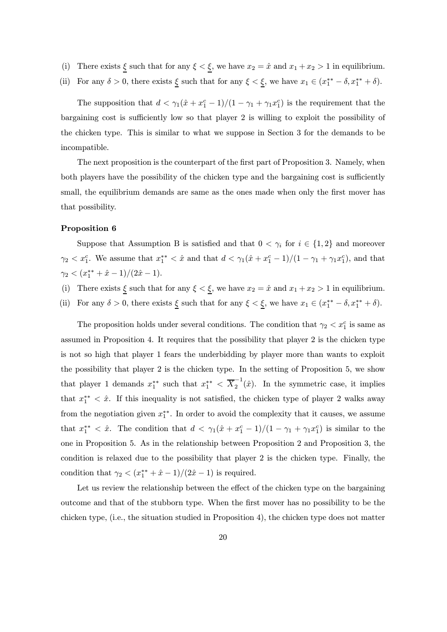- (i) There exists  $\xi$  such that for any  $\xi < \xi$ , we have  $x_2 = \hat{x}$  and  $x_1 + x_2 > 1$  in equilibrium.
- (ii) For any  $\delta > 0$ , there exists  $\underline{\xi}$  such that for any  $\xi < \underline{\xi}$ , we have  $x_1 \in (x_1^{**} \delta, x_1^{**} + \delta)$ .

The supposition that  $d < \gamma_1(\hat{x} + x_1^c - 1)/(1 - \gamma_1 + \gamma_1 x_1^c)$  is the requirement that the bargaining cost is sufficiently low so that player 2 is willing to exploit the possibility of the chicken type. This is similar to what we suppose in Section 3 for the demands to be incompatible.

The next proposition is the counterpart of the first part of Proposition 3. Namely, when both players have the possibility of the chicken type and the bargaining cost is sufficiently small, the equilibrium demands are same as the ones made when only the first mover has that possibility.

### Proposition 6

Suppose that Assumption B is satisfied and that  $0 < \gamma_i$  for  $i \in \{1,2\}$  and moreover  $\gamma_2 < x_1^c$ . We assume that  $x_1^{**} < \hat{x}$  and that  $d < \gamma_1(\hat{x} + x_1^c - 1)/(1 - \gamma_1 + \gamma_1 x_1^c)$ , and that  $\gamma_2 < (x_1^{**} + \hat{x} - 1)/(2\hat{x} - 1).$ 

- (i) There exists  $\xi$  such that for any  $\xi < \xi$ , we have  $x_2 = \hat{x}$  and  $x_1 + x_2 > 1$  in equilibrium.
- (ii) For any  $\delta > 0$ , there exists  $\underline{\xi}$  such that for any  $\xi < \underline{\xi}$ , we have  $x_1 \in (x_1^{**} \delta, x_1^{**} + \delta)$ .

The proposition holds under several conditions. The condition that  $\gamma_2 < x_1^c$  is same as assumed in Proposition 4. It requires that the possibility that player 2 is the chicken type is not so high that player 1 fears the underbidding by player more than wants to exploit the possibility that player 2 is the chicken type. In the setting of Proposition 5, we show that player 1 demands  $x_1^{**}$  such that  $x_1^{**} < \overline{X}_2^{-1}(\hat{x})$ . In the symmetric case, it implies that  $x_1^{**} < \hat{x}$ . If this inequality is not satisfied, the chicken type of player 2 walks away from the negotiation given  $x_1^{**}$ . In order to avoid the complexity that it causes, we assume that  $x_1^{**} < \hat{x}$ . The condition that  $d < \gamma_1(\hat{x} + x_1^c - 1)/(1 - \gamma_1 + \gamma_1 x_1^c)$  is similar to the one in Proposition 5. As in the relationship between Proposition 2 and Proposition 3, the condition is relaxed due to the possibility that player 2 is the chicken type. Finally, the condition that  $\gamma_2 < (x_1^{**} + \hat{x} - 1)/(2\hat{x} - 1)$  is required.

Let us review the relationship between the effect of the chicken type on the bargaining outcome and that of the stubborn type. When the first mover has no possibility to be the chicken type, (i.e., the situation studied in Proposition 4), the chicken type does not matter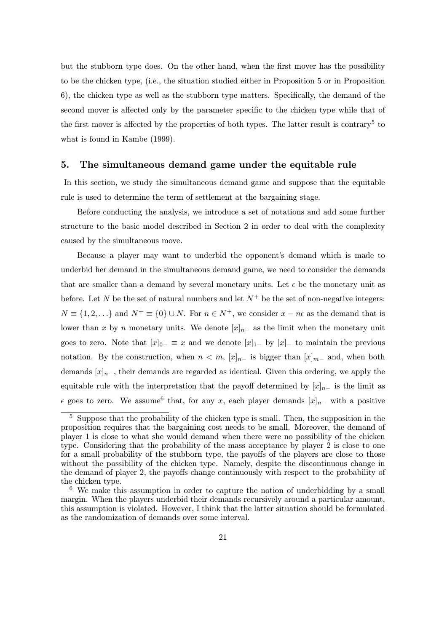but the stubborn type does. On the other hand, when the first mover has the possibility to be the chicken type, (i.e., the situation studied either in Proposition 5 or in Proposition 6), the chicken type as well as the stubborn type matters. Specifically, the demand of the second mover is affected only by the parameter specific to the chicken type while that of the first mover is affected by the properties of both types. The latter result is contrary<sup>5</sup> to what is found in Kambe (1999).

# 5. The simultaneous demand game under the equitable rule

In this section, we study the simultaneous demand game and suppose that the equitable rule is used to determine the term of settlement at the bargaining stage.

Before conducting the analysis, we introduce a set of notations and add some further structure to the basic model described in Section 2 in order to deal with the complexity caused by the simultaneous move.

Because a player may want to underbid the opponent's demand which is made to underbid her demand in the simultaneous demand game, we need to consider the demands that are smaller than a demand by several monetary units. Let  $\epsilon$  be the monetary unit as before. Let N be the set of natural numbers and let  $N^+$  be the set of non-negative integers:  $N \equiv \{1, 2, ...\}$  and  $N^+ \equiv \{0\} \cup N$ . For  $n \in N^+$ , we consider  $x - n\epsilon$  as the demand that is lower than x by n monetary units. We denote  $[x]_{n-}$  as the limit when the monetary unit goes to zero. Note that  $[x]_{0-} \equiv x$  and we denote  $[x]_{1-}$  by  $[x]_{-}$  to maintain the previous notation. By the construction, when  $n < m$ ,  $[x]_{n-}$  is bigger than  $[x]_{m-}$  and, when both demands  $[x]_{n-}$ , their demands are regarded as identical. Given this ordering, we apply the equitable rule with the interpretation that the payoff determined by  $[x]_{n-}$  is the limit as  $\epsilon$  goes to zero. We assume<sup>6</sup> that, for any x, each player demands  $[x]_{n-}$  with a positive

 $\frac{5}{5}$  Suppose that the probability of the chicken type is small. Then, the supposition in the proposition requires that the bargaining cost needs to be small. Moreover, the demand of player 1 is close to what she would demand when there were no possibility of the chicken type. Considering that the probability of the mass acceptance by player 2 is close to one for a small probability of the stubborn type, the payoffs of the players are close to those without the possibility of the chicken type. Namely, despite the discontinuous change in the demand of player 2, the payoffs change continuously with respect to the probability of the chicken type.

 $6\,$  We make this assumption in order to capture the notion of underbidding by a small margin. When the players underbid their demands recursively around a particular amount, this assumption is violated. However, I think that the latter situation should be formulated as the randomization of demands over some interval.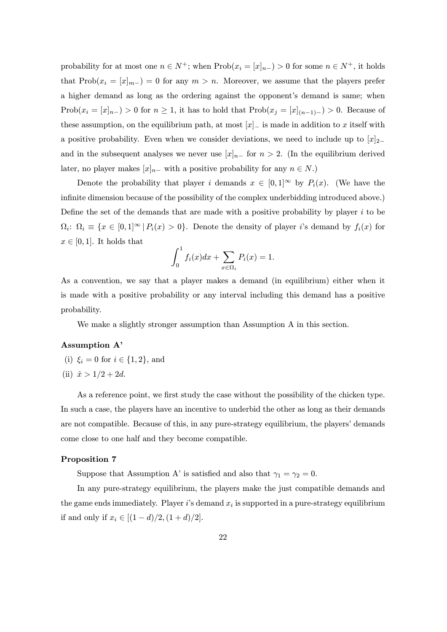probability for at most one  $n \in N^+$ ; when  $Prob(x_i = [x]_{n-}) > 0$  for some  $n \in N^+$ , it holds that Prob $(x_i = [x]_{m-}) = 0$  for any  $m > n$ . Moreover, we assume that the players prefer a higher demand as long as the ordering against the opponent's demand is same; when Prob $(x_i = [x]_{n-}) > 0$  for  $n \ge 1$ , it has to hold that  $Prob(x_j = [x]_{(n-1)-}) > 0$ . Because of these assumption, on the equilibrium path, at most  $[x]_$  is made in addition to x itself with a positive probability. Even when we consider deviations, we need to include up to  $[x]_{2-}$ and in the subsequent analyses we never use  $[x]_{n-}$  for  $n > 2$ . (In the equilibrium derived later, no player makes  $[x]_{n-}$  with a positive probability for any  $n \in N$ .)

Denote the probability that player i demands  $x \in [0,1]^\infty$  by  $P_i(x)$ . (We have the infinite dimension because of the possibility of the complex underbidding introduced above.) Define the set of the demands that are made with a positive probability by player  $i$  to be  $\Omega_i$ :  $\Omega_i \equiv \{x \in [0,1]^\infty \mid P_i(x) > 0\}$ . Denote the density of player i's demand by  $f_i(x)$  for  $x \in [0,1]$ . It holds that

$$
\int_0^1 f_i(x)dx + \sum_{x \in \Omega_i} P_i(x) = 1.
$$

As a convention, we say that a player makes a demand (in equilibrium) either when it is made with a positive probability or any interval including this demand has a positive probability.

We make a slightly stronger assumption than Assumption A in this section.

# Assumption A'

- (i)  $\xi_i = 0$  for  $i \in \{1, 2\}$ , and
- (ii)  $\hat{x} > 1/2 + 2d$ .

As a reference point, we first study the case without the possibility of the chicken type. In such a case, the players have an incentive to underbid the other as long as their demands are not compatible. Because of this, in any pure-strategy equilibrium, the players' demands come close to one half and they become compatible.

### Proposition 7

Suppose that Assumption A' is satisfied and also that  $\gamma_1 = \gamma_2 = 0$ .

In any pure-strategy equilibrium, the players make the just compatible demands and the game ends immediately. Player i's demand  $x_i$  is supported in a pure-strategy equilibrium if and only if  $x_i \in [(1-d)/2, (1+d)/2]$ .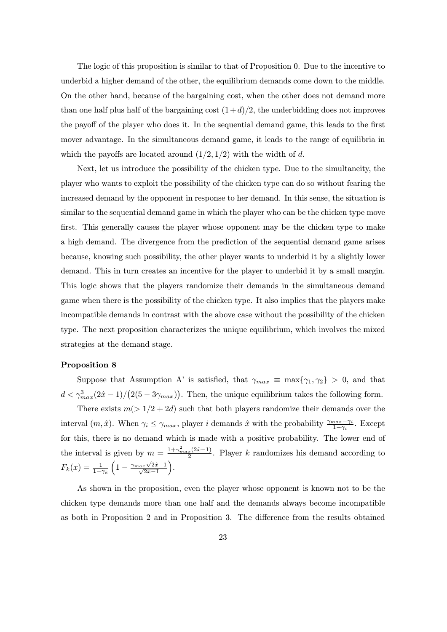The logic of this proposition is similar to that of Proposition 0. Due to the incentive to underbid a higher demand of the other, the equilibrium demands come down to the middle. On the other hand, because of the bargaining cost, when the other does not demand more than one half plus half of the bargaining cost  $(1+d)/2$ , the underbidding does not improves the payoff of the player who does it. In the sequential demand game, this leads to the first mover advantage. In the simultaneous demand game, it leads to the range of equilibria in which the payoffs are located around  $(1/2, 1/2)$  with the width of d.

Next, let us introduce the possibility of the chicken type. Due to the simultaneity, the player who wants to exploit the possibility of the chicken type can do so without fearing the increased demand by the opponent in response to her demand. In this sense, the situation is similar to the sequential demand game in which the player who can be the chicken type move first. This generally causes the player whose opponent may be the chicken type to make a high demand. The divergence from the prediction of the sequential demand game arises because, knowing such possibility, the other player wants to underbid it by a slightly lower demand. This in turn creates an incentive for the player to underbid it by a small margin. This logic shows that the players randomize their demands in the simultaneous demand game when there is the possibility of the chicken type. It also implies that the players make incompatible demands in contrast with the above case without the possibility of the chicken type. The next proposition characterizes the unique equilibrium, which involves the mixed strategies at the demand stage.

#### Proposition 8

Suppose that Assumption A' is satisfied, that  $\gamma_{max} \equiv \max{\gamma_1, \gamma_2} > 0$ , and that  $d < \gamma_{max}^3(2\hat{x} - 1)/\big(2(5 - 3\gamma_{max})\big)$ . Then, the unique equilibrium takes the following form.

There exists  $m(> 1/2+2d)$  such that both players randomize their demands over the interval  $(m, \hat{x})$ . When  $\gamma_i \leq \gamma_{max}$ , player i demands  $\hat{x}$  with the probability  $\frac{\gamma_{max}-\gamma_i}{1-\gamma_i}$ . Except for this, there is no demand which is made with a positive probability. The lower end of the interval is given by  $m = \frac{1+\gamma_{max}^2(2\hat{x}-1)}{2}$ . Player k randomizes his demand according to  $F_k(x) = \frac{1}{1-\gamma_k}$  $\left(1-\frac{\gamma_{max}\sqrt{2\hat{x}-1}}{\sqrt{2x-1}}\right)$  $2x-1$ ´ .

As shown in the proposition, even the player whose opponent is known not to be the chicken type demands more than one half and the demands always become incompatible as both in Proposition 2 and in Proposition 3. The difference from the results obtained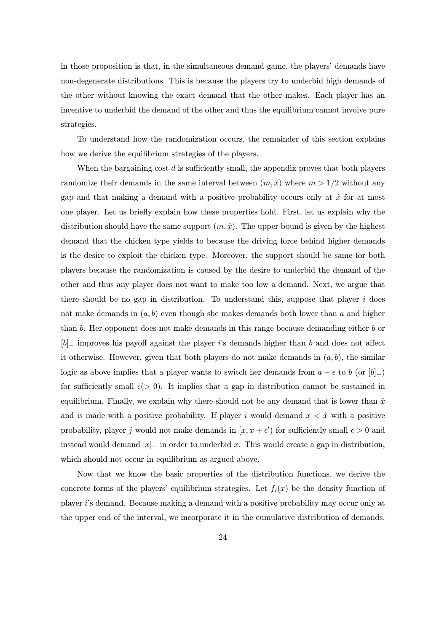in those proposition is that, in the simultaneous demand game, the players' demands have non-degenerate distributions. This is because the players try to underbid high demands of the other without knowing the exact demand that the other makes. Each player has an incentive to underbid the demand of the other and thus the equilibrium cannot involve pure strategies.

To understand how the randomization occurs, the remainder of this section explains how we derive the equilibrium strategies of the players.

When the bargaining cost  $d$  is sufficiently small, the appendix proves that both players randomize their demands in the same interval between  $(m, \hat{x})$  where  $m > 1/2$  without any gap and that making a demand with a positive probability occurs only at  $\hat{x}$  for at most one player. Let us briefly explain how these properties hold. First, let us explain why the distribution should have the same support  $(m, \hat{x})$ . The upper bound is given by the highest demand that the chicken type yields to because the driving force behind higher demands is the desire to exploit the chicken type. Moreover, the support should be same for both players because the randomization is caused by the desire to underbid the demand of the other and thus any player does not want to make too low a demand. Next, we argue that there should be no gap in distribution. To understand this, suppose that player  $i$  does not make demands in  $(a, b)$  even though she makes demands both lower than a and higher than b. Her opponent does not make demands in this range because demanding either b or  $[b]_$  improves his payoff against the player i's demands higher than b and does not affect it otherwise. However, given that both players do not make demands in  $(a, b)$ , the similar logic as above implies that a player wants to switch her demands from  $a - \epsilon$  to b (or  $[b]_-\$ ) for sufficiently small  $\epsilon$  (> 0). It implies that a gap in distribution cannot be sustained in equilibrium. Finally, we explain why there should not be any demand that is lower than  $\hat{x}$ and is made with a positive probability. If player i would demand  $x < \hat{x}$  with a positive probability, player j would not make demands in  $[x, x + \epsilon')$  for sufficiently small  $\epsilon > 0$  and instead would demand  $[x]_$  in order to underbid x. This would create a gap in distribution, which should not occur in equilibrium as argued above.

Now that we know the basic properties of the distribution functions, we derive the concrete forms of the players' equilibrium strategies. Let  $f_i(x)$  be the density function of player i's demand. Because making a demand with a positive probability may occur only at the upper end of the interval, we incorporate it in the cumulative distribution of demands.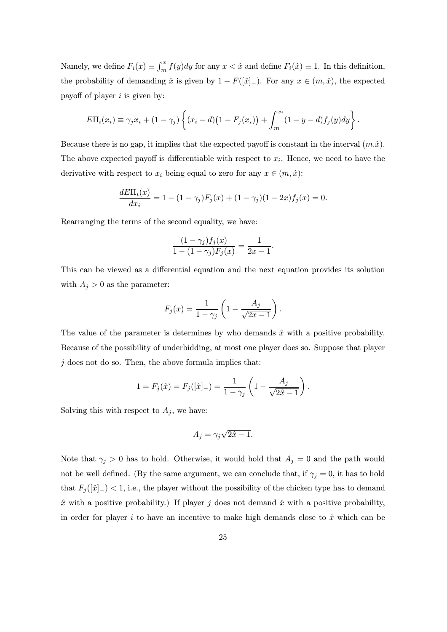Namely, we define  $F_i(x) \equiv \int_m^x f(y) dy$  for any  $x < \hat{x}$  and define  $F_i(\hat{x}) \equiv 1$ . In this definition, the probability of demanding  $\hat{x}$  is given by  $1 - F([\hat{x}]_{-})$ . For any  $x \in (m, \hat{x})$ , the expected payoff of player  $i$  is given by:

$$
E\Pi_i(x_i) \equiv \gamma_j x_i + (1 - \gamma_j) \left\{ (x_i - d) (1 - F_j(x_i)) + \int_m^{x_i} (1 - y - d) f_j(y) dy \right\}.
$$

Because there is no gap, it implies that the expected payoff is constant in the interval  $(m.\hat{x})$ . The above expected payoff is differentiable with respect to  $x_i$ . Hence, we need to have the derivative with respect to  $x_i$  being equal to zero for any  $x \in (m, \hat{x})$ :

$$
\frac{dE\Pi_i(x)}{dx_i} = 1 - (1 - \gamma_j)F_j(x) + (1 - \gamma_j)(1 - 2x)f_j(x) = 0.
$$

Rearranging the terms of the second equality, we have:

$$
\frac{(1-\gamma_j)f_j(x)}{1-(1-\gamma_j)F_j(x)}=\frac{1}{2x-1}.
$$

This can be viewed as a differential equation and the next equation provides its solution with  $A_j > 0$  as the parameter:

$$
F_j(x) = \frac{1}{1 - \gamma_j} \left( 1 - \frac{A_j}{\sqrt{2x - 1}} \right).
$$

The value of the parameter is determines by who demands  $\hat{x}$  with a positive probability. Because of the possibility of underbidding, at most one player does so. Suppose that player  $j$  does not do so. Then, the above formula implies that:

$$
1 = F_j(\hat{x}) = F_j([\hat{x}]_{-}) = \frac{1}{1 - \gamma_j} \left( 1 - \frac{A_j}{\sqrt{2\hat{x} - 1}} \right).
$$

Solving this with respect to  $A_j$ , we have:

$$
A_j = \gamma_j \sqrt{2\hat{x} - 1}.
$$

Note that  $\gamma_j > 0$  has to hold. Otherwise, it would hold that  $A_j = 0$  and the path would not be well defined. (By the same argument, we can conclude that, if  $\gamma_j = 0$ , it has to hold that  $F_j([\hat{x}]_{-})$  < 1, i.e., the player without the possibility of the chicken type has to demand  $\hat{x}$  with a positive probability.) If player j does not demand  $\hat{x}$  with a positive probability, in order for player i to have an incentive to make high demands close to  $\hat{x}$  which can be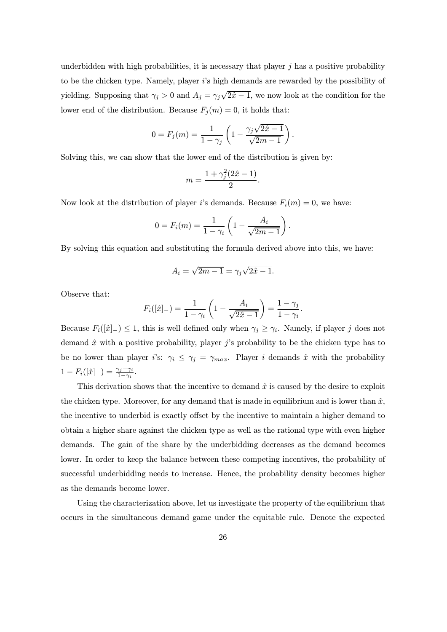underbidden with high probabilities, it is necessary that player  $j$  has a positive probability to be the chicken type. Namely, player i's high demands are rewarded by the possibility of yielding. Supposing that  $\gamma_j > 0$  and  $A_j = \gamma_j \sqrt{2\hat{x} - 1}$ , we now look at the condition for the lower end of the distribution. Because  $F_j(m) = 0$ , it holds that:

$$
0 = F_j(m) = \frac{1}{1 - \gamma_j} \left( 1 - \frac{\gamma_j \sqrt{2\hat{x} - 1}}{\sqrt{2m - 1}} \right).
$$

Solving this, we can show that the lower end of the distribution is given by:

$$
m = \frac{1 + \gamma_j^2 (2\hat{x} - 1)}{2}.
$$

Now look at the distribution of player *i*'s demands. Because  $F_i(m) = 0$ , we have:

$$
0 = F_i(m) = \frac{1}{1 - \gamma_i} \left( 1 - \frac{A_i}{\sqrt{2m - 1}} \right).
$$

By solving this equation and substituting the formula derived above into this, we have:

$$
A_i = \sqrt{2m-1} = \gamma_j \sqrt{2\hat{x} - 1}.
$$

Observe that:

$$
F_i([\hat{x}]_{-}) = \frac{1}{1 - \gamma_i} \left( 1 - \frac{A_i}{\sqrt{2\hat{x} - 1}} \right) = \frac{1 - \gamma_j}{1 - \gamma_i}.
$$

Because  $F_i([\hat{x}]_{-}) \leq 1$ , this is well defined only when  $\gamma_j \geq \gamma_i$ . Namely, if player j does not demand  $\hat{x}$  with a positive probability, player j's probability to be the chicken type has to be no lower than player i's:  $\gamma_i \leq \gamma_j = \gamma_{max}$ . Player i demands  $\hat{x}$  with the probability  $1 - F_i([\hat{x}]_{-}) = \frac{\gamma_j - \gamma_i}{1 - \gamma_i}.$ 

This derivation shows that the incentive to demand  $\hat{x}$  is caused by the desire to exploit the chicken type. Moreover, for any demand that is made in equilibrium and is lower than  $\hat{x}$ , the incentive to underbid is exactly offset by the incentive to maintain a higher demand to obtain a higher share against the chicken type as well as the rational type with even higher demands. The gain of the share by the underbidding decreases as the demand becomes lower. In order to keep the balance between these competing incentives, the probability of successful underbidding needs to increase. Hence, the probability density becomes higher as the demands become lower.

Using the characterization above, let us investigate the property of the equilibrium that occurs in the simultaneous demand game under the equitable rule. Denote the expected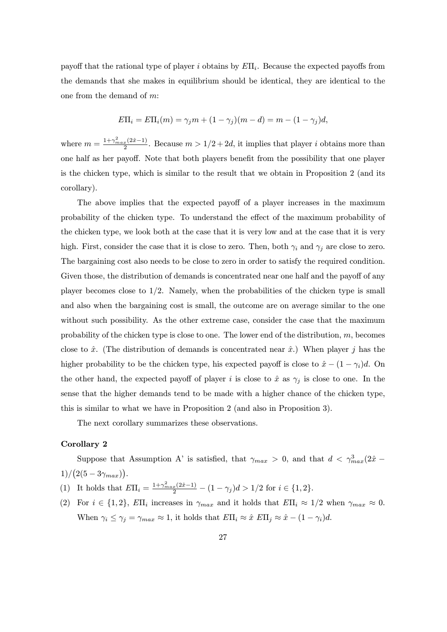payoff that the rational type of player i obtains by  $E\Pi_i$ . Because the expected payoffs from the demands that she makes in equilibrium should be identical, they are identical to the one from the demand of m:

$$
E\Pi_i = E\Pi_i(m) = \gamma_j m + (1 - \gamma_j)(m - d) = m - (1 - \gamma_j)d,
$$

where  $m = \frac{1 + \gamma_{max}^2 (2\hat{x} - 1)}{2}$ . Because  $m > 1/2 + 2d$ , it implies that player *i* obtains more than one half as her payoff. Note that both players benefit from the possibility that one player is the chicken type, which is similar to the result that we obtain in Proposition 2 (and its corollary).

The above implies that the expected payoff of a player increases in the maximum probability of the chicken type. To understand the effect of the maximum probability of the chicken type, we look both at the case that it is very low and at the case that it is very high. First, consider the case that it is close to zero. Then, both  $\gamma_i$  and  $\gamma_j$  are close to zero. The bargaining cost also needs to be close to zero in order to satisfy the required condition. Given those, the distribution of demands is concentrated near one half and the payoff of any player becomes close to  $1/2$ . Namely, when the probabilities of the chicken type is small and also when the bargaining cost is small, the outcome are on average similar to the one without such possibility. As the other extreme case, consider the case that the maximum probability of the chicken type is close to one. The lower end of the distribution,  $m$ , becomes close to  $\hat{x}$ . (The distribution of demands is concentrated near  $\hat{x}$ .) When player j has the higher probability to be the chicken type, his expected payoff is close to  $\hat{x} - (1 - \gamma_i)d$ . On the other hand, the expected payoff of player i is close to  $\hat{x}$  as  $\gamma_j$  is close to one. In the sense that the higher demands tend to be made with a higher chance of the chicken type, this is similar to what we have in Proposition 2 (and also in Proposition 3).

The next corollary summarizes these observations.

#### Corollary 2

Suppose that Assumption A' is satisfied, that  $\gamma_{max} > 0$ , and that  $d < \gamma_{max}^3(2\hat{x} 1)/(2(5-3\gamma_{max})).$ 

- (1) It holds that  $E\Pi_i = \frac{1 + \gamma_{max}^2(2\hat{x} 1)}{2} (1 \gamma_j)d > 1/2$  for  $i \in \{1, 2\}.$
- (2) For  $i \in \{1,2\}$ ,  $E\Pi_i$  increases in  $\gamma_{max}$  and it holds that  $E\Pi_i \approx 1/2$  when  $\gamma_{max} \approx 0$ . When  $\gamma_i \leq \gamma_j = \gamma_{max} \approx 1$ , it holds that  $E\Pi_i \approx \hat{x} E\Pi_j \approx \hat{x} - (1 - \gamma_i)d$ .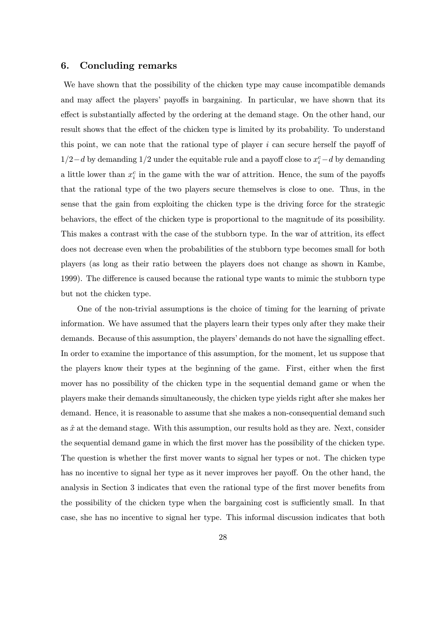# 6. Concluding remarks

We have shown that the possibility of the chicken type may cause incompatible demands and may affect the players' payoffs in bargaining. In particular, we have shown that its effect is substantially affected by the ordering at the demand stage. On the other hand, our result shows that the effect of the chicken type is limited by its probability. To understand this point, we can note that the rational type of player  $i$  can secure herself the payoff of  $1/2-d$  by demanding  $1/2$  under the equitable rule and a payoff close to  $x_i^c - d$  by demanding a little lower than  $x_i^c$  in the game with the war of attrition. Hence, the sum of the payoffs that the rational type of the two players secure themselves is close to one. Thus, in the sense that the gain from exploiting the chicken type is the driving force for the strategic behaviors, the effect of the chicken type is proportional to the magnitude of its possibility. This makes a contrast with the case of the stubborn type. In the war of attrition, its effect does not decrease even when the probabilities of the stubborn type becomes small for both players (as long as their ratio between the players does not change as shown in Kambe, 1999). The difference is caused because the rational type wants to mimic the stubborn type but not the chicken type.

One of the non-trivial assumptions is the choice of timing for the learning of private information. We have assumed that the players learn their types only after they make their demands. Because of this assumption, the players' demands do not have the signalling effect. In order to examine the importance of this assumption, for the moment, let us suppose that the players know their types at the beginning of the game. First, either when the first mover has no possibility of the chicken type in the sequential demand game or when the players make their demands simultaneously, the chicken type yields right after she makes her demand. Hence, it is reasonable to assume that she makes a non-consequential demand such as  $\hat{x}$  at the demand stage. With this assumption, our results hold as they are. Next, consider the sequential demand game in which the first mover has the possibility of the chicken type. The question is whether the first mover wants to signal her types or not. The chicken type has no incentive to signal her type as it never improves her payoff. On the other hand, the analysis in Section 3 indicates that even the rational type of the first mover benefits from the possibility of the chicken type when the bargaining cost is sufficiently small. In that case, she has no incentive to signal her type. This informal discussion indicates that both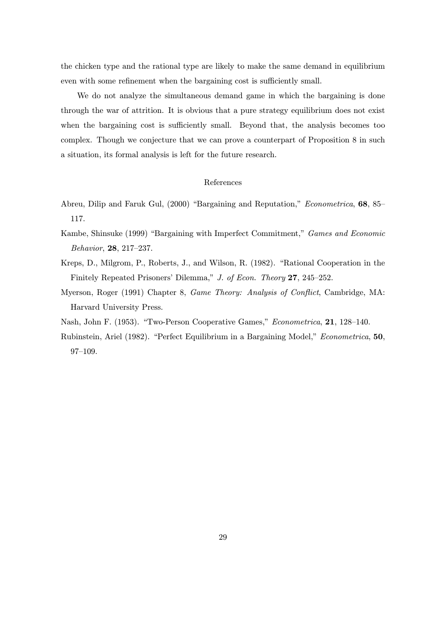the chicken type and the rational type are likely to make the same demand in equilibrium even with some refinement when the bargaining cost is sufficiently small.

We do not analyze the simultaneous demand game in which the bargaining is done through the war of attrition. It is obvious that a pure strategy equilibrium does not exist when the bargaining cost is sufficiently small. Beyond that, the analysis becomes too complex. Though we conjecture that we can prove a counterpart of Proposition 8 in such a situation, its formal analysis is left for the future research.

#### References

- Abreu, Dilip and Faruk Gul, (2000) "Bargaining and Reputation," Econometrica, 68, 85— 117.
- Kambe, Shinsuke (1999) "Bargaining with Imperfect Commitment," Games and Economic Behavior, 28, 217—237.
- Kreps, D., Milgrom, P., Roberts, J., and Wilson, R. (1982). "Rational Cooperation in the Finitely Repeated Prisoners' Dilemma," J. of Econ. Theory 27, 245—252.
- Myerson, Roger (1991) Chapter 8, Game Theory: Analysis of Conflict, Cambridge, MA: Harvard University Press.
- Nash, John F. (1953). "Two-Person Cooperative Games," Econometrica, 21, 128—140.
- Rubinstein, Ariel (1982). "Perfect Equilibrium in a Bargaining Model," Econometrica, 50, 97—109.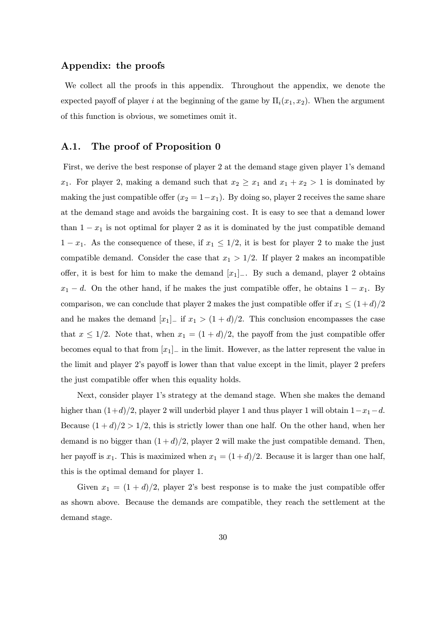# Appendix: the proofs

We collect all the proofs in this appendix. Throughout the appendix, we denote the expected payoff of player i at the beginning of the game by  $\Pi_i(x_1, x_2)$ . When the argument of this function is obvious, we sometimes omit it.

# A.1. The proof of Proposition 0

First, we derive the best response of player 2 at the demand stage given player 1's demand  $x_1$ . For player 2, making a demand such that  $x_2 \geq x_1$  and  $x_1 + x_2 > 1$  is dominated by making the just compatible offer  $(x_2 = 1-x_1)$ . By doing so, player 2 receives the same share at the demand stage and avoids the bargaining cost. It is easy to see that a demand lower than  $1 - x_1$  is not optimal for player 2 as it is dominated by the just compatible demand  $1 - x_1$ . As the consequence of these, if  $x_1 \leq 1/2$ , it is best for player 2 to make the just compatible demand. Consider the case that  $x_1 > 1/2$ . If player 2 makes an incompatible offer, it is best for him to make the demand  $[x_1]_$ . By such a demand, player 2 obtains  $x_1 - d$ . On the other hand, if he makes the just compatible offer, he obtains  $1 - x_1$ . By comparison, we can conclude that player 2 makes the just compatible offer if  $x_1 \leq (1+d)/2$ and he makes the demand  $[x_1]$ – if  $x_1 > (1 + d)/2$ . This conclusion encompasses the case that  $x \leq 1/2$ . Note that, when  $x_1 = (1+d)/2$ , the payoff from the just compatible offer becomes equal to that from  $[x_1]_$  in the limit. However, as the latter represent the value in the limit and player 2's payoff is lower than that value except in the limit, player 2 prefers the just compatible offer when this equality holds.

Next, consider player 1's strategy at the demand stage. When she makes the demand higher than  $(1+d)/2$ , player 2 will underbid player 1 and thus player 1 will obtain  $1-x_1-d$ . Because  $(1+d)/2 > 1/2$ , this is strictly lower than one half. On the other hand, when her demand is no bigger than  $(1 + d)/2$ , player 2 will make the just compatible demand. Then, her payoff is  $x_1$ . This is maximized when  $x_1 = (1+d)/2$ . Because it is larger than one half, this is the optimal demand for player 1.

Given  $x_1 = (1 + d)/2$ , player 2's best response is to make the just compatible offer as shown above. Because the demands are compatible, they reach the settlement at the demand stage.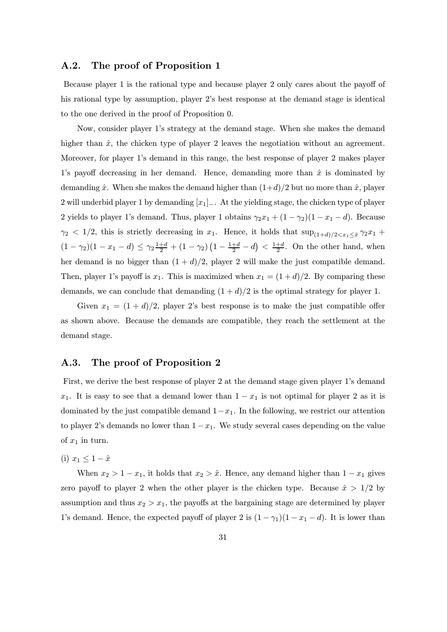# A.2. The proof of Proposition 1

Because player 1 is the rational type and because player 2 only cares about the payoff of his rational type by assumption, player 2's best response at the demand stage is identical to the one derived in the proof of Proposition 0.

Now, consider player 1's strategy at the demand stage. When she makes the demand higher than  $\hat{x}$ , the chicken type of player 2 leaves the negotiation without an agreement. Moreover, for player 1's demand in this range, the best response of player 2 makes player 1's payoff decreasing in her demand. Hence, demanding more than  $\hat{x}$  is dominated by demanding  $\hat{x}$ . When she makes the demand higher than  $(1+d)/2$  but no more than  $\hat{x}$ , player 2 will underbid player 1 by demanding  $[x_1]_+$ . At the yielding stage, the chicken type of player 2 yields to player 1's demand. Thus, player 1 obtains  $\gamma_2 x_1 + (1 - \gamma_2)(1 - x_1 - d)$ . Because  $\gamma_2$  < 1/2, this is strictly decreasing in  $x_1$ . Hence, it holds that  $\sup_{(1+d)/2 \le x_1 \le \hat{x}} \gamma_2 x_1 +$  $(1 - \gamma_2)(1 - x_1 - d) \leq \gamma_2 \frac{1+d}{2} + (1 - \gamma_2) (1 - \frac{1+d}{2} - d) < \frac{1+d}{2}$ . On the other hand, when her demand is no bigger than  $(1 + d)/2$ , player 2 will make the just compatible demand. Then, player 1's payoff is  $x_1$ . This is maximized when  $x_1 = (1 + d)/2$ . By comparing these demands, we can conclude that demanding  $(1 + d)/2$  is the optimal strategy for player 1.

Given  $x_1 = (1 + d)/2$ , player 2's best response is to make the just compatible offer as shown above. Because the demands are compatible, they reach the settlement at the demand stage.

# A.3. The proof of Proposition 2

First, we derive the best response of player 2 at the demand stage given player 1's demand  $x_1$ . It is easy to see that a demand lower than  $1 - x_1$  is not optimal for player 2 as it is dominated by the just compatible demand  $1-x_1$ . In the following, we restrict our attention to player 2's demands no lower than  $1 - x_1$ . We study several cases depending on the value of  $x_1$  in turn.

(i)  $x_1 \leq 1 - \hat{x}$ 

When  $x_2 > 1 - x_1$ , it holds that  $x_2 > \hat{x}$ . Hence, any demand higher than  $1 - x_1$  gives zero payoff to player 2 when the other player is the chicken type. Because  $\hat{x} > 1/2$  by assumption and thus  $x_2 > x_1$ , the payoffs at the bargaining stage are determined by player 1's demand. Hence, the expected payoff of player 2 is  $(1 - \gamma_1)(1 - x_1 - d)$ . It is lower than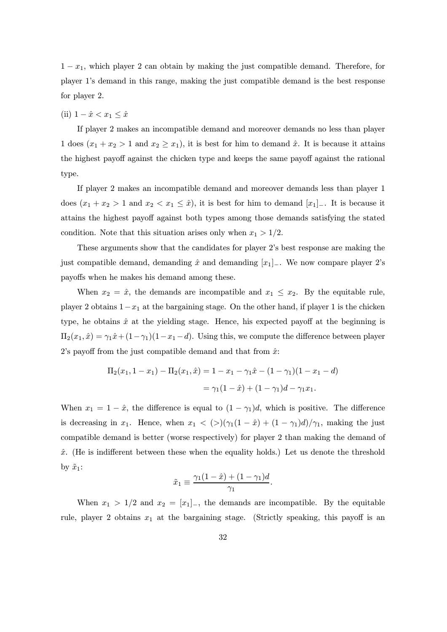$1 - x_1$ , which player 2 can obtain by making the just compatible demand. Therefore, for player 1's demand in this range, making the just compatible demand is the best response for player 2.

(ii)  $1 - \hat{x} < x_1 \leq \hat{x}$ 

If player 2 makes an incompatible demand and moreover demands no less than player 1 does  $(x_1 + x_2 > 1$  and  $x_2 \ge x_1$ , it is best for him to demand  $\hat{x}$ . It is because it attains the highest payoff against the chicken type and keeps the same payoff against the rational type.

If player 2 makes an incompatible demand and moreover demands less than player 1 does  $(x_1 + x_2 > 1$  and  $x_2 < x_1 \leq \hat{x}$ , it is best for him to demand  $[x_1]_$ . It is because it attains the highest payoff against both types among those demands satisfying the stated condition. Note that this situation arises only when  $x_1 > 1/2$ .

These arguments show that the candidates for player 2's best response are making the just compatible demand, demanding  $\hat{x}$  and demanding  $[x_1]_-\$ . We now compare player 2's payoffs when he makes his demand among these.

When  $x_2 = \hat{x}$ , the demands are incompatible and  $x_1 \leq x_2$ . By the equitable rule, player 2 obtains  $1-x_1$  at the bargaining stage. On the other hand, if player 1 is the chicken type, he obtains  $\hat{x}$  at the yielding stage. Hence, his expected payoff at the beginning is  $\Pi_2(x_1, \hat{x}) = \gamma_1 \hat{x} + (1 - \gamma_1)(1 - x_1 - d)$ . Using this, we compute the difference between player 2's payoff from the just compatible demand and that from  $\hat{x}$ :

$$
\Pi_2(x_1, 1 - x_1) - \Pi_2(x_1, \hat{x}) = 1 - x_1 - \gamma_1 \hat{x} - (1 - \gamma_1)(1 - x_1 - d)
$$

$$
= \gamma_1(1 - \hat{x}) + (1 - \gamma_1)d - \gamma_1 x_1.
$$

When  $x_1 = 1 - \hat{x}$ , the difference is equal to  $(1 - \gamma_1)d$ , which is positive. The difference is decreasing in  $x_1$ . Hence, when  $x_1 < (>) (\gamma_1(1 - \hat{x}) + (1 - \gamma_1)d)/\gamma_1$ , making the just compatible demand is better (worse respectively) for player 2 than making the demand of  $\hat{x}$ . (He is indifferent between these when the equality holds.) Let us denote the threshold by  $\tilde{x}_1$ :

$$
\tilde{x}_1 \equiv \frac{\gamma_1(1-\hat{x}) + (1-\gamma_1)d}{\gamma_1}.
$$

When  $x_1 > 1/2$  and  $x_2 = [x_1]_-,$  the demands are incompatible. By the equitable rule, player 2 obtains  $x_1$  at the bargaining stage. (Strictly speaking, this payoff is an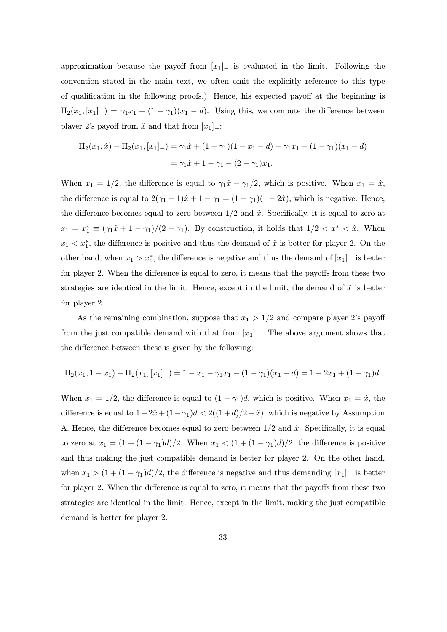approximation because the payoff from  $[x_1]_$  is evaluated in the limit. Following the convention stated in the main text, we often omit the explicitly reference to this type of qualification in the following proofs.) Hence, his expected payoff at the beginning is  $\Pi_2(x_1,[x_1]_-) = \gamma_1x_1 + (1-\gamma_1)(x_1-d)$ . Using this, we compute the difference between player 2's payoff from  $\hat{x}$  and that from  $[x_1]_$ :

$$
\Pi_2(x_1, \hat{x}) - \Pi_2(x_1, [x_1]_+) = \gamma_1 \hat{x} + (1 - \gamma_1)(1 - x_1 - d) - \gamma_1 x_1 - (1 - \gamma_1)(x_1 - d)
$$
  
=  $\gamma_1 \hat{x} + 1 - \gamma_1 - (2 - \gamma_1)x_1.$ 

When  $x_1 = 1/2$ , the difference is equal to  $\gamma_1 \hat{x} - \gamma_1/2$ , which is positive. When  $x_1 = \hat{x}$ , the difference is equal to  $2(\gamma_1 - 1)\hat{x} + 1 - \gamma_1 = (1 - \gamma_1)(1 - 2\hat{x})$ , which is negative. Hence, the difference becomes equal to zero between  $1/2$  and  $\hat{x}$ . Specifically, it is equal to zero at  $x_1 = x_1^* \equiv (\gamma_1 \hat{x} + 1 - \gamma_1)/(2 - \gamma_1)$ . By construction, it holds that  $1/2 < x^* < \hat{x}$ . When  $x_1 < x_1^*$ , the difference is positive and thus the demand of  $\hat{x}$  is better for player 2. On the other hand, when  $x_1 > x_1^*$ , the difference is negative and thus the demand of  $[x_1]_$  is better for player 2. When the difference is equal to zero, it means that the payoffs from these two strategies are identical in the limit. Hence, except in the limit, the demand of  $\hat{x}$  is better for player 2.

As the remaining combination, suppose that  $x_1 > 1/2$  and compare player 2's payoff from the just compatible demand with that from  $[x_1]_$ . The above argument shows that the difference between these is given by the following:

$$
\Pi_2(x_1, 1 - x_1) - \Pi_2(x_1, [x_1] -) = 1 - x_1 - \gamma_1 x_1 - (1 - \gamma_1)(x_1 - d) = 1 - 2x_1 + (1 - \gamma_1)d.
$$

When  $x_1 = 1/2$ , the difference is equal to  $(1 - \gamma_1)d$ , which is positive. When  $x_1 = \hat{x}$ , the difference is equal to  $1-2\hat{x}+(1-\gamma_1)d < 2((1+d)/2-\hat{x})$ , which is negative by Assumption A. Hence, the difference becomes equal to zero between  $1/2$  and  $\hat{x}$ . Specifically, it is equal to zero at  $x_1 = (1 + (1 - \gamma_1)d)/2$ . When  $x_1 < (1 + (1 - \gamma_1)d)/2$ , the difference is positive and thus making the just compatible demand is better for player 2. On the other hand, when  $x_1 > (1 + (1 - \gamma_1)d)/2$ , the difference is negative and thus demanding  $[x_1]$ <sub>−</sub> is better for player 2. When the difference is equal to zero, it means that the payoffs from these two strategies are identical in the limit. Hence, except in the limit, making the just compatible demand is better for player 2.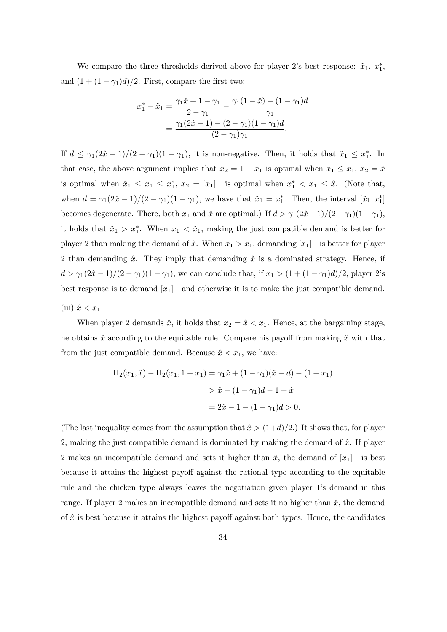We compare the three thresholds derived above for player 2's best response:  $\tilde{x}_1, x_1^*$ , and  $(1 + (1 - \gamma_1)d)/2$ . First, compare the first two:

$$
x_1^* - \tilde{x}_1 = \frac{\gamma_1 \hat{x} + 1 - \gamma_1}{2 - \gamma_1} - \frac{\gamma_1 (1 - \hat{x}) + (1 - \gamma_1) d}{\gamma_1}
$$
  
= 
$$
\frac{\gamma_1 (2\hat{x} - 1) - (2 - \gamma_1)(1 - \gamma_1) d}{(2 - \gamma_1)\gamma_1}.
$$

If  $d \leq \gamma_1(2\hat{x}-1)/(2-\gamma_1)(1-\gamma_1)$ , it is non-negative. Then, it holds that  $\tilde{x}_1 \leq x_1^*$ . In that case, the above argument implies that  $x_2 = 1 - x_1$  is optimal when  $x_1 \leq \tilde{x}_1, x_2 = \hat{x}$ is optimal when  $\tilde{x}_1 \leq x_1 \leq x_1^*$ ,  $x_2 = [x_1]$  is optimal when  $x_1^* < x_1 \leq \tilde{x}$ . (Note that, when  $d = \gamma_1(2\hat{x} - 1)/(2 - \gamma_1)(1 - \gamma_1)$ , we have that  $\tilde{x}_1 = x_1^*$ . Then, the interval  $[\tilde{x}_1, x_1^*]$ becomes degenerate. There, both  $x_1$  and  $\hat{x}$  are optimal.) If  $d > \gamma_1(2\hat{x}-1)/(2-\gamma_1)(1-\gamma_1)$ , it holds that  $\tilde{x}_1 > x_1^*$ . When  $x_1 < \tilde{x}_1$ , making the just compatible demand is better for player 2 than making the demand of  $\hat{x}$ . When  $x_1 > \tilde{x}_1$ , demanding  $[x_1]$ <sub>−</sub> is better for player 2 than demanding  $\hat{x}$ . They imply that demanding  $\hat{x}$  is a dominated strategy. Hence, if  $d > \gamma_1(2\hat{x} - 1)/(2 - \gamma_1)(1 - \gamma_1)$ , we can conclude that, if  $x_1 > (1 + (1 - \gamma_1)d)/2$ , player 2's best response is to demand  $[x_1]_$  and otherwise it is to make the just compatible demand. (iii)  $\hat{x} < x_1$ 

When player 2 demands  $\hat{x}$ , it holds that  $x_2 = \hat{x} < x_1$ . Hence, at the bargaining stage, he obtains  $\hat{x}$  according to the equitable rule. Compare his payoff from making  $\hat{x}$  with that from the just compatible demand. Because  $\hat{x} < x_1$ , we have:

$$
\Pi_2(x_1, \hat{x}) - \Pi_2(x_1, 1 - x_1) = \gamma_1 \hat{x} + (1 - \gamma_1)(\hat{x} - d) - (1 - x_1)
$$
  
>  $\hat{x} - (1 - \gamma_1)d - 1 + \hat{x}$   
=  $2\hat{x} - 1 - (1 - \gamma_1)d > 0$ .

(The last inequality comes from the assumption that  $\hat{x} > (1+d)/2$ .) It shows that, for player 2, making the just compatible demand is dominated by making the demand of  $\hat{x}$ . If player 2 makes an incompatible demand and sets it higher than  $\hat{x}$ , the demand of  $[x_1]_$ = is best because it attains the highest payoff against the rational type according to the equitable rule and the chicken type always leaves the negotiation given player 1's demand in this range. If player 2 makes an incompatible demand and sets it no higher than  $\hat{x}$ , the demand of  $\hat{x}$  is best because it attains the highest payoff against both types. Hence, the candidates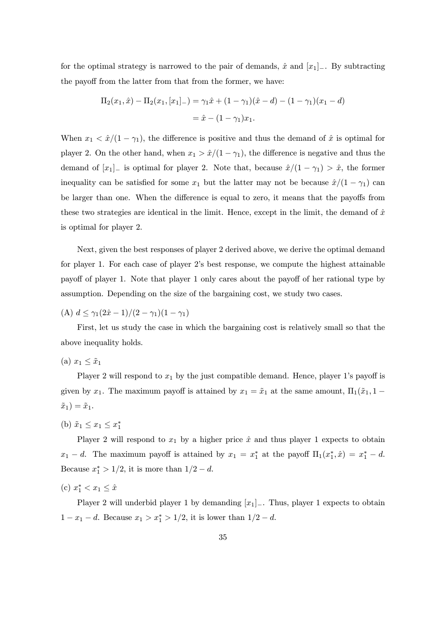for the optimal strategy is narrowed to the pair of demands,  $\hat{x}$  and  $[x_1]_$ . By subtracting the payoff from the latter from that from the former, we have:

$$
\Pi_2(x_1, \hat{x}) - \Pi_2(x_1, [x_1]_-) = \gamma_1 \hat{x} + (1 - \gamma_1)(\hat{x} - d) - (1 - \gamma_1)(x_1 - d)
$$

$$
= \hat{x} - (1 - \gamma_1)x_1.
$$

When  $x_1 < \hat{x}/(1-\gamma_1)$ , the difference is positive and thus the demand of  $\hat{x}$  is optimal for player 2. On the other hand, when  $x_1 > \hat{x}/(1-\gamma_1)$ , the difference is negative and thus the demand of  $[x_1]_$  is optimal for player 2. Note that, because  $\hat{x}/(1-\gamma_1) > \hat{x}$ , the former inequality can be satisfied for some  $x_1$  but the latter may not be because  $\hat{x}/(1-\gamma_1)$  can be larger than one. When the difference is equal to zero, it means that the payoffs from these two strategies are identical in the limit. Hence, except in the limit, the demand of  $\hat{x}$ is optimal for player 2.

Next, given the best responses of player 2 derived above, we derive the optimal demand for player 1. For each case of player 2's best response, we compute the highest attainable payoff of player 1. Note that player 1 only cares about the payoff of her rational type by assumption. Depending on the size of the bargaining cost, we study two cases.

(A)  $d \leq \gamma_1(2\hat{x}-1)/(2-\gamma_1)(1-\gamma_1)$ 

First, let us study the case in which the bargaining cost is relatively small so that the above inequality holds.

$$
(a) x_1 \leq \tilde{x}_1
$$

Player 2 will respond to  $x_1$  by the just compatible demand. Hence, player 1's payoff is given by  $x_1$ . The maximum payoff is attained by  $x_1 = \tilde{x}_1$  at the same amount,  $\Pi_1(\tilde{x}_1, 1 \tilde{x}_1)=\tilde{x}_1.$ 

(b)  $\tilde{x}_1 \le x_1 \le x_1^*$ 

Player 2 will respond to  $x_1$  by a higher price  $\hat{x}$  and thus player 1 expects to obtain  $x_1 - d$ . The maximum payoff is attained by  $x_1 = x_1^*$  at the payoff  $\Pi_1(x_1^*, \hat{x}) = x_1^* - d$ . Because  $x_1^* > 1/2$ , it is more than  $1/2 - d$ .

(c)  $x_1^* < x_1 \leq \hat{x}$ 

Player 2 will underbid player 1 by demanding  $[x_1]_$ . Thus, player 1 expects to obtain  $1 - x_1 - d$ . Because  $x_1 > x_1^* > 1/2$ , it is lower than  $1/2 - d$ .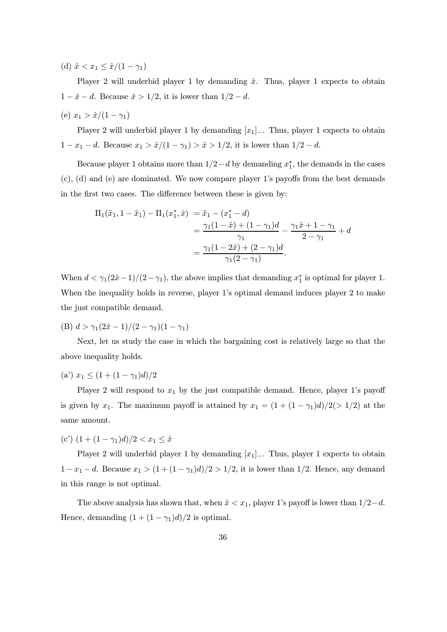(d)  $\hat{x} < x_1 \leq \hat{x}/(1 - \gamma_1)$ 

Player 2 will underbid player 1 by demanding  $\hat{x}$ . Thus, player 1 expects to obtain  $1 - \hat{x} - d$ . Because  $\hat{x} > 1/2$ , it is lower than  $1/2 - d$ .

(e)  $x_1 > \hat{x}/(1 - \gamma_1)$ 

Player 2 will underbid player 1 by demanding  $[x_1]_$ . Thus, player 1 expects to obtain 1 − x<sub>1</sub> − d. Because  $x_1 > \hat{x}/(1 - \gamma_1) > \hat{x} > 1/2$ , it is lower than  $1/2 - d$ .

Because player 1 obtains more than  $1/2-d$  by demanding  $x_1^*$ , the demands in the cases (c), (d) and (e) are dominated. We now compare player 1's payoffs from the best demands in the first two cases. The difference between these is given by:

$$
\Pi_1(\tilde{x}_1, 1 - \tilde{x}_1) - \Pi_1(x_1^*, \hat{x}) = \tilde{x}_1 - (x_1^* - d)
$$
  
= 
$$
\frac{\gamma_1(1 - \hat{x}) + (1 - \gamma_1)d}{\gamma_1} - \frac{\gamma_1\hat{x} + 1 - \gamma_1}{2 - \gamma_1} + d
$$
  
= 
$$
\frac{\gamma_1(1 - 2\hat{x}) + (2 - \gamma_1)d}{\gamma_1(2 - \gamma_1)}.
$$

When  $d < \gamma_1(2\hat{x}-1)/(2-\gamma_1)$ , the above implies that demanding  $x_1^*$  is optimal for player 1. When the inequality holds in reverse, player 1's optimal demand induces player 2 to make the just compatible demand.

(B)  $d > \gamma_1(2\hat{x} - 1)/(2 - \gamma_1)(1 - \gamma_1)$ 

Next, let us study the case in which the bargaining cost is relatively large so that the above inequality holds.

(a')  $x_1 \leq (1 + (1 - \gamma_1)d)/2$ 

Player 2 will respond to  $x_1$  by the just compatible demand. Hence, player 1's payoff is given by  $x_1$ . The maximum payoff is attained by  $x_1 = (1 + (1 - \gamma_1)d)/2(> 1/2)$  at the same amount.

(c')  $(1 + (1 - \gamma_1)d)/2 < x_1 \leq \hat{x}$ 

Player 2 will underbid player 1 by demanding  $[x_1]_$ . Thus, player 1 expects to obtain  $1 - x_1 - d$ . Because  $x_1 > (1 + (1 - \gamma_1)d)/2 > 1/2$ , it is lower than 1/2. Hence, any demand in this range is not optimal.

The above analysis has shown that, when  $\hat{x} < x_1$ , player 1's payoff is lower than  $1/2-d$ . Hence, demanding  $(1 + (1 - \gamma_1)d)/2$  is optimal.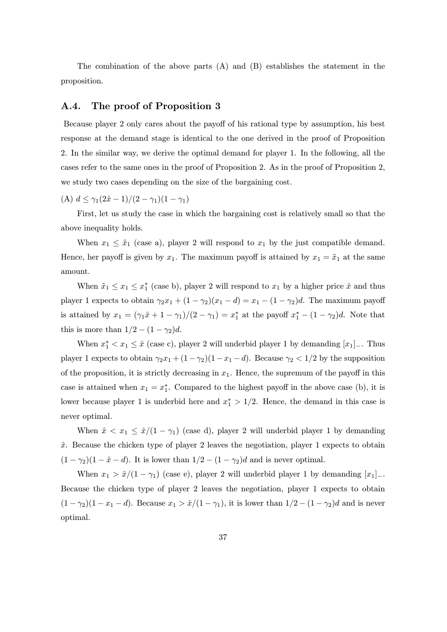The combination of the above parts  $(A)$  and  $(B)$  establishes the statement in the proposition.

# A.4. The proof of Proposition 3

Because player 2 only cares about the payoff of his rational type by assumption, his best response at the demand stage is identical to the one derived in the proof of Proposition 2. In the similar way, we derive the optimal demand for player 1. In the following, all the cases refer to the same ones in the proof of Proposition 2. As in the proof of Proposition 2, we study two cases depending on the size of the bargaining cost.

(A)  $d \leq \gamma_1(2\hat{x}-1)/(2-\gamma_1)(1-\gamma_1)$ 

First, let us study the case in which the bargaining cost is relatively small so that the above inequality holds.

When  $x_1 \leq \tilde{x}_1$  (case a), player 2 will respond to  $x_1$  by the just compatible demand. Hence, her payoff is given by  $x_1$ . The maximum payoff is attained by  $x_1 = \tilde{x}_1$  at the same amount.

When  $\tilde{x}_1 \leq x_1 \leq x_1^*$  (case b), player 2 will respond to  $x_1$  by a higher price  $\hat{x}$  and thus player 1 expects to obtain  $\gamma_2 x_1 + (1 - \gamma_2)(x_1 - d) = x_1 - (1 - \gamma_2)d$ . The maximum payoff is attained by  $x_1 = (\gamma_1 \hat{x} + 1 - \gamma_1)/(2 - \gamma_1) = x_1^*$  at the payoff  $x_1^* - (1 - \gamma_2)d$ . Note that this is more than  $1/2 - (1 - \gamma_2)d$ .

When  $x_1^* < x_1 \leq \hat{x}$  (case c), player 2 will underbid player 1 by demanding  $[x_1]_+$ . Thus player 1 expects to obtain  $\gamma_2 x_1 + (1 - \gamma_2)(1 - x_1 - d)$ . Because  $\gamma_2 < 1/2$  by the supposition of the proposition, it is strictly decreasing in  $x_1$ . Hence, the supremum of the payoff in this case is attained when  $x_1 = x_1^*$ . Compared to the highest payoff in the above case (b), it is lower because player 1 is underbid here and  $x_1^* > 1/2$ . Hence, the demand in this case is never optimal.

When  $\hat{x} < x_1 \leq \hat{x}/(1 - \gamma_1)$  (case d), player 2 will underbid player 1 by demanding  $\hat{x}$ . Because the chicken type of player 2 leaves the negotiation, player 1 expects to obtain  $(1 - \gamma_2)(1 - \hat{x} - d)$ . It is lower than  $1/2 - (1 - \gamma_2)d$  and is never optimal.

When  $x_1 > \hat{x}/(1 - \gamma_1)$  (case e), player 2 will underbid player 1 by demanding  $[x_1]_-.$ Because the chicken type of player 2 leaves the negotiation, player 1 expects to obtain  $(1 - \gamma_2)(1 - x_1 - d)$ . Because  $x_1 > \hat{x}/(1 - \gamma_1)$ , it is lower than  $1/2 - (1 - \gamma_2)d$  and is never optimal.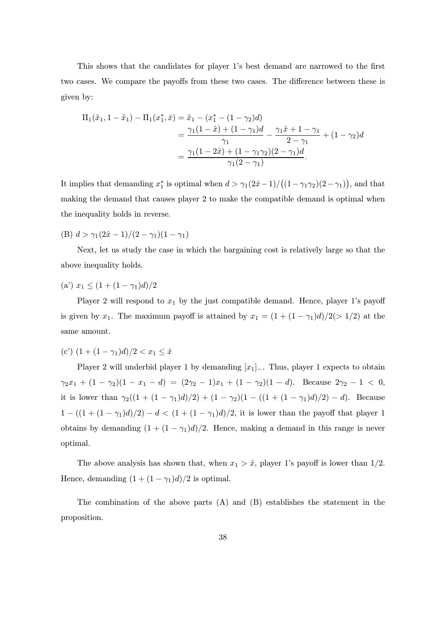This shows that the candidates for player 1's best demand are narrowed to the first two cases. We compare the payoffs from these two cases. The difference between these is given by:

$$
\Pi_1(\tilde{x}_1, 1 - \tilde{x}_1) - \Pi_1(x_1^*, \hat{x}) = \tilde{x}_1 - (x_1^* - (1 - \gamma_2)d)
$$
  
= 
$$
\frac{\gamma_1(1 - \hat{x}) + (1 - \gamma_1)d}{\gamma_1} - \frac{\gamma_1\hat{x} + 1 - \gamma_1}{2 - \gamma_1} + (1 - \gamma_2)d
$$
  
= 
$$
\frac{\gamma_1(1 - 2\hat{x}) + (1 - \gamma_1\gamma_2)(2 - \gamma_1)d}{\gamma_1(2 - \gamma_1)}.
$$

It implies that demanding  $x_1^*$  is optimal when  $d > \gamma_1(2\hat{x}-1)/((1-\gamma_1\gamma_2)(2-\gamma_1))$ , and that making the demand that causes player 2 to make the compatible demand is optimal when the inequality holds in reverse.

(B)  $d > \gamma_1(2\hat{x} - 1)/(2 - \gamma_1)(1 - \gamma_1)$ 

Next, let us study the case in which the bargaining cost is relatively large so that the above inequality holds.

(a)  $x_1 \leq (1 + (1 - \gamma_1)d)/2$ 

Player 2 will respond to  $x_1$  by the just compatible demand. Hence, player 1's payoff is given by  $x_1$ . The maximum payoff is attained by  $x_1 = (1 + (1 - \gamma_1)d)/2(> 1/2)$  at the same amount.

(c')  $(1 + (1 - \gamma_1)d)/2 < x_1 < \hat{x}$ 

Player 2 will underbid player 1 by demanding  $[x_1]_$ . Thus, player 1 expects to obtain  $\gamma_2 x_1 + (1 - \gamma_2)(1 - x_1 - d) = (2\gamma_2 - 1)x_1 + (1 - \gamma_2)(1 - d)$ . Because  $2\gamma_2 - 1 < 0$ , it is lower than  $\gamma_2((1 + (1 - \gamma_1)d)/2) + (1 - \gamma_2)(1 - ((1 + (1 - \gamma_1)d)/2) - d)$ . Because  $1 - ((1 + (1 - \gamma_1)d)/2) - d < (1 + (1 - \gamma_1)d)/2$ , it is lower than the payoff that player 1 obtains by demanding  $(1 + (1 - \gamma_1)d)/2$ . Hence, making a demand in this range is never optimal.

The above analysis has shown that, when  $x_1 > \hat{x}$ , player 1's payoff is lower than 1/2. Hence, demanding  $(1 + (1 - \gamma_1)d)/2$  is optimal.

The combination of the above parts  $(A)$  and  $(B)$  establishes the statement in the proposition.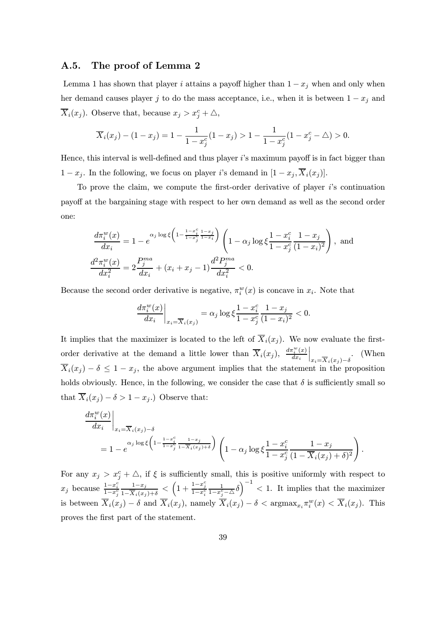### A.5. The proof of Lemma 2

Lemma 1 has shown that player i attains a payoff higher than  $1 - x_j$  when and only when her demand causes player j to do the mass acceptance, i.e., when it is between  $1 - x_j$  and  $\overline{X}_i(x_j)$ . Observe that, because  $x_j > x_j^c + \triangle$ ,

$$
\overline{X}_i(x_j) - (1 - x_j) = 1 - \frac{1}{1 - x_j^c} (1 - x_j) > 1 - \frac{1}{1 - x_j^c} (1 - x_j^c - \triangle) > 0.
$$

Hence, this interval is well-defined and thus player  $i$ 's maximum payoff is in fact bigger than  $1 - x_j$ . In the following, we focus on player i's demand in  $[1 - x_j, \overline{X}_i(x_j)].$ 

To prove the claim, we compute the first-order derivative of player  $i$ 's continuation payoff at the bargaining stage with respect to her own demand as well as the second order one:

$$
\frac{d\pi_i^w(x)}{dx_i} = 1 - e^{\alpha_j \log \xi \left(1 - \frac{1 - x_j^c}{1 - x_j^c} \frac{1 - x_j}{1 - x_i}\right)} \left(1 - \alpha_j \log \xi \frac{1 - x_i^c}{1 - x_j^c} \frac{1 - x_j}{(1 - x_i)^2}\right), \text{ and}
$$
\n
$$
\frac{d^2 \pi_i^w(x)}{dx_i^2} = 2 \frac{P_j^{ma}}{dx_i} + (x_i + x_j - 1) \frac{d^2 P_j^{ma}}{dx_i^2} < 0.
$$

Because the second order derivative is negative,  $\pi_i^w(x)$  is concave in  $x_i$ . Note that

$$
\frac{d\pi_i^w(x)}{dx_i}\bigg|_{x_i=\overline{X}_i(x_j)} = \alpha_j \log \xi \frac{1-x_i^c}{1-x_j^c} \frac{1-x_j}{(1-x_i)^2} < 0.
$$

It implies that the maximizer is located to the left of  $\overline{X}_i(x_i)$ . We now evaluate the firstorder derivative at the demand a little lower than  $\overline{X}_i(x_j)$ ,  $\frac{d\pi_i^w(x)}{dx_i}$  $dx_i$  $\Bigg|_{x_i = \overline{X}_i(x_j) - \delta}$ . (When  $X_i(x_j) - \delta \leq 1 - x_j$ , the above argument implies that the statement in the proposition holds obviously. Hence, in the following, we consider the case that  $\delta$  is sufficiently small so that  $\overline{X}_i(x_j) - \delta > 1 - x_j$ .) Observe that:

$$
\frac{d\pi_i^w(x)}{dx_i}\Big|_{x_i=\overline{X}_i(x_j)-\delta}
$$
\n
$$
=1-e^{\alpha_j\log\xi\left(1-\frac{1-x_j^c}{1-x_j^c}\frac{1-x_j}{1-\overline{X}_i(x_j)+\delta}\right)}\left(1-\alpha_j\log\xi\frac{1-x_i^c}{1-x_j^c}\frac{1-x_j}{(1-\overline{X}_i(x_j)+\delta)^2}\right).
$$

For any  $x_j > x_j^c + \triangle$ , if  $\xi$  is sufficiently small, this is positive uniformly with respect to  $x_j$  because  $\frac{1-x_i^c}{1-x_j^c}$  $\frac{1-x_j}{1-\overline{X}_i(x_j)+\delta} < \left(1+\frac{1-x_j^c}{1-x_i^c}\right)$  $\frac{1}{1-x_j^c-\Delta}\delta$ <sup>-1</sup> < 1. It implies that the maximizer is between  $\overline{X}_i(x_j) - \delta$  and  $\overline{X}_i(x_j)$ , namely  $\overline{X}_i(x_j) - \delta < \text{argmax}_{x_i} \pi_i^w(x) < \overline{X}_i(x_j)$ . This proves the first part of the statement.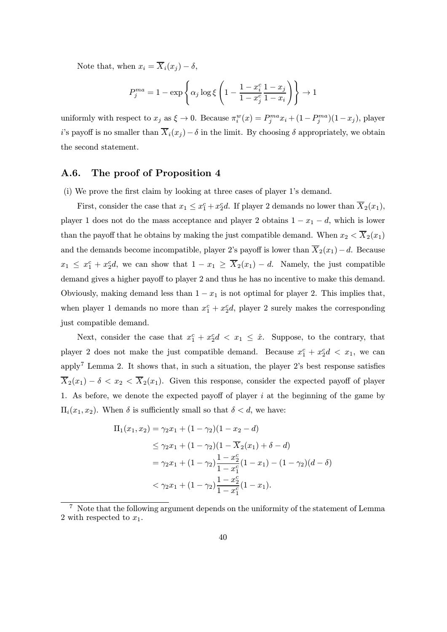Note that, when  $x_i = \overline{X}_i(x_j) - \delta$ ,

$$
P_j^{ma} = 1 - \exp\left\{\alpha_j \log \xi \left(1 - \frac{1 - x_i^c}{1 - x_j^c} \frac{1 - x_j}{1 - x_i}\right)\right\} \to 1
$$

uniformly with respect to  $x_j$  as  $\xi \to 0$ . Because  $\pi_i^w(x) = P_j^{ma} x_i + (1 - P_j^{ma})(1 - x_j)$ , player i's payoff is no smaller than  $\overline{X}_i(x_j) - \delta$  in the limit. By choosing  $\delta$  appropriately, we obtain the second statement.

# A.6. The proof of Proposition 4

(i) We prove the first claim by looking at three cases of player 1's demand.

First, consider the case that  $x_1 \le x_1^c + x_2^c d$ . If player 2 demands no lower than  $\overline{X}_2(x_1)$ , player 1 does not do the mass acceptance and player 2 obtains  $1 - x_1 - d$ , which is lower than the payoff that he obtains by making the just compatible demand. When  $x_2 < \overline{X}_2(x_1)$ and the demands become incompatible, player 2's payoff is lower than  $\overline{X}_2(x_1)-d$ . Because  $x_1 \leq x_1^c + x_2^c d$ , we can show that  $1 - x_1 \geq \overline{X}_2(x_1) - d$ . Namely, the just compatible demand gives a higher payoff to player 2 and thus he has no incentive to make this demand. Obviously, making demand less than  $1 - x_1$  is not optimal for player 2. This implies that, when player 1 demands no more than  $x_1^c + x_2^c$ , player 2 surely makes the corresponding just compatible demand.

Next, consider the case that  $x_1^c + x_2^c d < x_1 \leq \hat{x}$ . Suppose, to the contrary, that player 2 does not make the just compatible demand. Because  $x_1^c + x_2^c d < x_1$ , we can apply<sup>7</sup> Lemma 2. It shows that, in such a situation, the player 2's best response satisfies  $\overline{X}_2(x_1) - \delta < x_2 < \overline{X}_2(x_1)$ . Given this response, consider the expected payoff of player 1. As before, we denote the expected payoff of player  $i$  at the beginning of the game by  $\Pi_i(x_1, x_2)$ . When  $\delta$  is sufficiently small so that  $\delta < d$ , we have:

$$
\Pi_1(x_1, x_2) = \gamma_2 x_1 + (1 - \gamma_2)(1 - x_2 - d)
$$
  
\n
$$
\leq \gamma_2 x_1 + (1 - \gamma_2)(1 - \overline{X}_2(x_1) + \delta - d)
$$
  
\n
$$
= \gamma_2 x_1 + (1 - \gamma_2) \frac{1 - x_2^c}{1 - x_1^c} (1 - x_1) - (1 - \gamma_2)(d - \delta)
$$
  
\n
$$
< \gamma_2 x_1 + (1 - \gamma_2) \frac{1 - x_2^c}{1 - x_1^c} (1 - x_1).
$$

<sup>&</sup>lt;sup>7</sup> Note that the following argument depends on the uniformity of the statement of Lemma 2 with respected to  $x_1$ .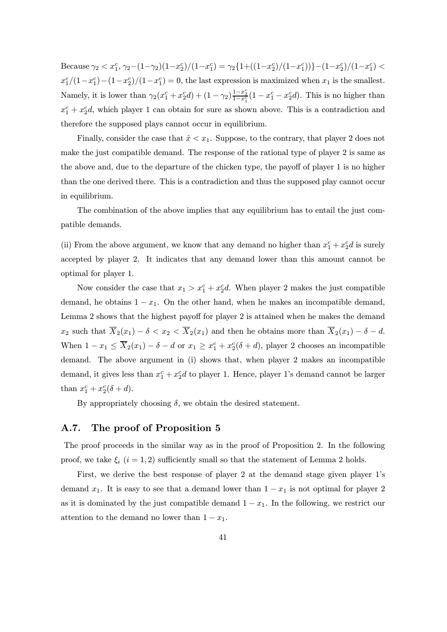Because  $\gamma_2 < x_1^c$ ,  $\gamma_2 - (1 - \gamma_2)(1 - x_2^c)/(1 - x_1^c) = \gamma_2 \{1 + ((1 - x_2^c)/(1 - x_1^c))\} - (1 - x_2^c)/(1 - x_1^c)$  $x_1^c/(1-x_1^c)-(1-x_2^c)/(1-x_1^c)=0$ , the last expression is maximized when  $x_1$  is the smallest. Namely, it is lower than  $\gamma_2(x_1^c + x_2^c d) + (1 - \gamma_2) \frac{1 - x_2^c}{1 - x_1^c} (1 - x_1^c - x_2^c d)$ . This is no higher than  $x_1^c + x_2^c$ , which player 1 can obtain for sure as shown above. This is a contradiction and therefore the supposed plays cannot occur in equilibrium.

Finally, consider the case that  $\hat{x} < x_1$ . Suppose, to the contrary, that player 2 does not make the just compatible demand. The response of the rational type of player 2 is same as the above and, due to the departure of the chicken type, the payoff of player 1 is no higher than the one derived there. This is a contradiction and thus the supposed play cannot occur in equilibrium.

The combination of the above implies that any equilibrium has to entail the just compatible demands.

(ii) From the above argument, we know that any demand no higher than  $x_1^c + x_2^c d$  is surely accepted by player 2. It indicates that any demand lower than this amount cannot be optimal for player 1.

Now consider the case that  $x_1 > x_1^c + x_2^c d$ . When player 2 makes the just compatible demand, he obtains  $1 - x_1$ . On the other hand, when he makes an incompatible demand, Lemma 2 shows that the highest payoff for player 2 is attained when he makes the demand  $x_2$  such that  $\overline{X}_2(x_1) - \delta < x_2 < \overline{X}_2(x_1)$  and then he obtains more than  $\overline{X}_2(x_1) - \delta - d$ . When  $1 - x_1 \le \overline{X}_2(x_1) - \delta - d$  or  $x_1 \ge x_1^c + x_2^c(\delta + d)$ , player 2 chooses an incompatible demand. The above argument in (i) shows that, when player 2 makes an incompatible demand, it gives less than  $x_1^c + x_2^c d$  to player 1. Hence, player 1's demand cannot be larger than  $x_1^c + x_2^c(\delta + d)$ .

By appropriately choosing  $\delta$ , we obtain the desired statement.

# A.7. The proof of Proposition 5

The proof proceeds in the similar way as in the proof of Proposition 2. In the following proof, we take  $\xi_i$   $(i = 1, 2)$  sufficiently small so that the statement of Lemma 2 holds.

First, we derive the best response of player 2 at the demand stage given player 1's demand  $x_1$ . It is easy to see that a demand lower than  $1 - x_1$  is not optimal for player 2 as it is dominated by the just compatible demand  $1 - x_1$ . In the following, we restrict our attention to the demand no lower than  $1 - x_1$ .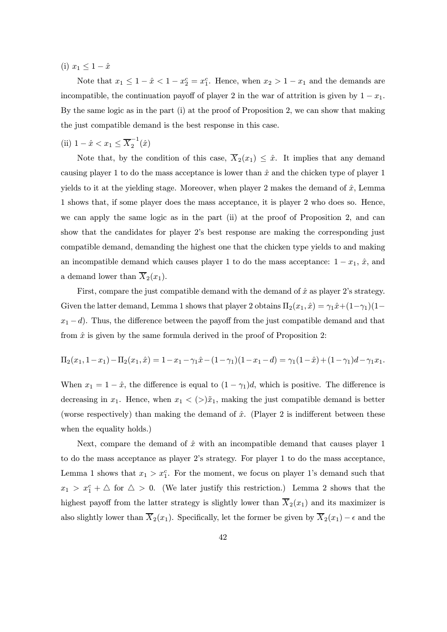(i)  $x_1 \leq 1 - \hat{x}$ 

Note that  $x_1 \leq 1 - \hat{x} < 1 - x_2^c = x_1^c$ . Hence, when  $x_2 > 1 - x_1$  and the demands are incompatible, the continuation payoff of player 2 in the war of attrition is given by  $1 - x_1$ . By the same logic as in the part (i) at the proof of Proposition 2, we can show that making the just compatible demand is the best response in this case.

(ii)  $1 - \hat{x} < x_1 \leq \overline{X}_2^{-1}(\hat{x})$ 

Note that, by the condition of this case,  $\overline{X}_2(x_1) \leq \hat{x}$ . It implies that any demand causing player 1 to do the mass acceptance is lower than  $\hat{x}$  and the chicken type of player 1 yields to it at the yielding stage. Moreover, when player 2 makes the demand of  $\hat{x}$ , Lemma 1 shows that, if some player does the mass acceptance, it is player 2 who does so. Hence, we can apply the same logic as in the part (ii) at the proof of Proposition 2, and can show that the candidates for player 2's best response are making the corresponding just compatible demand, demanding the highest one that the chicken type yields to and making an incompatible demand which causes player 1 to do the mass acceptance:  $1 - x_1$ ,  $\hat{x}$ , and a demand lower than  $\overline{X}_2(x_1)$ .

First, compare the just compatible demand with the demand of  $\hat{x}$  as player 2's strategy. Given the latter demand, Lemma 1 shows that player 2 obtains  $\Pi_2(x_1, \hat{x}) = \gamma_1 \hat{x} + (1 - \gamma_1)(1 - \hat{x})$  $x_1 - d$ ). Thus, the difference between the payoff from the just compatible demand and that from  $\hat{x}$  is given by the same formula derived in the proof of Proposition 2:

$$
\Pi_2(x_1, 1-x_1) - \Pi_2(x_1, \hat{x}) = 1 - x_1 - \gamma_1 \hat{x} - (1-\gamma_1)(1-x_1-d) = \gamma_1(1-\hat{x}) + (1-\gamma_1)d - \gamma_1 x_1.
$$

When  $x_1 = 1 - \hat{x}$ , the difference is equal to  $(1 - \gamma_1)d$ , which is positive. The difference is decreasing in  $x_1$ . Hence, when  $x_1 < (>)\tilde{x}_1$ , making the just compatible demand is better (worse respectively) than making the demand of  $\hat{x}$ . (Player 2 is indifferent between these when the equality holds.)

Next, compare the demand of  $\hat{x}$  with an incompatible demand that causes player 1 to do the mass acceptance as player 2's strategy. For player 1 to do the mass acceptance, Lemma 1 shows that  $x_1 > x_1^c$ . For the moment, we focus on player 1's demand such that  $x_1 > x_1^c + \triangle$  for  $\triangle > 0$ . (We later justify this restriction.) Lemma 2 shows that the highest payoff from the latter strategy is slightly lower than  $\overline{X}_2(x_1)$  and its maximizer is also slightly lower than  $\overline{X}_2(x_1)$ . Specifically, let the former be given by  $\overline{X}_2(x_1) - \epsilon$  and the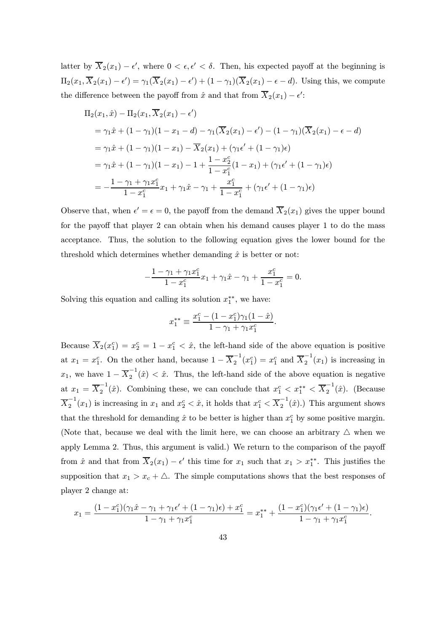latter by  $\overline{X}_2(x_1) - \epsilon'$ , where  $0 < \epsilon, \epsilon' < \delta$ . Then, his expected payoff at the beginning is  $\Pi_2(x_1, X_2(x_1) - \epsilon') = \gamma_1(X_2(x_1) - \epsilon') + (1 - \gamma_1)(X_2(x_1) - \epsilon - d)$ . Using this, we compute the difference between the payoff from  $\hat{x}$  and that from  $X_2(x_1) - \epsilon'$ :

$$
\Pi_2(x_1, \hat{x}) - \Pi_2(x_1, \overline{X}_2(x_1) - \epsilon')
$$
\n
$$
= \gamma_1 \hat{x} + (1 - \gamma_1)(1 - x_1 - d) - \gamma_1(\overline{X}_2(x_1) - \epsilon') - (1 - \gamma_1)(\overline{X}_2(x_1) - \epsilon - d)
$$
\n
$$
= \gamma_1 \hat{x} + (1 - \gamma_1)(1 - x_1) - \overline{X}_2(x_1) + (\gamma_1 \epsilon' + (1 - \gamma_1)\epsilon)
$$
\n
$$
= \gamma_1 \hat{x} + (1 - \gamma_1)(1 - x_1) - 1 + \frac{1 - x_2^c}{1 - x_1^c}(1 - x_1) + (\gamma_1 \epsilon' + (1 - \gamma_1)\epsilon)
$$
\n
$$
= -\frac{1 - \gamma_1 + \gamma_1 x_1^c}{1 - x_1^c} x_1 + \gamma_1 \hat{x} - \gamma_1 + \frac{x_1^c}{1 - x_1^c} + (\gamma_1 \epsilon' + (1 - \gamma_1)\epsilon)
$$

Observe that, when  $\epsilon' = \epsilon = 0$ , the payoff from the demand  $\overline{X}_2(x_1)$  gives the upper bound for the payoff that player 2 can obtain when his demand causes player 1 to do the mass acceptance. Thus, the solution to the following equation gives the lower bound for the threshold which determines whether demanding  $\hat{x}$  is better or not:

$$
-\frac{1-\gamma_1+\gamma_1x_1^c}{1-x_1^c}x_1+\gamma_1\hat{x}-\gamma_1+\frac{x_1^c}{1-x_1^c}=0.
$$

Solving this equation and calling its solution  $x_1^{**}$ , we have:

$$
x_1^{**} \equiv \frac{x_1^c - (1 - x_1^c)\gamma_1(1 - \hat{x})}{1 - \gamma_1 + \gamma_1 x_1^c}.
$$

Because  $\overline{X}_2(x_1^c) = x_2^c = 1 - x_1^c < \hat{x}$ , the left-hand side of the above equation is positive at  $x_1 = x_1^c$ . On the other hand, because  $1 - \overline{X}_2^{-1}(x_1^c) = x_1^c$  and  $\overline{X}_2^{-1}(x_1)$  is increasing in  $x_1$ , we have  $1 - \overline{X}_2^{-1}(\hat{x}) < \hat{x}$ . Thus, the left-hand side of the above equation is negative at  $x_1 = \overline{X}_2^{-1}(\hat{x})$ . Combining these, we can conclude that  $x_1^c < x_1^{**} < \overline{X}_2^{-1}(\hat{x})$ . (Because  $\overline{X}_2^{-1}(x_1)$  is increasing in  $x_1$  and  $x_2^c < \hat{x}$ , it holds that  $x_1^c < \overline{X}_2^{-1}(\hat{x})$ .) This argument shows that the threshold for demanding  $\hat{x}$  to be better is higher than  $x_1^c$  by some positive margin. (Note that, because we deal with the limit here, we can choose an arbitrary  $\triangle$  when we apply Lemma 2. Thus, this argument is valid.) We return to the comparison of the payoff from  $\hat{x}$  and that from  $X_2(x_1) - \epsilon'$  this time for  $x_1$  such that  $x_1 > x_1^{**}$ . This justifies the supposition that  $x_1 > x_c + \Delta$ . The simple computations shows that the best responses of player 2 change at:

$$
x_1 = \frac{(1 - x_1^c)(\gamma_1 \hat{x} - \gamma_1 + \gamma_1 \epsilon' + (1 - \gamma_1)\epsilon) + x_1^c}{1 - \gamma_1 + \gamma_1 x_1^c} = x_1^{**} + \frac{(1 - x_1^c)(\gamma_1 \epsilon' + (1 - \gamma_1)\epsilon)}{1 - \gamma_1 + \gamma_1 x_1^c}.
$$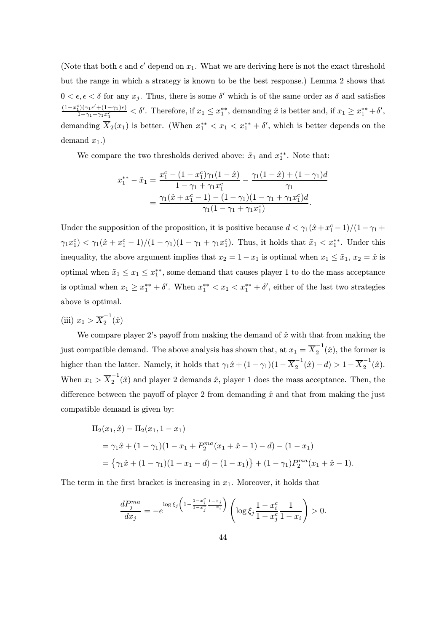(Note that both  $\epsilon$  and  $\epsilon'$  depend on  $x_1$ . What we are deriving here is not the exact threshold but the range in which a strategy is known to be the best response.) Lemma 2 shows that  $0 < \epsilon, \epsilon < \delta$  for any  $x_i$ . Thus, there is some  $\delta'$  which is of the same order as  $\delta$  and satisfies  $(1-x_1^c)(\gamma_1\epsilon'+(1-\gamma_1)\epsilon)$  $\frac{1}{(1-\gamma_1+\gamma_1x_1^c)} < \delta'$ . Therefore, if  $x_1 \leq x_1^{**}$ , demanding  $\hat{x}$  is better and, if  $x_1 \geq x_1^{**}+\delta'$ , demanding  $X_2(x_1)$  is better. (When  $x_1^{**} < x_1 < x_1^{**} + \delta'$ , which is better depends on the demand  $x_1$ .)

We compare the two thresholds derived above:  $\tilde{x}_1$  and  $x_1^{**}$ . Note that:

$$
x_1^{**} - \tilde{x}_1 = \frac{x_1^c - (1 - x_1^c)\gamma_1(1 - \hat{x})}{1 - \gamma_1 + \gamma_1 x_1^c} - \frac{\gamma_1(1 - \hat{x}) + (1 - \gamma_1)d}{\gamma_1}
$$
  
= 
$$
\frac{\gamma_1(\hat{x} + x_1^c - 1) - (1 - \gamma_1)(1 - \gamma_1 + \gamma_1 x_1^c)d}{\gamma_1(1 - \gamma_1 + \gamma_1 x_1^c)}.
$$

Under the supposition of the proposition, it is positive because  $d < \gamma_1(\hat{x} + x_1^c - 1)/(1 - \gamma_1 + \gamma_2)$  $\gamma_1 x_1^c$   $<$   $\gamma_1(\hat{x} + x_1^c - 1)/(1 - \gamma_1)(1 - \gamma_1 + \gamma_1 x_1^c)$ . Thus, it holds that  $\tilde{x}_1 < x_1^{**}$ . Under this inequality, the above argument implies that  $x_2 = 1 - x_1$  is optimal when  $x_1 \leq \tilde{x}_1, x_2 = \hat{x}$  is optimal when  $\tilde{x}_1 \leq x_1 \leq x_1^{**}$ , some demand that causes player 1 to do the mass acceptance is optimal when  $x_1 \ge x_1^{**} + \delta'$ . When  $x_1^{**} < x_1 < x_1^{**} + \delta'$ , either of the last two strategies above is optimal.

(iii)  $x_1 > \overline{X}_2^{-1}(\hat{x})$ 

We compare player 2's payoff from making the demand of  $\hat{x}$  with that from making the just compatible demand. The above analysis has shown that, at  $x_1 = \overline{X}_2^{-1}(\hat{x})$ , the former is higher than the latter. Namely, it holds that  $\gamma_1 \hat{x} + (1 - \gamma_1)(1 - \overline{X}_2^{-1}(\hat{x}) - d) > 1 - \overline{X}_2^{-1}(\hat{x})$ . When  $x_1 > \overline{X}_2^{-1}(\hat{x})$  and player 2 demands  $\hat{x}$ , player 1 does the mass acceptance. Then, the difference between the payoff of player 2 from demanding  $\hat{x}$  and that from making the just compatible demand is given by:

$$
\Pi_2(x_1, \hat{x}) - \Pi_2(x_1, 1 - x_1)
$$
  
=  $\gamma_1 \hat{x} + (1 - \gamma_1)(1 - x_1 + P_2^{ma}(x_1 + \hat{x} - 1) - d) - (1 - x_1)$   
=  $\{\gamma_1 \hat{x} + (1 - \gamma_1)(1 - x_1 - d) - (1 - x_1)\} + (1 - \gamma_1)P_2^{ma}(x_1 + \hat{x} - 1).$ 

The term in the first bracket is increasing in  $x_1$ . Moreover, it holds that

$$
\frac{dP_j^{ma}}{dx_j} = -e^{\log \xi_j \left(1 - \frac{1 - x_j^c}{1 - x_j^c} \frac{1 - x_j}{1 - x_i}\right)} \left( \log \xi_j \frac{1 - x_i^c}{1 - x_j^c} \frac{1}{1 - x_i}\right) > 0.
$$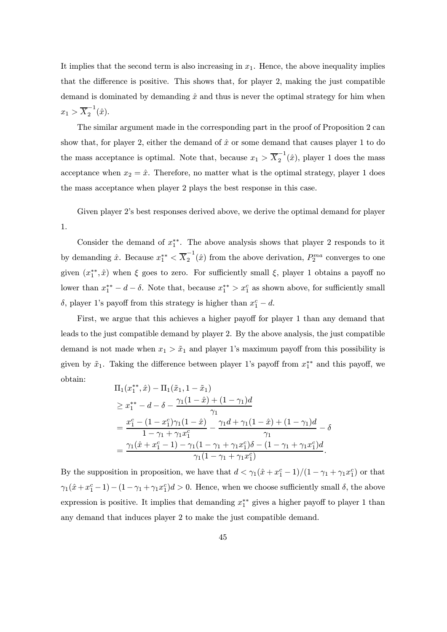It implies that the second term is also increasing in  $x_1$ . Hence, the above inequality implies that the difference is positive. This shows that, for player 2, making the just compatible demand is dominated by demanding  $\hat{x}$  and thus is never the optimal strategy for him when  $x_1 > \overline{X}_2^{-1}(\hat{x}).$ 

The similar argument made in the corresponding part in the proof of Proposition 2 can show that, for player 2, either the demand of  $\hat{x}$  or some demand that causes player 1 to do the mass acceptance is optimal. Note that, because  $x_1 > \overline{X}_2^{-1}(\hat{x})$ , player 1 does the mass acceptance when  $x_2 = \hat{x}$ . Therefore, no matter what is the optimal strategy, player 1 does the mass acceptance when player 2 plays the best response in this case.

Given player 2's best responses derived above, we derive the optimal demand for player 1.

Consider the demand of  $x_1^*$ . The above analysis shows that player 2 responds to it by demanding  $\hat{x}$ . Because  $x_1^{**} < \overline{X}_2^{-1}(\hat{x})$  from the above derivation,  $P_2^{ma}$  converges to one given  $(x_1^{**}, \hat{x})$  when  $\xi$  goes to zero. For sufficiently small  $\xi$ , player 1 obtains a payoff no lower than  $x_1^{**} - d - \delta$ . Note that, because  $x_1^{**} > x_1^c$  as shown above, for sufficiently small  $\delta$ , player 1's payoff from this strategy is higher than  $x_1^c - d$ .

First, we argue that this achieves a higher payoff for player 1 than any demand that leads to the just compatible demand by player 2. By the above analysis, the just compatible demand is not made when  $x_1 > \tilde{x}_1$  and player 1's maximum payoff from this possibility is given by  $\tilde{x}_1$ . Taking the difference between player 1's payoff from  $x_1^{**}$  and this payoff, we obtain:

$$
\Pi_1(x_1^{**}, \hat{x}) - \Pi_1(\tilde{x}_1, 1 - \tilde{x}_1)
$$
\n
$$
\geq x_1^{**} - d - \delta - \frac{\gamma_1(1 - \hat{x}) + (1 - \gamma_1)d}{\gamma_1}
$$
\n
$$
= \frac{x_1^c - (1 - x_1^c)\gamma_1(1 - \hat{x})}{1 - \gamma_1 + \gamma_1 x_1^c} - \frac{\gamma_1 d + \gamma_1(1 - \hat{x}) + (1 - \gamma_1)d}{\gamma_1} - \delta
$$
\n
$$
= \frac{\gamma_1(\hat{x} + x_1^c - 1) - \gamma_1(1 - \gamma_1 + \gamma_1 x_1^c)\delta - (1 - \gamma_1 + \gamma_1 x_1^c)d}{\gamma_1(1 - \gamma_1 + \gamma_1 x_1^c)}.
$$

By the supposition in proposition, we have that  $d < \gamma_1(\hat{x} + x_1^c - 1)/(1 - \gamma_1 + \gamma_1 x_1^c)$  or that  $\gamma_1(\hat{x}+x_1^c-1)-(1-\gamma_1+\gamma_1x_1^c)d>0.$  Hence, when we choose sufficiently small  $\delta$ , the above expression is positive. It implies that demanding  $x_1^{**}$  gives a higher payoff to player 1 than any demand that induces player 2 to make the just compatible demand.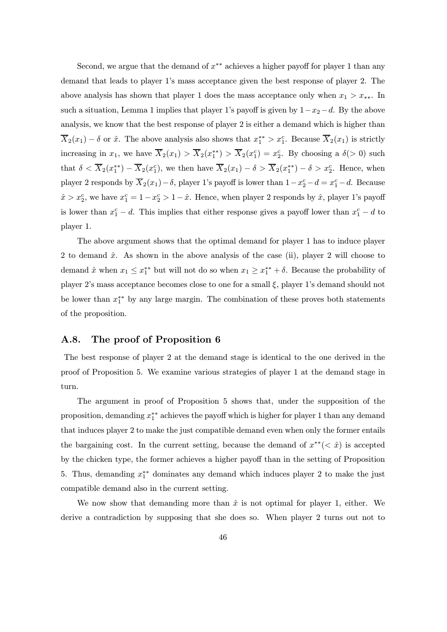Second, we argue that the demand of  $x^{**}$  achieves a higher payoff for player 1 than any demand that leads to player 1's mass acceptance given the best response of player 2. The above analysis has shown that player 1 does the mass acceptance only when  $x_1 > x_{**}$ . In such a situation, Lemma 1 implies that player 1's payoff is given by  $1-x_2-d$ . By the above analysis, we know that the best response of player 2 is either a demand which is higher than  $\overline{X}_2(x_1) - \delta$  or  $\hat{x}$ . The above analysis also shows that  $x_1^{**} > x_1^c$ . Because  $\overline{X}_2(x_1)$  is strictly increasing in  $x_1$ , we have  $\overline{X}_2(x_1) > \overline{X}_2(x_1^{**}) > \overline{X}_2(x_1^c) = x_2^c$ . By choosing a  $\delta(>0)$  such that  $\delta < \overline{X}_2(x_1^{**}) - \overline{X}_2(x_1^c)$ , we then have  $\overline{X}_2(x_1) - \delta > \overline{X}_2(x_1^{**}) - \delta > x_2^c$ . Hence, when player 2 responds by  $\overline{X}_2(x_1) - \delta$ , player 1's payoff is lower than  $1 - x_2^c - d = x_1^c - d$ . Because  $\hat{x} > x_2^c$ , we have  $x_1^c = 1 - x_2^c > 1 - \hat{x}$ . Hence, when player 2 responds by  $\hat{x}$ , player 1's payoff is lower than  $x_1^c - d$ . This implies that either response gives a payoff lower than  $x_1^c - d$  to player 1.

The above argument shows that the optimal demand for player 1 has to induce player 2 to demand  $\hat{x}$ . As shown in the above analysis of the case (ii), player 2 will choose to demand  $\hat{x}$  when  $x_1 \leq x_1^{**}$  but will not do so when  $x_1 \geq x_1^{**} + \delta$ . Because the probability of player 2's mass acceptance becomes close to one for a small  $\xi$ , player 1's demand should not be lower than  $x_1^{**}$  by any large margin. The combination of these proves both statements of the proposition.

# A.8. The proof of Proposition 6

The best response of player 2 at the demand stage is identical to the one derived in the proof of Proposition 5. We examine various strategies of player 1 at the demand stage in turn.

The argument in proof of Proposition 5 shows that, under the supposition of the proposition, demanding  $x_1^{**}$  achieves the payoff which is higher for player 1 than any demand that induces player 2 to make the just compatible demand even when only the former entails the bargaining cost. In the current setting, because the demand of  $x^{**}( $\hat{x}$ )$  is accepted by the chicken type, the former achieves a higher payoff than in the setting of Proposition 5. Thus, demanding  $x_1^{**}$  dominates any demand which induces player 2 to make the just compatible demand also in the current setting.

We now show that demanding more than  $\hat{x}$  is not optimal for player 1, either. We derive a contradiction by supposing that she does so. When player 2 turns out not to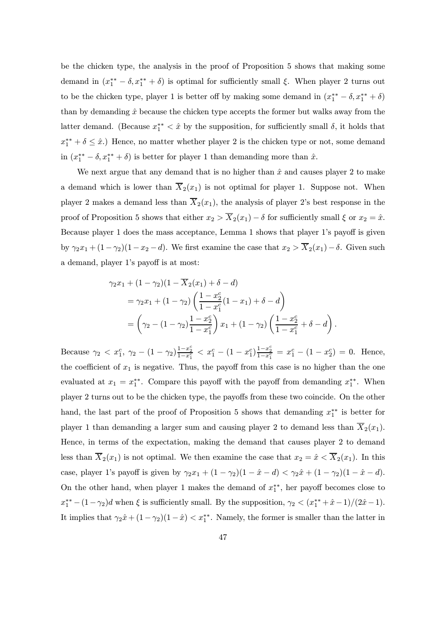be the chicken type, the analysis in the proof of Proposition 5 shows that making some demand in  $(x_1^{**} - \delta, x_1^{**} + \delta)$  is optimal for sufficiently small  $\xi$ . When player 2 turns out to be the chicken type, player 1 is better off by making some demand in  $(x_1^{**} - \delta, x_1^{**} + \delta)$ than by demanding  $\hat{x}$  because the chicken type accepts the former but walks away from the latter demand. (Because  $x_1^{**} < \hat{x}$  by the supposition, for sufficiently small  $\delta$ , it holds that  $x_1^{**} + \delta \leq \hat{x}$ .) Hence, no matter whether player 2 is the chicken type or not, some demand in  $(x_1^{**} - \delta, x_1^{**} + \delta)$  is better for player 1 than demanding more than  $\hat{x}$ .

We next argue that any demand that is no higher than  $\hat{x}$  and causes player 2 to make a demand which is lower than  $\overline{X}_2(x_1)$  is not optimal for player 1. Suppose not. When player 2 makes a demand less than  $\overline{X}_2(x_1)$ , the analysis of player 2's best response in the proof of Proposition 5 shows that either  $x_2 > \overline{X}_2(x_1) - \delta$  for sufficiently small  $\xi$  or  $x_2 = \hat{x}$ . Because player 1 does the mass acceptance, Lemma 1 shows that player 1's payoff is given by  $\gamma_2 x_1 + (1 - \gamma_2)(1 - x_2 - d)$ . We first examine the case that  $x_2 > \overline{X}_2(x_1) - \delta$ . Given such a demand, player 1's payoff is at most:

$$
\gamma_2 x_1 + (1 - \gamma_2)(1 - \overline{X}_2(x_1) + \delta - d)
$$
  
= 
$$
\gamma_2 x_1 + (1 - \gamma_2) \left( \frac{1 - x_2^c}{1 - x_1^c} (1 - x_1) + \delta - d \right)
$$
  
= 
$$
\left( \gamma_2 - (1 - \gamma_2) \frac{1 - x_2^c}{1 - x_1^c} \right) x_1 + (1 - \gamma_2) \left( \frac{1 - x_2^c}{1 - x_1^c} + \delta - d \right).
$$

Because  $\gamma_2 < x_1^c$ ,  $\gamma_2 - (1 - \gamma_2) \frac{1 - x_2^c}{1 - x_1^c} < x_1^c - (1 - x_1^c) \frac{1 - x_2^c}{1 - x_1^c} = x_1^c - (1 - x_2^c) = 0$ . Hence, the coefficient of  $x_1$  is negative. Thus, the payoff from this case is no higher than the one evaluated at  $x_1 = x_1^{**}$ . Compare this payoff with the payoff from demanding  $x_1^{**}$ . When player 2 turns out to be the chicken type, the payoffs from these two coincide. On the other hand, the last part of the proof of Proposition 5 shows that demanding  $x_1^{**}$  is better for player 1 than demanding a larger sum and causing player 2 to demand less than  $\overline{X}_2(x_1)$ . Hence, in terms of the expectation, making the demand that causes player 2 to demand less than  $\overline{X}_2(x_1)$  is not optimal. We then examine the case that  $x_2 = \hat{x} < \overline{X}_2(x_1)$ . In this case, player 1's payoff is given by  $\gamma_2 x_1 + (1 - \gamma_2)(1 - \hat{x} - d) < \gamma_2 \hat{x} + (1 - \gamma_2)(1 - \hat{x} - d)$ . On the other hand, when player 1 makes the demand of  $x_1^{**}$ , her payoff becomes close to  $x_1^{**} - (1 - \gamma_2)d$  when  $\xi$  is sufficiently small. By the supposition,  $\gamma_2 < (x_1^{**} + \hat{x} - 1)/(2\hat{x} - 1)$ . It implies that  $\gamma_2 \hat{x} + (1 - \gamma_2)(1 - \hat{x}) < x_1^{**}$ . Namely, the former is smaller than the latter in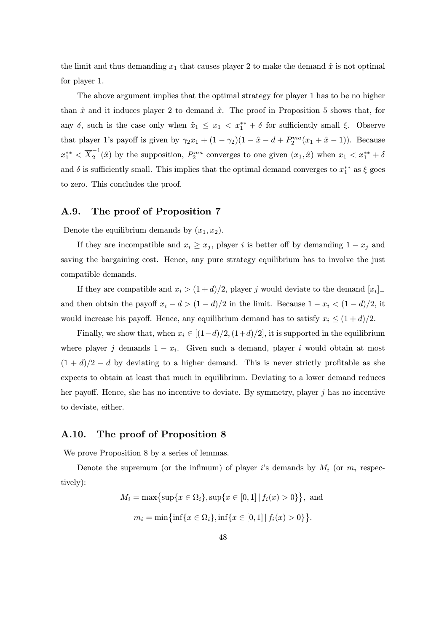the limit and thus demanding  $x_1$  that causes player 2 to make the demand  $\hat{x}$  is not optimal for player 1.

The above argument implies that the optimal strategy for player 1 has to be no higher than  $\hat{x}$  and it induces player 2 to demand  $\hat{x}$ . The proof in Proposition 5 shows that, for any  $\delta$ , such is the case only when  $\tilde{x}_1 \leq x_1 < x_1^{**} + \delta$  for sufficiently small  $\xi$ . Observe that player 1's payoff is given by  $\gamma_2 x_1 + (1 - \gamma_2)(1 - \hat{x} - d + P_2^{ma}(x_1 + \hat{x} - 1))$ . Because  $x_1^{**} < \overline{X}_2^{-1}(\hat{x})$  by the supposition,  $P_2^{ma}$  converges to one given  $(x_1, \hat{x})$  when  $x_1 < x_1^{**} + \delta$ and  $\delta$  is sufficiently small. This implies that the optimal demand converges to  $x_1^{**}$  as  $\xi$  goes to zero. This concludes the proof.

# A.9. The proof of Proposition 7

Denote the equilibrium demands by  $(x_1, x_2)$ .

If they are incompatible and  $x_i \geq x_j$ , player i is better off by demanding  $1 - x_j$  and saving the bargaining cost. Hence, any pure strategy equilibrium has to involve the just compatible demands.

If they are compatible and  $x_i > (1 + d)/2$ , player j would deviate to the demand  $[x_i]_+$ and then obtain the payoff  $x_i - d > (1 - d)/2$  in the limit. Because  $1 - x_i < (1 - d)/2$ , it would increase his payoff. Hence, any equilibrium demand has to satisfy  $x_i \leq (1+d)/2$ .

Finally, we show that, when  $x_i \in [(1-d)/2, (1+d)/2]$ , it is supported in the equilibrium where player j demands  $1 - x_i$ . Given such a demand, player i would obtain at most  $(1 + d)/2 - d$  by deviating to a higher demand. This is never strictly profitable as she expects to obtain at least that much in equilibrium. Deviating to a lower demand reduces her payoff. Hence, she has no incentive to deviate. By symmetry, player j has no incentive to deviate, either.

# A.10. The proof of Proposition 8

We prove Proposition 8 by a series of lemmas.

Denote the supremum (or the infimum) of player i's demands by  $M_i$  (or  $m_i$  respectively):

$$
M_i = \max\{\sup\{x \in \Omega_i\}, \sup\{x \in [0, 1] \mid f_i(x) > 0\}\},\text{ and}
$$

$$
m_i = \min\{\inf\{x \in \Omega_i\}, \inf\{x \in [0, 1] \mid f_i(x) > 0\}\}.
$$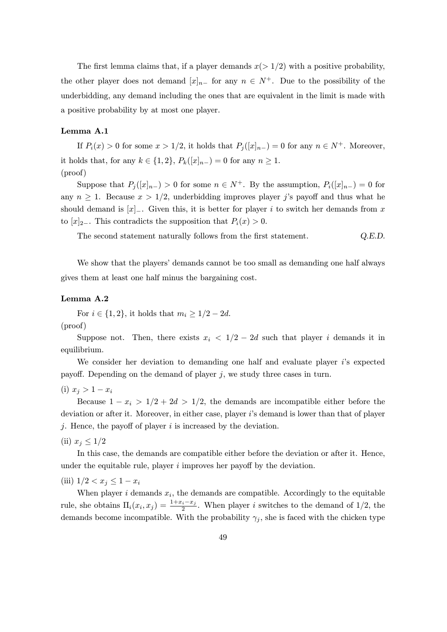The first lemma claims that, if a player demands  $x(>1/2)$  with a positive probability, the other player does not demand  $[x]_{n-}$  for any  $n \in N^+$ . Due to the possibility of the underbidding, any demand including the ones that are equivalent in the limit is made with a positive probability by at most one player.

# Lemma A.1

If  $P_i(x) > 0$  for some  $x > 1/2$ , it holds that  $P_i([x]_{n-}) = 0$  for any  $n \in N^+$ . Moreover, it holds that, for any  $k \in \{1,2\}$ ,  $P_k([x]_{n-})=0$  for any  $n \geq 1$ . (proof)

Suppose that  $P_i([x]_{n-}) > 0$  for some  $n \in N^+$ . By the assumption,  $P_i([x]_{n-}) = 0$  for any  $n \geq 1$ . Because  $x > 1/2$ , underbidding improves player j's payoff and thus what he should demand is  $[x]_$ . Given this, it is better for player i to switch her demands from x to  $[x]_{2-}$ . This contradicts the supposition that  $P_i(x) > 0$ .

The second statement naturally follows from the first statement.  $Q.E.D.$ 

We show that the players' demands cannot be too small as demanding one half always gives them at least one half minus the bargaining cost.

### Lemma A.2

For *i* ∈ {1, 2}, it holds that  $m_i \geq 1/2 - 2d$ . (proof)

Suppose not. Then, there exists  $x_i < 1/2 - 2d$  such that player i demands it in equilibrium.

We consider her deviation to demanding one half and evaluate player  $i$ 's expected payoff. Depending on the demand of player  $j$ , we study three cases in turn.

$$
(i) x_j > 1 - x_i
$$

Because  $1 - x_i > 1/2 + 2d > 1/2$ , the demands are incompatible either before the deviation or after it. Moreover, in either case, player i's demand is lower than that of player j. Hence, the payoff of player  $i$  is increased by the deviation.

(ii)  $x_i \leq 1/2$ 

In this case, the demands are compatible either before the deviation or after it. Hence, under the equitable rule, player  $i$  improves her payoff by the deviation.

(iii)  $1/2 < x_i \leq 1 - x_i$ 

When player  $i$  demands  $x_i$ , the demands are compatible. Accordingly to the equitable rule, she obtains  $\Pi_i(x_i, x_j) = \frac{1+x_i-x_j}{2}$ . When player i switches to the demand of 1/2, the demands become incompatible. With the probability  $\gamma_j$ , she is faced with the chicken type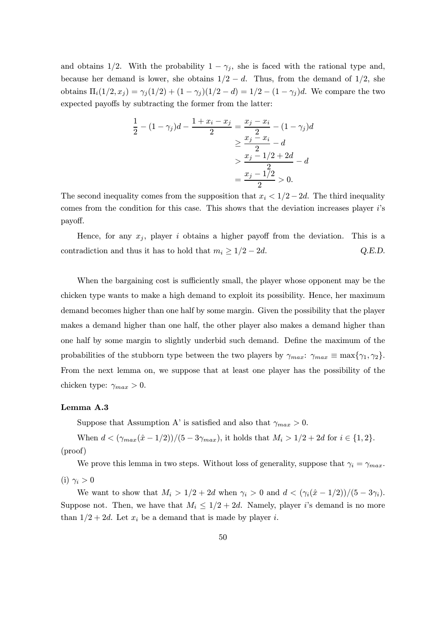and obtains 1/2. With the probability  $1 - \gamma_j$ , she is faced with the rational type and, because her demand is lower, she obtains  $1/2 - d$ . Thus, from the demand of  $1/2$ , she obtains  $\Pi_i(1/2, x_j) = \gamma_i(1/2) + (1 - \gamma_j)(1/2 - d) = 1/2 - (1 - \gamma_j)d$ . We compare the two expected payoffs by subtracting the former from the latter:

$$
\frac{1}{2} - (1 - \gamma_j)d - \frac{1 + x_i - x_j}{2} = \frac{x_j - x_i}{2} - (1 - \gamma_j)d
$$

$$
\geq \frac{x_j - x_i}{2} - d
$$

$$
> \frac{x_j - 1/2 + 2d}{2} - d
$$

$$
= \frac{x_j - 1/2}{2} > 0.
$$

The second inequality comes from the supposition that  $x_i < 1/2 - 2d$ . The third inequality comes from the condition for this case. This shows that the deviation increases player i's payoff.

Hence, for any  $x_i$ , player i obtains a higher payoff from the deviation. This is a contradiction and thus it has to hold that  $m_i \geq 1/2 - 2d$ . Q.E.D.

When the bargaining cost is sufficiently small, the player whose opponent may be the chicken type wants to make a high demand to exploit its possibility. Hence, her maximum demand becomes higher than one half by some margin. Given the possibility that the player makes a demand higher than one half, the other player also makes a demand higher than one half by some margin to slightly underbid such demand. Define the maximum of the probabilities of the stubborn type between the two players by  $\gamma_{max}: \gamma_{max} \equiv \max{\gamma_1, \gamma_2}.$ From the next lemma on, we suppose that at least one player has the possibility of the chicken type:  $\gamma_{max} > 0$ .

### Lemma A.3

Suppose that Assumption A' is satisfied and also that  $\gamma_{max} > 0$ .

When  $d < (\gamma_{max}(\hat{x} - 1/2))/(5 - 3\gamma_{max})$ , it holds that  $M_i > 1/2 + 2d$  for  $i \in \{1, 2\}$ . (proof)

We prove this lemma in two steps. Without loss of generality, suppose that  $\gamma_i = \gamma_{max}$ . (i)  $\gamma_i > 0$ 

We want to show that  $M_i > 1/2 + 2d$  when  $\gamma_i > 0$  and  $d < (\gamma_i(\hat{x} - 1/2))/(5 - 3\gamma_i)$ . Suppose not. Then, we have that  $M_i \leq 1/2 + 2d$ . Namely, player i's demand is no more than  $1/2+2d$ . Let  $x_i$  be a demand that is made by player i.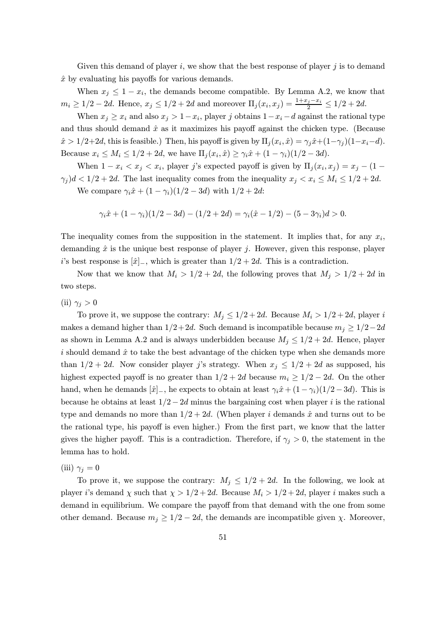Given this demand of player  $i$ , we show that the best response of player  $j$  is to demand  $\hat{x}$  by evaluating his payoffs for various demands.

When  $x_j \leq 1 - x_i$ , the demands become compatible. By Lemma A.2, we know that  $m_i \geq 1/2 - 2d$ . Hence,  $x_j \leq 1/2 + 2d$  and moreover  $\Pi_j(x_i, x_j) = \frac{1+x_j-x_i}{2} \leq 1/2 + 2d$ .

When  $x_j \geq x_i$  and also  $x_j > 1-x_i$ , player j obtains  $1-x_i - d$  against the rational type and thus should demand  $\hat{x}$  as it maximizes his payoff against the chicken type. (Because  $\hat{x} > 1/2+2d$ , this is feasible.) Then, his payoff is given by  $\Pi_j(x_i, \hat{x}) = \gamma_j \hat{x} + (1-\gamma_j)(1-x_i-d)$ . Because  $x_i \le M_i \le 1/2 + 2d$ , we have  $\Pi_i(x_i, \hat{x}) \ge \gamma_i \hat{x} + (1 - \gamma_i)(1/2 - 3d)$ .

When  $1 - x_i < x_j < x_i$ , player j's expected payoff is given by  $\Pi_j(x_i, x_j) = x_j - (1 \gamma_j$ )d < 1/2 + 2d. The last inequality comes from the inequality  $x_j < x_i \le M_i \le 1/2 + 2d$ .

We compare  $\gamma_i \hat{x} + (1 - \gamma_i)(1/2 - 3d)$  with  $1/2 + 2d$ :

$$
\gamma_i \hat{x} + (1 - \gamma_i)(1/2 - 3d) - (1/2 + 2d) = \gamma_i(\hat{x} - 1/2) - (5 - 3\gamma_i)d > 0.
$$

The inequality comes from the supposition in the statement. It implies that, for any  $x_i$ , demanding  $\hat{x}$  is the unique best response of player j. However, given this response, player i's best response is  $[\hat{x}]_-,$  which is greater than  $1/2+2d$ . This is a contradiction.

Now that we know that  $M_i > 1/2 + 2d$ , the following proves that  $M_j > 1/2 + 2d$  in two steps.

(ii)  $\gamma_i > 0$ 

To prove it, we suppose the contrary:  $M_j \leq 1/2 + 2d$ . Because  $M_i > 1/2 + 2d$ , player i makes a demand higher than  $1/2+2d$ . Such demand is incompatible because  $m_i \geq 1/2-2d$ as shown in Lemma A.2 and is always underbidden because  $M_j \leq 1/2 + 2d$ . Hence, player i should demand  $\hat{x}$  to take the best advantage of the chicken type when she demands more than  $1/2+2d$ . Now consider player j's strategy. When  $x_j \leq 1/2+2d$  as supposed, his highest expected payoff is no greater than  $1/2+2d$  because  $m_i \geq 1/2-2d$ . On the other hand, when he demands  $[\hat{x}]_-,$  he expects to obtain at least  $\gamma_i \hat{x} + (1 - \gamma_i)(1/2 - 3d)$ . This is because he obtains at least  $1/2-2d$  minus the bargaining cost when player i is the rational type and demands no more than  $1/2+2d$ . (When player i demands  $\hat{x}$  and turns out to be the rational type, his payoff is even higher.) From the first part, we know that the latter gives the higher payoff. This is a contradiction. Therefore, if  $\gamma_i > 0$ , the statement in the lemma has to hold.

(iii)  $\gamma_i = 0$ 

To prove it, we suppose the contrary:  $M_j \leq 1/2 + 2d$ . In the following, we look at player i's demand  $\chi$  such that  $\chi > 1/2 + 2d$ . Because  $M_i > 1/2 + 2d$ , player i makes such a demand in equilibrium. We compare the payoff from that demand with the one from some other demand. Because  $m_j \geq 1/2 - 2d$ , the demands are incompatible given  $\chi$ . Moreover,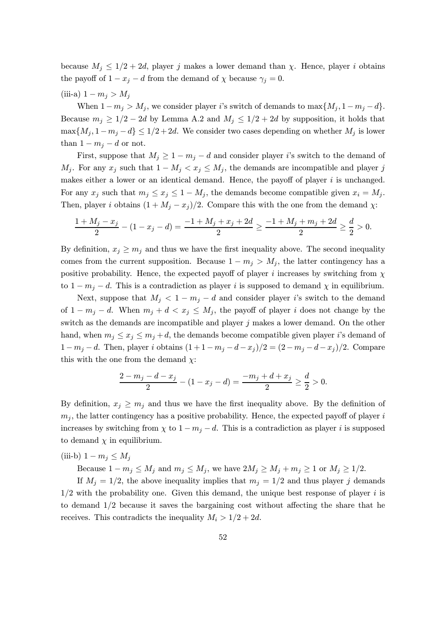because  $M_i \leq 1/2+2d$ , player j makes a lower demand than  $\chi$ . Hence, player i obtains the payoff of  $1 - x_j - d$  from the demand of  $\chi$  because  $\gamma_i = 0$ .

(iii-a)  $1 - m_j > M_j$ 

When  $1 - m_j > M_j$ , we consider player i's switch of demands to  $\max\{M_j, 1 - m_j - d\}.$ Because  $m_j \geq 1/2 - 2d$  by Lemma A.2 and  $M_j \leq 1/2 + 2d$  by supposition, it holds that  $\max\{M_j, 1-m_j-d\} \leq 1/2+2d$ . We consider two cases depending on whether  $M_j$  is lower than  $1 - m_j - d$  or not.

First, suppose that  $M_j \geq 1 - m_j - d$  and consider player i's switch to the demand of  $M_j$ . For any  $x_j$  such that  $1 - M_j < x_j \le M_j$ , the demands are incompatible and player j makes either a lower or an identical demand. Hence, the payoff of player  $i$  is unchanged. For any  $x_j$  such that  $m_j \le x_j \le 1 - M_j$ , the demands become compatible given  $x_i = M_j$ . Then, player i obtains  $(1 + M_j - x_j)/2$ . Compare this with the one from the demand  $\chi$ :

$$
\frac{1+M_j-x_j}{2}-(1-x_j-d)=\frac{-1+M_j+x_j+2d}{2}\geq \frac{-1+M_j+m_j+2d}{2}\geq \frac{d}{2}>0.
$$

By definition,  $x_j \geq m_j$  and thus we have the first inequality above. The second inequality comes from the current supposition. Because  $1 - m_j > M_j$ , the latter contingency has a positive probability. Hence, the expected payoff of player i increases by switching from  $\chi$ to  $1 - m_j - d$ . This is a contradiction as player i is supposed to demand  $\chi$  in equilibrium.

Next, suppose that  $M_j < 1 - m_j - d$  and consider player i's switch to the demand of  $1 - m_j - d$ . When  $m_j + d < x_j \leq M_j$ , the payoff of player i does not change by the switch as the demands are incompatible and player  $j$  makes a lower demand. On the other hand, when  $m_j \le x_j \le m_j + d$ , the demands become compatible given player i's demand of  $1 - m_j - d$ . Then, player i obtains  $(1 + 1 - m_j - d - x_j)/2 = (2 - m_j - d - x_j)/2$ . Compare this with the one from the demand  $\chi$ :

$$
\frac{2-m_j-d-x_j}{2}-(1-x_j-d)=\frac{-m_j+d+x_j}{2}\geq \frac{d}{2}>0.
$$

By definition,  $x_j \geq m_j$  and thus we have the first inequality above. By the definition of  $m_i$ , the latter contingency has a positive probability. Hence, the expected payoff of player i increases by switching from  $\chi$  to  $1 - m_j - d$ . This is a contradiction as player i is supposed to demand  $\chi$  in equilibrium.

(iii-b) 
$$
1 - m_j \leq M_j
$$

Because  $1 - m_j \le M_j$  and  $m_j \le M_j$ , we have  $2M_j \ge M_j + m_j \ge 1$  or  $M_j \ge 1/2$ .

If  $M_i = 1/2$ , the above inequality implies that  $m_i = 1/2$  and thus player j demands  $1/2$  with the probability one. Given this demand, the unique best response of player  $i$  is to demand 1/2 because it saves the bargaining cost without affecting the share that he receives. This contradicts the inequality  $M_i > 1/2 + 2d$ .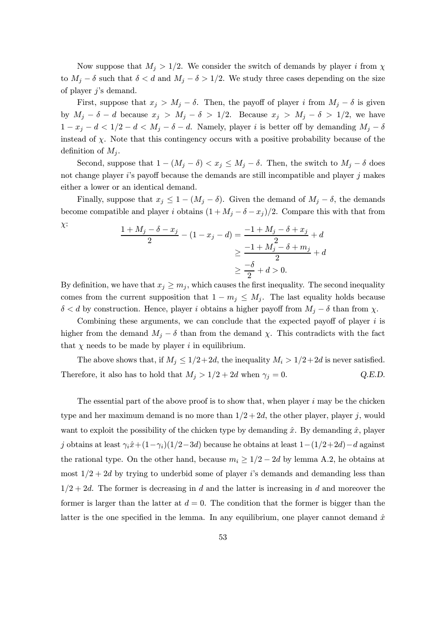Now suppose that  $M_i > 1/2$ . We consider the switch of demands by player i from  $\chi$ to  $M_j - \delta$  such that  $\delta < d$  and  $M_j - \delta > 1/2$ . We study three cases depending on the size of player  $j$ 's demand.

First, suppose that  $x_j > M_j - \delta$ . Then, the payoff of player i from  $M_j - \delta$  is given by  $M_j - \delta - d$  because  $x_j > M_j - \delta > 1/2$ . Because  $x_j > M_j - \delta > 1/2$ , we have  $1 - x_j - d < 1/2 - d < M_j - \delta - d$ . Namely, player i is better off by demanding  $M_j - \delta$ instead of  $\chi$ . Note that this contingency occurs with a positive probability because of the definition of  $M_i$ .

Second, suppose that  $1 - (M_j - \delta) < x_j \le M_j - \delta$ . Then, the switch to  $M_j - \delta$  does not change player  $i$ 's payoff because the demands are still incompatible and player  $j$  makes either a lower or an identical demand.

Finally, suppose that  $x_j \leq 1 - (M_j - \delta)$ . Given the demand of  $M_j - \delta$ , the demands become compatible and player i obtains  $(1 + M_j - \delta - x_j)/2$ . Compare this with that from χ:

$$
\frac{1 + M_j - \delta - x_j}{2} - (1 - x_j - d) = \frac{-1 + M_j - \delta + x_j}{2} + d
$$
  

$$
\geq \frac{-1 + M_j - \delta + m_j}{2} + d
$$
  

$$
\geq \frac{-\delta}{2} + d > 0.
$$

By definition, we have that  $x_i \geq m_i$ , which causes the first inequality. The second inequality comes from the current supposition that  $1 - m_j \leq M_j$ . The last equality holds because  $\delta < d$  by construction. Hence, player i obtains a higher payoff from  $M_j - \delta$  than from  $\chi$ .

Combining these arguments, we can conclude that the expected payoff of player  $i$  is higher from the demand  $M_i - \delta$  than from the demand  $\chi$ . This contradicts with the fact that  $\chi$  needs to be made by player i in equilibrium.

The above shows that, if  $M_j \leq 1/2+2d$ , the inequality  $M_i > 1/2+2d$  is never satisfied. Therefore, it also has to hold that  $M_j > 1/2 + 2d$  when  $\gamma_j = 0$ . Q.E.D.

The essential part of the above proof is to show that, when player  $i$  may be the chicken type and her maximum demand is no more than  $1/2+2d$ , the other player, player j, would want to exploit the possibility of the chicken type by demanding  $\hat{x}$ . By demanding  $\hat{x}$ , player j obtains at least  $\gamma_i \hat{x} + (1-\gamma_i)(1/2-3d)$  because he obtains at least  $1-(1/2+2d)-d$  against the rational type. On the other hand, because  $m_i \geq 1/2 - 2d$  by lemma A.2, he obtains at most  $1/2+2d$  by trying to underbid some of player is demands and demanding less than  $1/2+2d$ . The former is decreasing in d and the latter is increasing in d and moreover the former is larger than the latter at  $d = 0$ . The condition that the former is bigger than the latter is the one specified in the lemma. In any equilibrium, one player cannot demand  $\hat{x}$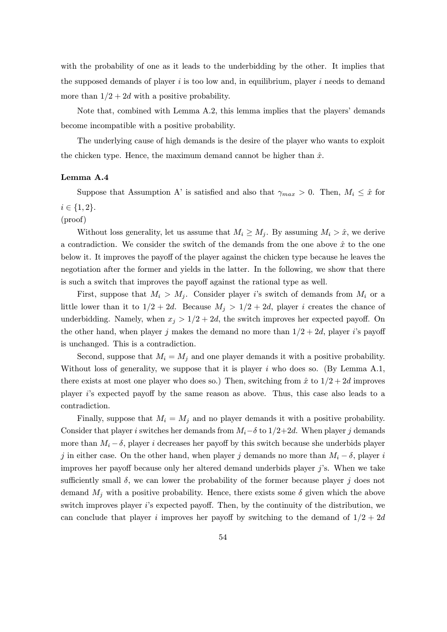with the probability of one as it leads to the underbidding by the other. It implies that the supposed demands of player  $i$  is too low and, in equilibrium, player  $i$  needs to demand more than  $1/2+2d$  with a positive probability.

Note that, combined with Lemma A.2, this lemma implies that the players' demands become incompatible with a positive probability.

The underlying cause of high demands is the desire of the player who wants to exploit the chicken type. Hence, the maximum demand cannot be higher than  $\hat{x}$ .

### Lemma A.4

Suppose that Assumption A' is satisfied and also that  $\gamma_{max} > 0$ . Then,  $M_i \leq \hat{x}$  for  $i \in \{1, 2\}.$ 

#### (proof)

Without loss generality, let us assume that  $M_i \geq M_j$ . By assuming  $M_i > \hat{x}$ , we derive a contradiction. We consider the switch of the demands from the one above  $\hat{x}$  to the one below it. It improves the payoff of the player against the chicken type because he leaves the negotiation after the former and yields in the latter. In the following, we show that there is such a switch that improves the payoff against the rational type as well.

First, suppose that  $M_i > M_j$ . Consider player is switch of demands from  $M_i$  or a little lower than it to  $1/2+2d$ . Because  $M_j > 1/2+2d$ , player i creates the chance of underbidding. Namely, when  $x_j > 1/2 + 2d$ , the switch improves her expected payoff. On the other hand, when player j makes the demand no more than  $1/2+2d$ , player i's payoff is unchanged. This is a contradiction.

Second, suppose that  $M_i = M_j$  and one player demands it with a positive probability. Without loss of generality, we suppose that it is player  $i$  who does so. (By Lemma A.1, there exists at most one player who does so.) Then, switching from  $\hat{x}$  to  $1/2+2d$  improves player i's expected payoff by the same reason as above. Thus, this case also leads to a contradiction.

Finally, suppose that  $M_i = M_j$  and no player demands it with a positive probability. Consider that player i switches her demands from  $M_i-\delta$  to  $1/2+2d$ . When player j demands more than  $M_i - \delta$ , player i decreases her payoff by this switch because she underbids player j in either case. On the other hand, when player j demands no more than  $M_i - \delta$ , player i improves her payoff because only her altered demand underbids player  $j$ 's. When we take sufficiently small  $\delta$ , we can lower the probability of the former because player j does not demand  $M_i$  with a positive probability. Hence, there exists some  $\delta$  given which the above switch improves player i's expected payoff. Then, by the continuity of the distribution, we can conclude that player i improves her payoff by switching to the demand of  $1/2+2d$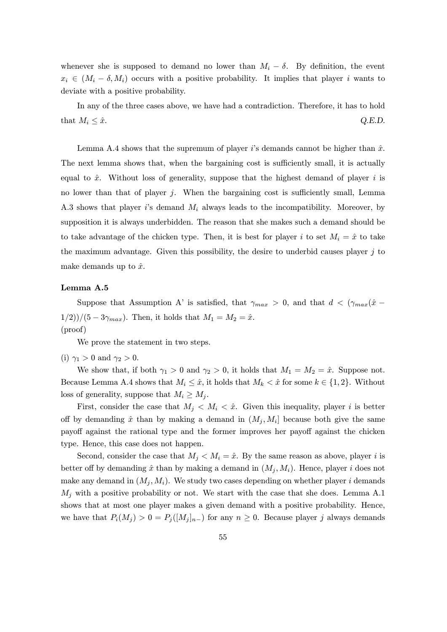whenever she is supposed to demand no lower than  $M_i - \delta$ . By definition, the event  $x_i \in (M_i - \delta, M_i)$  occurs with a positive probability. It implies that player i wants to deviate with a positive probability.

In any of the three cases above, we have had a contradiction. Therefore, it has to hold that  $M_i \leq \hat{x}$ . Q.E.D.

Lemma A.4 shows that the supremum of player i's demands cannot be higher than  $\hat{x}$ . The next lemma shows that, when the bargaining cost is sufficiently small, it is actually equal to  $\hat{x}$ . Without loss of generality, suppose that the highest demand of player i is no lower than that of player  $j$ . When the bargaining cost is sufficiently small, Lemma A.3 shows that player is demand  $M_i$  always leads to the incompatibility. Moreover, by supposition it is always underbidden. The reason that she makes such a demand should be to take advantage of the chicken type. Then, it is best for player i to set  $M_i = \hat{x}$  to take the maximum advantage. Given this possibility, the desire to underbid causes player  $j$  to make demands up to  $\hat{x}$ .

#### Lemma A.5

Suppose that Assumption A' is satisfied, that  $\gamma_{max} > 0$ , and that  $d < (\gamma_{max}(\hat{x} - \hat{y}))$  $1/2)/(5 - 3\gamma_{max})$ . Then, it holds that  $M_1 = M_2 = \hat{x}$ . (proof)

We prove the statement in two steps.

(i)  $\gamma_1 > 0$  and  $\gamma_2 > 0$ .

We show that, if both  $\gamma_1 > 0$  and  $\gamma_2 > 0$ , it holds that  $M_1 = M_2 = \hat{x}$ . Suppose not. Because Lemma A.4 shows that  $M_i \leq \hat{x}$ , it holds that  $M_k < \hat{x}$  for some  $k \in \{1,2\}$ . Without loss of generality, suppose that  $M_i \geq M_j$ .

First, consider the case that  $M_i < M_i < \hat{x}$ . Given this inequality, player i is better off by demanding  $\hat{x}$  than by making a demand in  $(M_j, M_i]$  because both give the same payoff against the rational type and the former improves her payoff against the chicken type. Hence, this case does not happen.

Second, consider the case that  $M_i < M_i = \hat{x}$ . By the same reason as above, player i is better off by demanding  $\hat{x}$  than by making a demand in  $(M_i, M_i)$ . Hence, player i does not make any demand in  $(M_i, M_i)$ . We study two cases depending on whether player i demands  $M_j$  with a positive probability or not. We start with the case that she does. Lemma A.1 shows that at most one player makes a given demand with a positive probability. Hence, we have that  $P_i(M_j) > 0 = P_j([M_j]_{n-})$  for any  $n \geq 0$ . Because player j always demands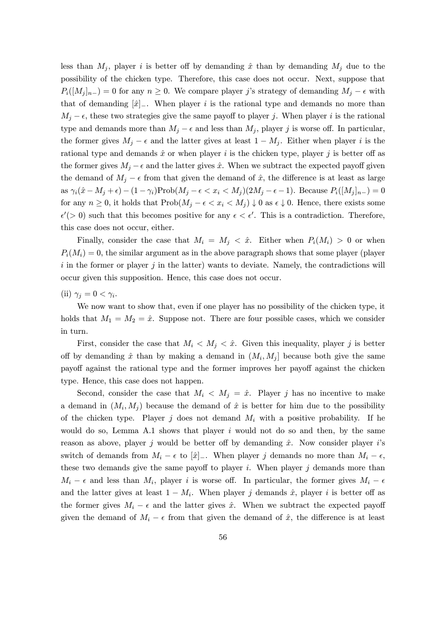less than  $M_i$ , player i is better off by demanding  $\hat{x}$  than by demanding  $M_i$  due to the possibility of the chicken type. Therefore, this case does not occur. Next, suppose that  $P_i([M_i]_{n-}) = 0$  for any  $n \geq 0$ . We compare player j's strategy of demanding  $M_i - \epsilon$  with that of demanding  $[\hat{x}]_-,$  When player i is the rational type and demands no more than  $M_i - \epsilon$ , these two strategies give the same payoff to player j. When player i is the rational type and demands more than  $M_j - \epsilon$  and less than  $M_j$ , player j is worse off. In particular, the former gives  $M_j - \epsilon$  and the latter gives at least  $1 - M_j$ . Either when player i is the rational type and demands  $\hat{x}$  or when player i is the chicken type, player j is better off as the former gives  $M_i - \epsilon$  and the latter gives  $\hat{x}$ . When we subtract the expected payoff given the demand of  $M_i - \epsilon$  from that given the demand of  $\hat{x}$ , the difference is at least as large as  $\gamma_i(\hat{x} - M_j + \epsilon) - (1 - \gamma_i) \text{Prob}(M_j - \epsilon < x_i < M_j)(2M_j - \epsilon - 1)$ . Because  $P_i([M_j]_{n-}) = 0$ for any  $n \geq 0$ , it holds that  $\text{Prob}(M_i - \epsilon < x_i < M_i) \downarrow 0$  as  $\epsilon \downarrow 0$ . Hence, there exists some  $\epsilon'(0)$  such that this becomes positive for any  $\epsilon < \epsilon'$ . This is a contradiction. Therefore, this case does not occur, either.

Finally, consider the case that  $M_i = M_j < \hat{x}$ . Either when  $P_i(M_i) > 0$  or when  $P_i(M_i) = 0$ , the similar argument as in the above paragraph shows that some player (player i in the former or player j in the latter) wants to deviate. Namely, the contradictions will occur given this supposition. Hence, this case does not occur.

(ii)  $\gamma_j = 0 < \gamma_i$ .

We now want to show that, even if one player has no possibility of the chicken type, it holds that  $M_1 = M_2 = \hat{x}$ . Suppose not. There are four possible cases, which we consider in turn.

First, consider the case that  $M_i < M_j < \hat{x}$ . Given this inequality, player j is better off by demanding  $\hat{x}$  than by making a demand in  $(M_i, M_j]$  because both give the same payoff against the rational type and the former improves her payoff against the chicken type. Hence, this case does not happen.

Second, consider the case that  $M_i \langle M_j = \hat{x} \rangle$ . Player j has no incentive to make a demand in  $(M_i, M_j)$  because the demand of  $\hat{x}$  is better for him due to the possibility of the chicken type. Player j does not demand  $M_i$  with a positive probability. If he would do so, Lemma A.1 shows that player  $i$  would not do so and then, by the same reason as above, player j would be better off by demanding  $\hat{x}$ . Now consider player is switch of demands from  $M_i - \epsilon$  to  $[\hat{x}]_-.$  When player j demands no more than  $M_i - \epsilon$ , these two demands give the same payoff to player  $i$ . When player  $j$  demands more than  $M_i - \epsilon$  and less than  $M_i$ , player i is worse off. In particular, the former gives  $M_i - \epsilon$ and the latter gives at least  $1 - M_i$ . When player j demands  $\hat{x}$ , player i is better off as the former gives  $M_i - \epsilon$  and the latter gives  $\hat{x}$ . When we subtract the expected payoff given the demand of  $M_i - \epsilon$  from that given the demand of  $\hat{x}$ , the difference is at least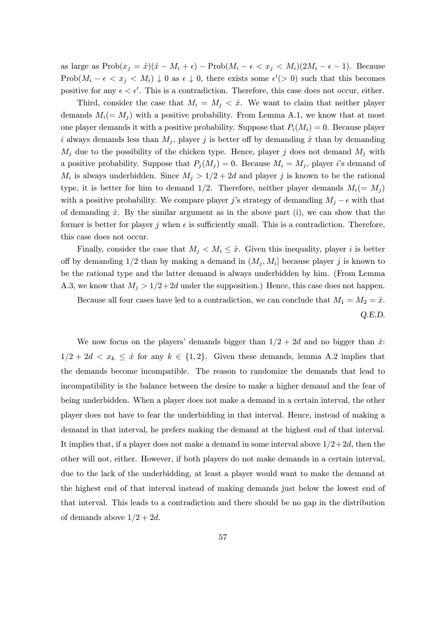as large as  $\text{Prob}(x_j = \hat{x})(\hat{x} - M_i + \epsilon) - \text{Prob}(M_i - \epsilon < x_j < M_i)(2M_i - \epsilon - 1)$ . Because Prob $(M_i - \epsilon \langle x_j \rangle \langle M_i \rangle) \downarrow 0$  as  $\epsilon \downarrow 0$ , there exists some  $\epsilon' > 0$  such that this becomes positive for any  $\epsilon < \epsilon'$ . This is a contradiction. Therefore, this case does not occur, either.

Third, consider the case that  $M_i = M_j < \hat{x}$ . We want to claim that neither player demands  $M_i(= M_i)$  with a positive probability. From Lemma A.1, we know that at most one player demands it with a positive probability. Suppose that  $P_i(M_i) = 0$ . Because player i always demands less than  $M_j$ , player j is better off by demanding  $\hat{x}$  than by demanding  $M_i$  due to the possibility of the chicken type. Hence, player j does not demand  $M_i$  with a positive probability. Suppose that  $P_j(M_j) = 0$ . Because  $M_i = M_j$ , player i's demand of  $M_i$  is always underbidden. Since  $M_i > 1/2 + 2d$  and player j is known to be the rational type, it is better for him to demand 1/2. Therefore, neither player demands  $M_i(= M_j)$ with a positive probability. We compare player j's strategy of demanding  $M_i - \epsilon$  with that of demanding  $\hat{x}$ . By the similar argument as in the above part (i), we can show that the former is better for player j when  $\epsilon$  is sufficiently small. This is a contradiction. Therefore, this case does not occur.

Finally, consider the case that  $M_j < M_i \leq \hat{x}$ . Given this inequality, player i is better off by demanding  $1/2$  than by making a demand in  $(M_i, M_i]$  because player j is known to be the rational type and the latter demand is always underbidden by him. (From Lemma A.3, we know that  $M_i > 1/2+2d$  under the supposition.) Hence, this case does not happen. Because all four cases have led to a contradiction, we can conclude that  $M_1 = M_2 = \hat{x}$ .

Q.E.D.

We now focus on the players' demands bigger than  $1/2+2d$  and no bigger than  $\hat{x}$ :  $1/2+2d < x_k \leq \hat{x}$  for any  $k \in \{1,2\}$ . Given these demands, lemma A.2 implies that the demands become incompatible. The reason to randomize the demands that lead to incompatibility is the balance between the desire to make a higher demand and the fear of being underbidden. When a player does not make a demand in a certain interval, the other player does not have to fear the underbidding in that interval. Hence, instead of making a demand in that interval, he prefers making the demand at the highest end of that interval. It implies that, if a player does not make a demand in some interval above  $1/2+2d$ , then the other will not, either. However, if both players do not make demands in a certain interval, due to the lack of the underbidding, at least a player would want to make the demand at the highest end of that interval instead of making demands just below the lowest end of that interval. This leads to a contradiction and there should be no gap in the distribution of demands above  $1/2+2d$ .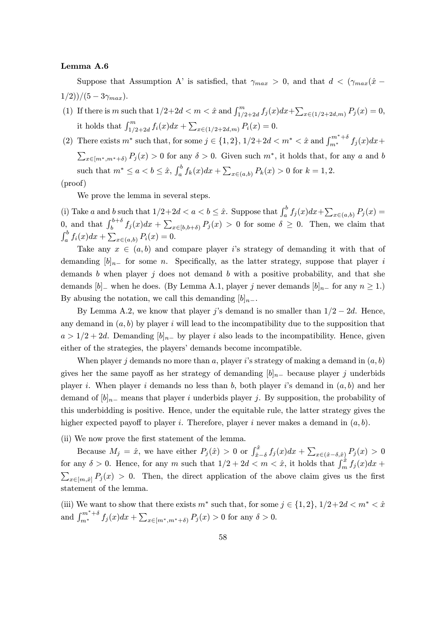#### Lemma A.6

Suppose that Assumption A' is satisfied, that  $\gamma_{max} > 0$ , and that  $d < (\gamma_{max}(\hat{x} 1/2)/(5-3\gamma_{max}).$ 

(1) If there is m such that  $1/2+2d < m < \hat{x}$  and  $\int_{1/2+2d}^{m} f_j(x)dx + \sum_{x \in (1/2+2d,m)} P_j(x) = 0$ , it holds that  $\int_{1/2+2d}^{m} f_i(x)dx + \sum_{x \in (1/2+2d,m)} P_i(x) = 0.$ 

(2) There exists  $m^*$  such that, for some  $j \in \{1, 2\}$ ,  $1/2+2d < m^* < \hat{x}$  and  $\int_{m^*}^{m^*+\delta} f_j(x)dx +$  $\sum_{x \in [m^*,m^*+\delta)} P_j(x) > 0$  for any  $\delta > 0$ . Given such  $m^*$ , it holds that, for any a and b such that  $m^* \le a < b \le \hat{x}$ ,  $\int_a^b f_k(x)dx + \sum_{x \in (a,b)} P_k(x) > 0$  for  $k = 1, 2$ .

(proof)

We prove the lemma in several steps.

(i) Take a and b such that  $1/2+2d < a < b \leq \hat{x}$ . Suppose that  $\int_a^b f_j(x)dx + \sum_{x \in (a,b)} P_j(x) =$  $\int_{b}^{b+\delta} f_j(x)dx + \sum_{x\in [b,b+\delta)} P_j(x) > 0$  for some  $\delta \geq 0$ . Then, we claim that  $\int_a^b f_i(x)dx + \sum_{x \in (a,b)} P_i(x) = 0.$ 

Take any  $x \in (a, b)$  and compare player is strategy of demanding it with that of demanding  $[b]_{n-}$  for some n. Specifically, as the latter strategy, suppose that player i demands b when player j does not demand b with a positive probability, and that she demands  $[b]_$  when he does. (By Lemma A.1, player j never demands  $[b]_{n-}$  for any  $n \geq 1$ .) By abusing the notation, we call this demanding  $[b]_{n-}$ .

By Lemma A.2, we know that player j's demand is no smaller than  $1/2 - 2d$ . Hence, any demand in  $(a, b)$  by player i will lead to the incompatibility due to the supposition that  $a > 1/2 + 2d$ . Demanding  $[b]_{n-}$  by player i also leads to the incompatibility. Hence, given either of the strategies, the players' demands become incompatible.

When player j demands no more than a, player i's strategy of making a demand in  $(a, b)$ gives her the same payoff as her strategy of demanding  $[b]_{n-}$  because player j underbids player i. When player i demands no less than b, both player i's demand in  $(a, b)$  and her demand of  $[b]_{n-}$  means that player i underbids player j. By supposition, the probability of this underbidding is positive. Hence, under the equitable rule, the latter strategy gives the higher expected payoff to player *i*. Therefore, player *i* never makes a demand in  $(a, b)$ .

(ii) We now prove the first statement of the lemma.

Because  $M_j = \hat{x}$ , we have either  $P_j(\hat{x}) > 0$  or  $\int_{\hat{x}-\delta}^{\hat{x}} f_j(x) dx + \sum_{x \in (\hat{x}-\delta, \hat{x})} P_j(x) > 0$ for any  $\delta > 0$ . Hence, for any m such that  $1/2 + 2d < m < \hat{x}$ , it holds that  $\int_m^{\hat{x}} f_j(x) dx +$  $\sum_{x\in[m,\hat{x}]} P_j(x) > 0$ . Then, the direct application of the above claim gives us the first statement of the lemma.

(iii) We want to show that there exists  $m^*$  such that, for some  $j \in \{1,2\}, 1/2+2d < m^* < \hat{x}$ and  $\int_{m^*}^{m^*+\delta} f_j(x)dx + \sum_{x \in [m^*, m^*+\delta)} P_j(x) > 0$  for any  $\delta > 0$ .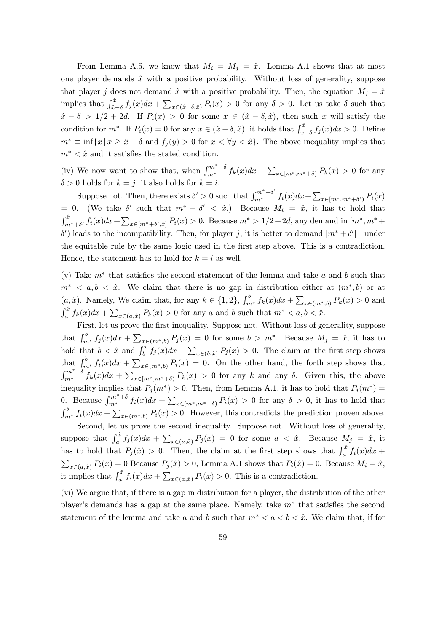From Lemma A.5, we know that  $M_i = M_j = \hat{x}$ . Lemma A.1 shows that at most one player demands  $\hat{x}$  with a positive probability. Without loss of generality, suppose that player j does not demand  $\hat{x}$  with a positive probability. Then, the equation  $M_i = \hat{x}$ implies that  $\int_{\hat{x}-\delta}^{\hat{x}} f_j(x)dx + \sum_{x\in(\hat{x}-\delta,\hat{x})} P_i(x) > 0$  for any  $\delta > 0$ . Let us take  $\delta$  such that  $\hat{x} - \delta > 1/2 + 2d$ . If  $P_i(x) > 0$  for some  $x \in (\hat{x} - \delta, \hat{x})$ , then such x will satisfy the condition for  $m^*$ . If  $P_i(x) = 0$  for any  $x \in (\hat{x} - \delta, \hat{x})$ , it holds that  $\int_{\hat{x}-\delta}^{\hat{x}} f_j(x)dx > 0$ . Define  $m^* \equiv \inf\{x \mid x \geq \hat{x} - \delta \text{ and } f_j(y) > 0 \text{ for } x < \forall y < \hat{x}\}.$  The above inequality implies that  $m^* < \hat{x}$  and it satisfies the stated condition.

(iv) We now want to show that, when  $\int_{m^*}^{m^*+\delta} f_k(x)dx + \sum_{x\in [m^*,m^*+\delta)} P_k(x) > 0$  for any  $\delta > 0$  holds for  $k = j$ , it also holds for  $k = i$ .

Suppose not. Then, there exists  $\delta' > 0$  such that  $\int_{m^*}^{m^* + \delta'} f_i(x) dx + \sum_{x \in [m^*, m^* + \delta')} P_i(x)$ = 0. (We take  $\delta'$  such that  $m^* + \delta' < \hat{x}$ .) Because  $M_i = \hat{x}$ , it has to hold that  $\int_{m^*+\delta'}^{\hat{x}} f_i(x)dx + \sum_{x \in [m^*+\delta',\hat{x}]} P_i(x) > 0$ . Because  $m^* > 1/2 + 2d$ , any demand in  $[m^*, m^* +$ δ') leads to the incompatibility. Then, for player j, it is better to demand  $[m^* + \delta']$  under the equitable rule by the same logic used in the first step above. This is a contradiction. Hence, the statement has to hold for  $k = i$  as well.

(v) Take  $m^*$  that satisfies the second statement of the lemma and take a and b such that  $m^*$  < a, b <  $\hat{x}$ . We claim that there is no gap in distribution either at  $(m^*,b)$  or at  $(a, \hat{x})$ . Namely, We claim that, for any  $k \in \{1, 2\}$ ,  $\int_{m^*}^b f_k(x)dx + \sum_{x \in (m^*, b)} P_k(x) > 0$  and  $\int_a^{\hat{x}} f_k(x)dx + \sum_{x \in (a,\hat{x})} P_k(x) > 0$  for any a and b such that  $m^* < a, b < \hat{x}$ .

First, let us prove the first inequality. Suppose not. Without loss of generality, suppose that  $\int_{m^*}^b f_j(x)dx + \sum_{x \in (m^*,b)} P_j(x) = 0$  for some  $b > m^*$ . Because  $M_j = \hat{x}$ , it has to hold that  $b < \hat{x}$  and  $\int_b^{\hat{x}} f_j(x) dx + \sum_{x \in (b,\hat{x})} P_j(x) > 0$ . The claim at the first step shows that  $\int_{m^*}^{b} f_i(x)dx + \sum_{x \in (m^*,b)} P_i(x) = 0$ . On the other hand, the forth step shows that  $\int_{m^*}^{m^*+\delta} f_k(x)dx + \sum_{x\in [m^*,m^*+\delta)} P_k(x) > 0$  for any k and any  $\delta$ . Given this, the above inequality implies that  $P_j(m^*) > 0$ . Then, from Lemma A.1, it has to hold that  $P_i(m^*) =$ 0. Because  $\int_{m^*}^{m^*+\delta} f_i(x)dx + \sum_{x\in [m^*,m^*+\delta]} P_i(x) > 0$  for any  $\delta > 0$ , it has to hold that  $\int_{m^*}^b f_i(x)dx + \sum_{x \in (m^*,b)} P_i(x) > 0$ . However, this contradicts the prediction proven above.

Second, let us prove the second inequality. Suppose not. Without loss of generality, suppose that  $\int_a^{\hat{x}} f_j(x)dx + \sum_{x \in (a,\hat{x})} P_j(x) = 0$  for some  $a < \hat{x}$ . Because  $M_j = \hat{x}$ , it has to hold that  $P_j(\hat{x}) > 0$ . Then, the claim at the first step shows that  $\int_a^{\hat{x}} f_i(x)dx +$  $\sum_{x \in (a,\hat{x})} P_i(x) = 0$  Because  $P_j(\hat{x}) > 0$ , Lemma A.1 shows that  $P_i(\hat{x}) = 0$ . Because  $M_i = \hat{x}$ , it implies that  $\int_a^{\hat{x}} f_i(x)dx + \sum_{x \in (a,\hat{x})} P_i(x) > 0$ . This is a contradiction.

(vi) We argue that, if there is a gap in distribution for a player, the distribution of the other player's demands has a gap at the same place. Namely, take  $m^*$  that satisfies the second statement of the lemma and take a and b such that  $m^* < a < b < \hat{x}$ . We claim that, if for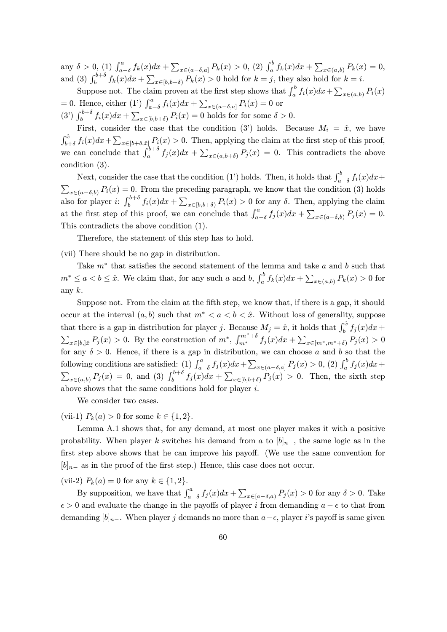any  $\delta > 0$ , (1)  $\int_{a-\delta}^{a} f_k(x)dx + \sum_{x \in (a-\delta,a]} P_k(x) > 0$ , (2)  $\int_a^b f_k(x)dx + \sum_{x \in (a,b)} P_k(x) = 0$ , and (3)  $\int_{b}^{b+\delta} f_k(x)dx + \sum_{x \in [b, b+\delta)} P_k(x) > 0$  hold for  $k = j$ , they also hold for  $k = i$ .

Suppose not. The claim proven at the first step shows that  $\int_a^b f_i(x)dx + \sum_{x \in (a,b)} P_i(x)$ = 0. Hence, either (1')  $\int_{a-\delta}^{a} f_i(x)dx + \sum_{x \in (a-\delta,a]} P_i(x) = 0$  or (3')  $\int_b^{b+\delta} f_i(x)dx + \sum_{x \in [b, b+\delta)} P_i(x) = 0$  holds for for some  $\delta > 0$ .

First, consider the case that the condition (3') holds. Because  $M_i = \hat{x}$ , we have  $\int_{b+\delta}^{\hat{x}} f_i(x)dx + \sum_{x \in [b+\delta,\hat{x}]} P_i(x) > 0$ . Then, applying the claim at the first step of this proof, we can conclude that  $\int_a^{b+\delta} f_j(x)dx + \sum_{x \in (a,b+\delta)} P_j(x) = 0$ . This contradicts the above condition (3).

Next, consider the case that the condition (1') holds. Then, it holds that  $\int_{a-\delta}^{b} f_i(x)dx +$  $\sum_{x \in (a-\delta,b)} P_i(x) = 0$ . From the preceding paragraph, we know that the condition (3) holds also for player i:  $\int_b^{b+\delta} f_i(x)dx + \sum_{x\in [b,b+\delta)} P_i(x) > 0$  for any  $\delta$ . Then, applying the claim at the first step of this proof, we can conclude that  $\int_{a-\delta}^{a} f_j(x)dx + \sum_{x \in (a-\delta,b)} P_j(x) = 0$ . This contradicts the above condition (1).

Therefore, the statement of this step has to hold.

(vii) There should be no gap in distribution.

Take  $m^*$  that satisfies the second statement of the lemma and take a and b such that  $m^* \le a < b \le \hat{x}$ . We claim that, for any such a and b,  $\int_a^b f_k(x)dx + \sum_{x \in (a,b)} P_k(x) > 0$  for any  $k$ .

Suppose not. From the claim at the fifth step, we know that, if there is a gap, it should occur at the interval  $(a, b)$  such that  $m^* < a < b < \hat{x}$ . Without loss of generality, suppose that there is a gap in distribution for player j. Because  $M_j = \hat{x}$ , it holds that  $\int_b^{\hat{x}} f_j(x) dx +$  $\sum_{x \in [b], \hat{x}} P_j(x) > 0$ . By the construction of  $m^*$ ,  $\int_{m^*}^{m^* + \delta} f_j(x) dx + \sum_{x \in [m^*, m^* + \delta)} P_j(x) > 0$ for any  $\delta > 0$ . Hence, if there is a gap in distribution, we can choose a and b so that the following conditions are satisfied: (1)  $\int_{a-\delta}^{a} f_j(x)dx + \sum_{x \in (a-\delta,a]} P_j(x) > 0$ , (2)  $\int_a^b f_j(x)dx +$  $\sum_{x \in (a,b)} P_j(x) = 0$ , and (3)  $\int_b^{b+\delta} f_j(x) dx + \sum_{x \in [b,b+\delta)} P_j(x) > 0$ . Then, the sixth step above shows that the same conditions hold for player  $i$ .

We consider two cases.

(vii-1)  $P_k(a) > 0$  for some  $k \in \{1, 2\}.$ 

Lemma A.1 shows that, for any demand, at most one player makes it with a positive probability. When player k switches his demand from a to  $[b]_{n-}$ , the same logic as in the first step above shows that he can improve his payoff. (We use the same convention for  $[b]_{n-}$  as in the proof of the first step.) Hence, this case does not occur.

(vii-2)  $P_k(a) = 0$  for any  $k \in \{1, 2\}.$ 

By supposition, we have that  $\int_{a-\delta}^{a} f_j(x)dx + \sum_{x\in [a-\delta,a)} P_j(x) > 0$  for any  $\delta > 0$ . Take  $\epsilon > 0$  and evaluate the change in the payoffs of player i from demanding  $a - \epsilon$  to that from demanding  $[b]_{n-}$ . When player j demands no more than  $a-\epsilon$ , player i's payoff is same given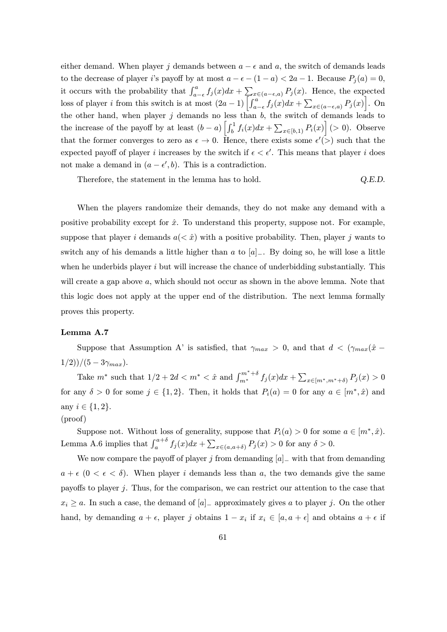either demand. When player j demands between  $a - \epsilon$  and a, the switch of demands leads to the decrease of player i's payoff by at most  $a - \epsilon - (1 - a) < 2a - 1$ . Because  $P_i(a) = 0$ , it occurs with the probability that  $\int_{a-\epsilon}^{a} f_j(x)dx + \sum_{\substack{x \in (a-\epsilon,a)}} P_j(x)$ . Hence, the expected loss of player *i* from this switch is at most  $(2a-1)\left[\int_{a-\epsilon}^{a} f_j(x)dx + \sum_{x \in (a-\epsilon,a)} P_j(x)\right]$ . On the other hand, when player j demands no less than  $b$ , the switch of demands leads to the increase of the payoff by at least  $(b-a)\left[\int_b^1 f_i(x)dx + \sum_{x\in[b,1)} P_i(x)\right]$  (> 0). Observe that the former converges to zero as  $\epsilon \to 0$ . Hence, there exists some  $\epsilon'(>)$  such that the expected payoff of player i increases by the switch if  $\epsilon < \epsilon'$ . This means that player i does not make a demand in  $(a - \epsilon', b)$ . This is a contradiction.

Therefore, the statement in the lemma has to hold.  $Q.E.D.$ 

When the players randomize their demands, they do not make any demand with a positive probability except for  $\hat{x}$ . To understand this property, suppose not. For example, suppose that player i demands  $a( $\hat{x}$ ) with a positive probability. Then, player j wants to$ switch any of his demands a little higher than a to  $[a]_-.$  By doing so, he will lose a little when he underbids player  $i$  but will increase the chance of underbidding substantially. This will create a gap above a, which should not occur as shown in the above lemma. Note that this logic does not apply at the upper end of the distribution. The next lemma formally proves this property.

### Lemma A.7

Suppose that Assumption A' is satisfied, that  $\gamma_{max} > 0$ , and that  $d < (\gamma_{max}(\hat{x} - \hat{y}))$  $1/2)/(5-3\gamma_{max}).$ 

Take  $m^*$  such that  $1/2 + 2d < m^* < \hat{x}$  and  $\int_{m^*}^{m^* + \delta} f_j(x) dx + \sum_{x \in [m^*, m^* + \delta)} P_j(x) > 0$ for any  $\delta > 0$  for some  $j \in \{1,2\}$ . Then, it holds that  $P_i(a) = 0$  for any  $a \in [m^*, \hat{x})$  and any  $i \in \{1, 2\}.$ 

(proof)

Suppose not. Without loss of generality, suppose that  $P_i(a) > 0$  for some  $a \in [m^*, \hat{x})$ . Lemma A.6 implies that  $\int_{a}^{a+\delta} f_j(x)dx + \sum_{x \in (a,a+\delta)} P_j(x) > 0$  for any  $\delta > 0$ .

We now compare the payoff of player j from demanding  $[a]_$  with that from demanding  $a + \epsilon$  ( $0 < \epsilon < \delta$ ). When player i demands less than a, the two demands give the same payoffs to player j. Thus, for the comparison, we can restrict our attention to the case that  $x_i \ge a$ . In such a case, the demand of  $[a]_+$  approximately gives a to player j. On the other hand, by demanding  $a + \epsilon$ , player j obtains  $1 - x_i$  if  $x_i \in [a, a + \epsilon]$  and obtains  $a + \epsilon$  if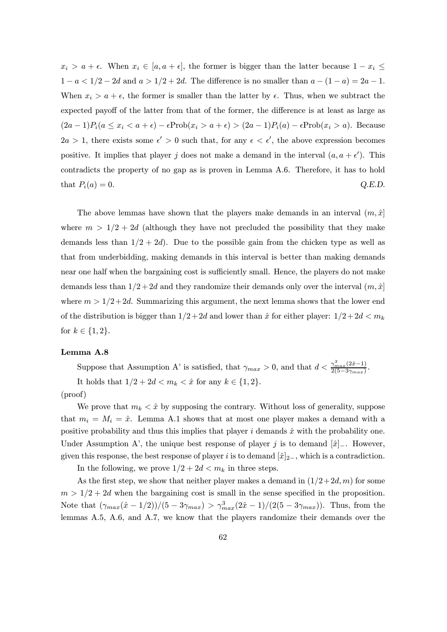$x_i > a + \epsilon$ . When  $x_i \in [a, a + \epsilon]$ , the former is bigger than the latter because  $1 - x_i \leq$  $1 - a < 1/2 - 2d$  and  $a > 1/2 + 2d$ . The difference is no smaller than  $a - (1 - a) = 2a - 1$ . When  $x_i > a + \epsilon$ , the former is smaller than the latter by  $\epsilon$ . Thus, when we subtract the expected payoff of the latter from that of the former, the difference is at least as large as  $(2a-1)P_i(a \le x_i < a+\epsilon) - \epsilon \text{Prob}(x_i > a+\epsilon) > (2a-1)P_i(a) - \epsilon \text{Prob}(x_i > a)$ . Because  $2a > 1$ , there exists some  $\epsilon' > 0$  such that, for any  $\epsilon < \epsilon'$ , the above expression becomes positive. It implies that player j does not make a demand in the interval  $(a, a + \epsilon')$ . This contradicts the property of no gap as is proven in Lemma A.6. Therefore, it has to hold that  $P_i(a) = 0.$  Q.E.D.

The above lemmas have shown that the players make demands in an interval  $(m, \hat{x})$ where  $m > 1/2 + 2d$  (although they have not precluded the possibility that they make demands less than  $1/2+2d$ . Due to the possible gain from the chicken type as well as that from underbidding, making demands in this interval is better than making demands near one half when the bargaining cost is sufficiently small. Hence, the players do not make demands less than  $1/2+2d$  and they randomize their demands only over the interval  $(m, \hat{x})$ where  $m > 1/2+2d$ . Summarizing this argument, the next lemma shows that the lower end of the distribution is bigger than  $1/2+2d$  and lower than  $\hat{x}$  for either player:  $1/2+2d < m_k$ for  $k \in \{1, 2\}.$ 

### Lemma A.8

Suppose that Assumption A' is satisfied, that  $\gamma_{max} > 0$ , and that  $d < \frac{\gamma_{max}^3(2\hat{x}-1)}{2(5-3\gamma_{max})}$ . It holds that  $1/2 + 2d < m_k < \hat{x}$  for any  $k \in \{1, 2\}.$ 

(proof)

We prove that  $m_k < \hat{x}$  by supposing the contrary. Without loss of generality, suppose that  $m_i = M_i = \hat{x}$ . Lemma A.1 shows that at most one player makes a demand with a positive probability and thus this implies that player i demands  $\hat{x}$  with the probability one. Under Assumption A', the unique best response of player j is to demand  $[\hat{x}]_-.$  However, given this response, the best response of player i is to demand  $[\hat{x}]_{2-}$ , which is a contradiction.

In the following, we prove  $1/2+2d < m_k$  in three steps.

As the first step, we show that neither player makes a demand in  $(1/2+2d, m)$  for some  $m > 1/2 + 2d$  when the bargaining cost is small in the sense specified in the proposition. Note that  $(\gamma_{max}(\hat{x} - 1/2))/(5 - 3\gamma_{max}) > \gamma_{max}^3(2\hat{x} - 1)/(2(5 - 3\gamma_{max}))$ . Thus, from the lemmas A.5, A.6, and A.7, we know that the players randomize their demands over the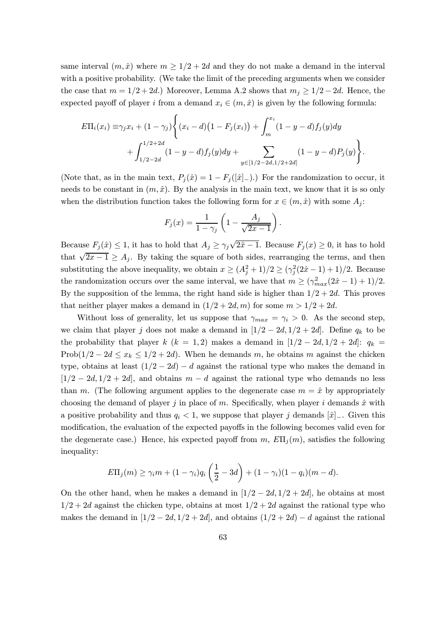same interval  $(m, \hat{x})$  where  $m \geq 1/2 + 2d$  and they do not make a demand in the interval with a positive probability. (We take the limit of the preceding arguments when we consider the case that  $m = 1/2 + 2d$ .) Moreover, Lemma A.2 shows that  $m_j \geq 1/2 - 2d$ . Hence, the expected payoff of player i from a demand  $x_i \in (m, \hat{x})$  is given by the following formula:

$$
E\Pi_i(x_i) \equiv \gamma_j x_i + (1 - \gamma_j) \Biggl\{ (x_i - d) (1 - F_j(x_i)) + \int_m^{x_i} (1 - y - d) f_j(y) dy + \int_{1/2 - 2d}^{1/2 + 2d} (1 - y - d) f_j(y) dy + \sum_{y \in [1/2 - 2d, 1/2 + 2d]} (1 - y - d) P_j(y) \Biggr\}.
$$

(Note that, as in the main text,  $P_i(\hat{x})=1 - F_i([\hat{x}]_+)$ .) For the randomization to occur, it needs to be constant in  $(m, \hat{x})$ . By the analysis in the main text, we know that it is so only when the distribution function takes the following form for  $x \in (m, \hat{x})$  with some  $A_i$ :

$$
F_j(x) = \frac{1}{1 - \gamma_j} \left( 1 - \frac{A_j}{\sqrt{2x - 1}} \right).
$$

Because  $F_j(\hat{x}) \leq 1$ , it has to hold that  $A_j \geq \gamma_j \sqrt{2\hat{x} - 1}$ . Because  $F_j(x) \geq 0$ , it has to hold that  $\sqrt{2x-1} \geq A_j$ . By taking the square of both sides, rearranging the terms, and then substituting the above inequality, we obtain  $x \geq (A_j^2 + 1)/2 \geq (\gamma_j^2(2\hat{x} - 1) + 1)/2$ . Because the randomization occurs over the same interval, we have that  $m \ge (\gamma_{max}^2(2\hat{x} - 1) + 1)/2$ . By the supposition of the lemma, the right hand side is higher than  $1/2+2d$ . This proves that neither player makes a demand in  $(1/2+2d, m)$  for some  $m > 1/2+2d$ .

Without loss of generality, let us suppose that  $\gamma_{max} = \gamma_i > 0$ . As the second step, we claim that player j does not make a demand in  $[1/2 - 2d, 1/2 + 2d]$ . Define  $q_k$  to be the probability that player k (k = 1,2) makes a demand in  $[1/2 - 2d, 1/2 + 2d]$ :  $q_k$  = Prob( $1/2 - 2d \le x_k \le 1/2 + 2d$ ). When he demands m, he obtains m against the chicken type, obtains at least  $(1/2 - 2d) - d$  against the rational type who makes the demand in  $[1/2 - 2d, 1/2 + 2d]$ , and obtains  $m - d$  against the rational type who demands no less than m. (The following argument applies to the degenerate case  $m = \hat{x}$  by appropriately choosing the demand of player j in place of m. Specifically, when player i demands  $\hat{x}$  with a positive probability and thus  $q_i < 1$ , we suppose that player j demands  $[\hat{x}]_-.$  Given this modification, the evaluation of the expected payoffs in the following becomes valid even for the degenerate case.) Hence, his expected payoff from m,  $E\Pi_i(m)$ , satisfies the following inequality:

$$
E\Pi_j(m) \geq \gamma_i m + (1-\gamma_i)q_i\left(\frac{1}{2}-3d\right) + (1-\gamma_i)(1-q_i)(m-d).
$$

On the other hand, when he makes a demand in  $[1/2 - 2d, 1/2 + 2d]$ , he obtains at most  $1/2+2d$  against the chicken type, obtains at most  $1/2+2d$  against the rational type who makes the demand in  $[1/2 - 2d, 1/2 + 2d]$ , and obtains  $(1/2 + 2d) - d$  against the rational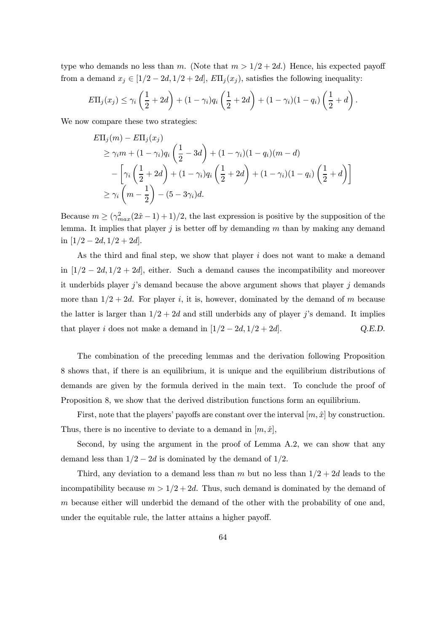type who demands no less than m. (Note that  $m > 1/2 + 2d$ .) Hence, his expected payoff from a demand  $x_i \in [1/2 - 2d, 1/2 + 2d]$ ,  $E\Pi_i(x_i)$ , satisfies the following inequality:

$$
E\Pi_j(x_j) \leq \gamma_i\left(\frac{1}{2}+2d\right)+(1-\gamma_i)q_i\left(\frac{1}{2}+2d\right)+(1-\gamma_i)(1-q_i)\left(\frac{1}{2}+d\right).
$$

We now compare these two strategies:

$$
E\Pi_j(m) - E\Pi_j(x_j)
$$
  
\n
$$
\geq \gamma_i m + (1 - \gamma_i)q_i \left(\frac{1}{2} - 3d\right) + (1 - \gamma_i)(1 - q_i)(m - d)
$$
  
\n
$$
- \left[\gamma_i \left(\frac{1}{2} + 2d\right) + (1 - \gamma_i)q_i \left(\frac{1}{2} + 2d\right) + (1 - \gamma_i)(1 - q_i) \left(\frac{1}{2} + d\right)\right]
$$
  
\n
$$
\geq \gamma_i \left(m - \frac{1}{2}\right) - (5 - 3\gamma_i)d.
$$

Because  $m \ge (\gamma_{max}^2(2\hat{x}-1)+1)/2$ , the last expression is positive by the supposition of the lemma. It implies that player  $j$  is better off by demanding  $m$  than by making any demand in  $[1/2 - 2d, 1/2 + 2d]$ .

As the third and final step, we show that player  $i$  does not want to make a demand in  $[1/2 - 2d, 1/2 + 2d]$ , either. Such a demand causes the incompatibility and moreover it underbids player  $j$ 's demand because the above argument shows that player  $j$  demands more than  $1/2+2d$ . For player i, it is, however, dominated by the demand of m because the latter is larger than  $1/2+2d$  and still underbids any of player j's demand. It implies that player *i* does not make a demand in  $[1/2 - 2d, 1/2 + 2d]$ . Q.E.D.

The combination of the preceding lemmas and the derivation following Proposition 8 shows that, if there is an equilibrium, it is unique and the equilibrium distributions of demands are given by the formula derived in the main text. To conclude the proof of Proposition 8, we show that the derived distribution functions form an equilibrium.

First, note that the players' payoffs are constant over the interval  $[m, \hat{x}]$  by construction. Thus, there is no incentive to deviate to a demand in  $[m, \hat{x}]$ ,

Second, by using the argument in the proof of Lemma A.2, we can show that any demand less than  $1/2 - 2d$  is dominated by the demand of  $1/2$ .

Third, any deviation to a demand less than m but no less than  $1/2+2d$  leads to the incompatibility because  $m > 1/2 + 2d$ . Thus, such demand is dominated by the demand of  $m$  because either will underbid the demand of the other with the probability of one and. under the equitable rule, the latter attains a higher payoff.